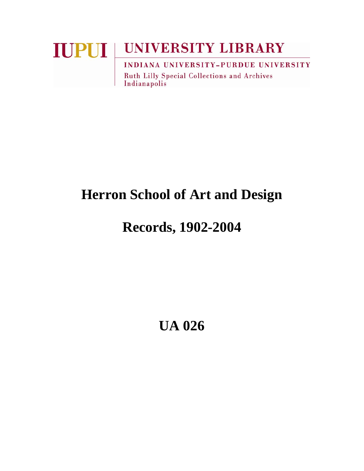# **IUPUI UNIVERSITY LIBRARY INDIANA UNIVERSITY-PURDUE UNIVERSITY**

Ruth Lilly Special Collections and Archives Indianapolis

### **Herron School of Art and Design**

# **Records, 1902-2004**

# **UA 026**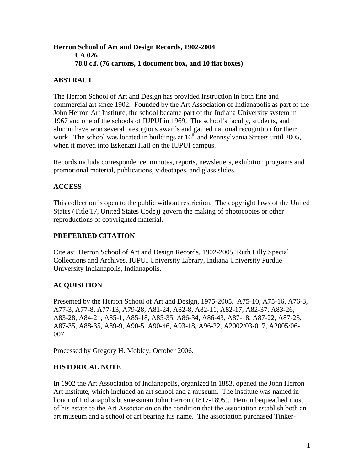### **Herron School of Art and Design Records, 1902-2004 UA 026 78.8 c.f. (76 cartons, 1 document box, and 10 flat boxes)**

### **ABSTRACT**

The Herron School of Art and Design has provided instruction in both fine and commercial art since 1902. Founded by the Art Association of Indianapolis as part of the John Herron Art Institute, the school became part of the Indiana University system in 1967 and one of the schools of IUPUI in 1969. The school's faculty, students, and alumni have won several prestigious awards and gained national recognition for their work. The school was located in buildings at  $16<sup>th</sup>$  and Pennsylvania Streets until 2005, when it moved into Eskenazi Hall on the IUPUI campus.

Records include correspondence, minutes, reports, newsletters, exhibition programs and promotional material, publications, videotapes, and glass slides.

#### **ACCESS**

This collection is open to the public without restriction. The copyright laws of the United States (Title 17, United States Code)) govern the making of photocopies or other reproductions of copyrighted material.

#### **PREFERRED CITATION**

Cite as: Herron School of Art and Design Records, 1902-2005, Ruth Lilly Special Collections and Archives, IUPUI University Library, Indiana University Purdue University Indianapolis, Indianapolis.

### **ACQUISITION**

Presented by the Herron School of Art and Design, 1975-2005. A75-10, A75-16, A76-3, A77-3, A77-8, A77-13, A79-28, A81-24, A82-8, A82-11, A82-17, A82-37, A83-26, A83-28, A84-21, A85-1, A85-18, A85-35, A86-34, A86-43, A87-18, A87-22, A87-23, A87-35, A88-35, A89-9, A90-5, A90-46, A93-18, A96-22, A2002/03-017, A2005/06- 007.

Processed by Gregory H. Mobley, October 2006.

#### **HISTORICAL NOTE**

In 1902 the Art Association of Indianapolis, organized in 1883, opened the John Herron Art Institute, which included an art school and a museum. The institute was named in honor of Indianapolis businessman John Herron (1817-1895). Herron bequeathed most of his estate to the Art Association on the condition that the association establish both an art museum and a school of art bearing his name. The association purchased Tinker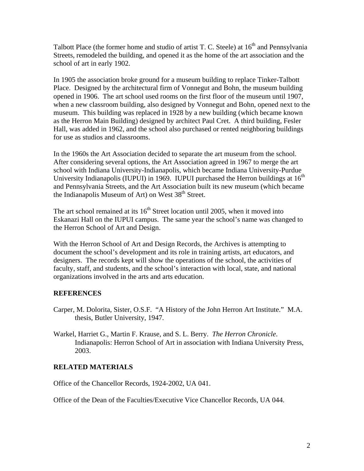Talbott Place (the former home and studio of artist T. C. Steele) at  $16<sup>th</sup>$  and Pennsylvania Streets, remodeled the building, and opened it as the home of the art association and the school of art in early 1902.

In 1905 the association broke ground for a museum building to replace Tinker-Talbott Place. Designed by the architectural firm of Vonnegut and Bohn, the museum building opened in 1906. The art school used rooms on the first floor of the museum until 1907, when a new classroom building, also designed by Vonnegut and Bohn, opened next to the museum. This building was replaced in 1928 by a new building (which became known as the Herron Main Building) designed by architect Paul Cret. A third building, Fesler Hall, was added in 1962, and the school also purchased or rented neighboring buildings for use as studios and classrooms.

In the 1960s the Art Association decided to separate the art museum from the school. After considering several options, the Art Association agreed in 1967 to merge the art school with Indiana University-Indianapolis, which became Indiana University-Purdue University Indianapolis (IUPUI) in 1969. IUPUI purchased the Herron buildings at  $16<sup>th</sup>$ and Pennsylvania Streets, and the Art Association built its new museum (which became the Indianapolis Museum of Art) on West  $38<sup>th</sup>$  Street.

The art school remained at its  $16<sup>th</sup>$  Street location until 2005, when it moved into Eskanazi Hall on the IUPUI campus. The same year the school's name was changed to the Herron School of Art and Design.

With the Herron School of Art and Design Records, the Archives is attempting to document the school's development and its role in training artists, art educators, and designers. The records kept will show the operations of the school, the activities of faculty, staff, and students, and the school's interaction with local, state, and national organizations involved in the arts and arts education.

#### **REFERENCES**

- Carper, M. Dolorita, Sister, O.S.F. "A History of the John Herron Art Institute." M.A. thesis, Butler University, 1947.
- Warkel, Harriet G., Martin F. Krause, and S. L. Berry. *The Herron Chronicle*. Indianapolis: Herron School of Art in association with Indiana University Press, 2003.

#### **RELATED MATERIALS**

Office of the Chancellor Records, 1924-2002, UA 041.

Office of the Dean of the Faculties/Executive Vice Chancellor Records, UA 044.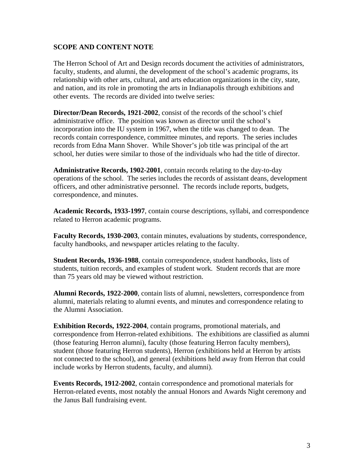#### **SCOPE AND CONTENT NOTE**

The Herron School of Art and Design records document the activities of administrators, faculty, students, and alumni, the development of the school's academic programs, its relationship with other arts, cultural, and arts education organizations in the city, state, and nation, and its role in promoting the arts in Indianapolis through exhibitions and other events. The records are divided into twelve series:

**Director/Dean Records, 1921-2002**, consist of the records of the school's chief administrative office. The position was known as director until the school's incorporation into the IU system in 1967, when the title was changed to dean. The records contain correspondence, committee minutes, and reports. The series includes records from Edna Mann Shover. While Shover's job title was principal of the art school, her duties were similar to those of the individuals who had the title of director.

**Administrative Records, 1902-2001**, contain records relating to the day-to-day operations of the school. The series includes the records of assistant deans, development officers, and other administrative personnel. The records include reports, budgets, correspondence, and minutes.

**Academic Records, 1933-1997**, contain course descriptions, syllabi, and correspondence related to Herron academic programs.

**Faculty Records, 1930-2003**, contain minutes, evaluations by students, correspondence, faculty handbooks, and newspaper articles relating to the faculty.

**Student Records, 1936-1988**, contain correspondence, student handbooks, lists of students, tuition records, and examples of student work. Student records that are more than 75 years old may be viewed without restriction.

**Alumni Records, 1922-2000**, contain lists of alumni, newsletters, correspondence from alumni, materials relating to alumni events, and minutes and correspondence relating to the Alumni Association.

**Exhibition Records, 1922-2004**, contain programs, promotional materials, and correspondence from Herron-related exhibitions. The exhibitions are classified as alumni (those featuring Herron alumni), faculty (those featuring Herron faculty members), student (those featuring Herron students), Herron (exhibitions held at Herron by artists not connected to the school), and general (exhibitions held away from Herron that could include works by Herron students, faculty, and alumni).

**Events Records, 1912-2002**, contain correspondence and promotional materials for Herron-related events, most notably the annual Honors and Awards Night ceremony and the Janus Ball fundraising event.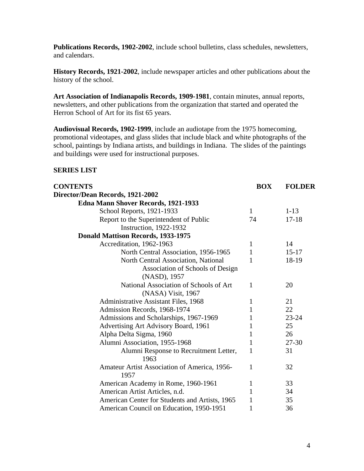**Publications Records, 1902-2002**, include school bulletins, class schedules, newsletters, and calendars.

**History Records, 1921-2002**, include newspaper articles and other publications about the history of the school.

**Art Association of Indianapolis Records, 1909-1981**, contain minutes, annual reports, newsletters, and other publications from the organization that started and operated the Herron School of Art for its fist 65 years.

**Audiovisual Records, 1902-1999**, include an audiotape from the 1975 homecoming, promotional videotapes, and glass slides that include black and white photographs of the school, paintings by Indiana artists, and buildings in Indiana. The slides of the paintings and buildings were used for instructional purposes.

#### **SERIES LIST**

| <b>CONTENTS</b>                                | <b>BOX</b>   | <b>FOLDER</b> |
|------------------------------------------------|--------------|---------------|
| Director/Dean Records, 1921-2002               |              |               |
| Edna Mann Shover Records, 1921-1933            |              |               |
| School Reports, 1921-1933                      | $\mathbf{1}$ | $1 - 13$      |
| Report to the Superintendent of Public         | 74           | $17-18$       |
| Instruction, 1922-1932                         |              |               |
| <b>Donald Mattison Records, 1933-1975</b>      |              |               |
| Accreditation, 1962-1963                       | 1            | 14            |
| North Central Association, 1956-1965           | 1            | $15 - 17$     |
| North Central Association, National            | 1            | 18-19         |
| Association of Schools of Design               |              |               |
| (NASD), 1957                                   |              |               |
| National Association of Schools of Art         | 1            | 20            |
| (NASA) Visit, 1967                             |              |               |
| Administrative Assistant Files, 1968           | 1            | 21            |
| Admission Records, 1968-1974                   |              | 22            |
| Admissions and Scholarships, 1967-1969         | 1            | $23 - 24$     |
| Advertising Art Advisory Board, 1961           |              | 25            |
| Alpha Delta Sigma, 1960                        |              | 26            |
| Alumni Association, 1955-1968                  | 1            | $27 - 30$     |
| Alumni Response to Recruitment Letter,         | 1            | 31            |
| 1963                                           |              |               |
| Amateur Artist Association of America, 1956-   | 1            | 32            |
| 1957                                           |              |               |
| American Academy in Rome, 1960-1961            | 1            | 33            |
| American Artist Articles, n.d.                 | 1            | 34            |
| American Center for Students and Artists, 1965 | 1            | 35            |
| American Council on Education, 1950-1951       | 1            | 36            |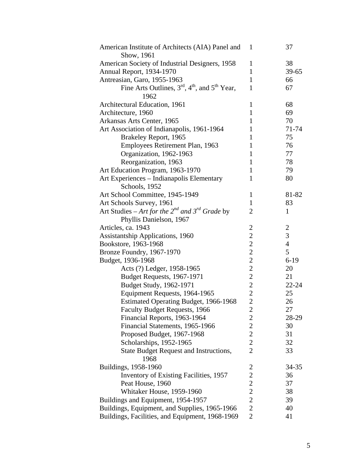| American Institute of Architects (AIA) Panel and<br>Show, 1961                    | $\mathbf{1}$   | 37             |
|-----------------------------------------------------------------------------------|----------------|----------------|
| American Society of Industrial Designers, 1958                                    | $\mathbf{1}$   | 38             |
| Annual Report, 1934-1970                                                          | $\mathbf{1}$   | $39 - 65$      |
| Antreasian, Garo, 1955-1963                                                       | $\mathbf{1}$   | 66             |
| Fine Arts Outlines, $3^{\text{rd}}$ , $4^{\text{th}}$ , and $5^{\text{th}}$ Year, | $\mathbf{1}$   | 67             |
| 1962                                                                              |                |                |
| Architectural Education, 1961                                                     | 1              | 68             |
| Architecture, 1960                                                                | $\mathbf{1}$   | 69             |
| Arkansas Arts Center, 1965                                                        | 1              | 70             |
| Art Association of Indianapolis, 1961-1964                                        | 1              | 71-74          |
| Brakeley Report, 1965                                                             | 1              | 75             |
| Employees Retirement Plan, 1963                                                   | 1              | 76             |
| Organization, 1962-1963                                                           | 1              | 77             |
| Reorganization, 1963                                                              | 1              | 78             |
| Art Education Program, 1963-1970                                                  | 1              | 79             |
| Art Experiences - Indianapolis Elementary                                         | 1              | 80             |
| Schools, 1952                                                                     |                |                |
| Art School Committee, 1945-1949                                                   | $\mathbf{1}$   | 81-82          |
| Art Schools Survey, 1961                                                          | $\mathbf{1}$   | 83             |
| Art Studies – Art for the $2^{nd}$ and $3^{rd}$ Grade by                          | $\overline{2}$ | 1              |
| Phyllis Danielson, 1967                                                           |                |                |
| Articles, ca. 1943                                                                | $\overline{c}$ | $\overline{2}$ |
| <b>Assistantship Applications, 1960</b>                                           | $\overline{2}$ | 3              |
| Bookstore, 1963-1968                                                              | $\overline{c}$ | $\overline{4}$ |
| Bronze Foundry, 1967-1970                                                         | $\overline{2}$ | 5              |
| Budget, 1936-1968                                                                 | $\overline{2}$ | $6-19$         |
| Acts (?) Ledger, 1958-1965                                                        | $\overline{2}$ | 20             |
| Budget Requests, 1967-1971                                                        | $\overline{2}$ | 21             |
| Budget Study, 1962-1971                                                           | $\overline{2}$ | $22 - 24$      |
| Equipment Requests, 1964-1965                                                     | $\overline{2}$ | 25             |
| Estimated Operating Budget, 1966-1968                                             | $\overline{2}$ | 26             |
| <b>Faculty Budget Requests, 1966</b>                                              | $\overline{c}$ | 27             |
| Financial Reports, 1963-1964                                                      | $\overline{2}$ | 28-29          |
|                                                                                   | $\overline{2}$ | 30             |
| Financial Statements, 1965-1966                                                   | $\overline{2}$ |                |
| Proposed Budget, 1967-1968                                                        | $\overline{2}$ | 31             |
| Scholarships, 1952-1965                                                           |                | 32             |
| <b>State Budget Request and Instructions,</b><br>1968                             | $\overline{2}$ | 33             |
| Buildings, 1958-1960                                                              | $\overline{c}$ | 34-35          |
| Inventory of Existing Facilities, 1957                                            | $\overline{2}$ | 36             |
| Peat House, 1960                                                                  | $\overline{c}$ | 37             |
| Whitaker House, 1959-1960                                                         | $\overline{2}$ | 38             |
| Buildings and Equipment, 1954-1957                                                | $\overline{2}$ | 39             |
| Buildings, Equipment, and Supplies, 1965-1966                                     | $\overline{2}$ | 40             |
| Buildings, Facilities, and Equipment, 1968-1969                                   | $\overline{2}$ | 41             |
|                                                                                   |                |                |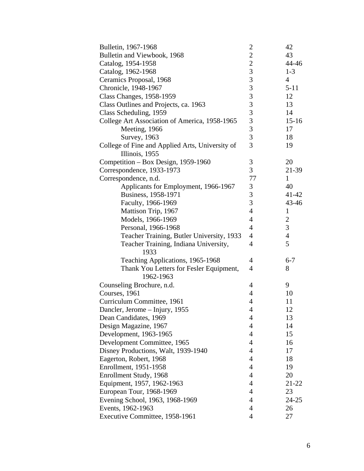| Bulletin, 1967-1968                             | $\overline{c}$ | 42             |
|-------------------------------------------------|----------------|----------------|
| Bulletin and Viewbook, 1968                     | $\overline{c}$ | 43             |
| Catalog, 1954-1958                              | $\overline{c}$ | 44-46          |
| Catalog, 1962-1968                              | 3              | $1 - 3$        |
| Ceramics Proposal, 1968                         | 3              | $\overline{4}$ |
| Chronicle, 1948-1967                            | 3              | $5 - 11$       |
| <b>Class Changes, 1958-1959</b>                 | 3              | 12             |
| Class Outlines and Projects, ca. 1963           | $\overline{3}$ | 13             |
| Class Scheduling, 1959                          | 3              | 14             |
| College Art Association of America, 1958-1965   | 3              | $15-16$        |
| Meeting, 1966                                   | $\mathfrak{Z}$ | 17             |
| <b>Survey</b> , 1963                            | $\overline{3}$ | 18             |
| College of Fine and Applied Arts, University of | 3              | 19             |
| Illinois, 1955                                  |                |                |
| Competition – Box Design, 1959-1960             | 3              | 20             |
| Correspondence, 1933-1973                       | 3              | 21-39          |
| Correspondence, n.d.                            | 77             | $\mathbf{1}$   |
| Applicants for Employment, 1966-1967            | 3              | 40             |
| Business, 1958-1971                             | 3              | 41-42          |
| Faculty, 1966-1969                              | 3              | $43 - 46$      |
| Mattison Trip, 1967                             | $\overline{4}$ | $\mathbf{1}$   |
| Models, 1966-1969                               | $\overline{4}$ | $\overline{2}$ |
| Personal, 1966-1968                             | $\overline{4}$ | 3              |
| Teacher Training, Butler University, 1933       | $\overline{4}$ | $\overline{4}$ |
| Teacher Training, Indiana University,           | $\overline{4}$ | 5              |
| 1933                                            |                |                |
| Teaching Applications, 1965-1968                | 4              | $6 - 7$        |
| Thank You Letters for Fesler Equipment,         | $\overline{4}$ | 8              |
| 1962-1963                                       |                |                |
| Counseling Brochure, n.d.                       | 4              | 9              |
| Courses, 1961                                   | 4              | 10             |
| Curriculum Committee, 1961                      | 4              | 11             |
| Dancler, Jerome – Injury, 1955                  | 4              | 12             |
| Dean Candidates, 1969                           | 4              | 13             |
| Design Magazine, 1967                           | 4              | 14             |
| Development, 1963-1965                          | $\overline{4}$ | 15             |
| Development Committee, 1965                     | 4              | 16             |
| Disney Productions, Walt, 1939-1940             | $\overline{4}$ | 17             |
| Eagerton, Robert, 1968                          | $\overline{4}$ | 18             |
| Enrollment, 1951-1958                           | 4              | 19             |
| Enrollment Study, 1968                          | $\overline{4}$ | 20             |
| Equipment, 1957, 1962-1963                      | 4              | 21-22          |
| European Tour, 1968-1969                        | $\overline{4}$ | 23             |
| Evening School, 1963, 1968-1969                 | $\overline{4}$ | $24 - 25$      |
| Events, 1962-1963                               | 4              | 26             |
| Executive Committee, 1958-1961                  | $\overline{4}$ | 27             |
|                                                 |                |                |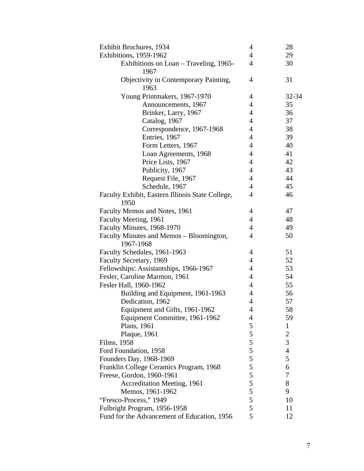| Exhibit Brochures, 1934                                  | $\overline{4}$ | 28             |
|----------------------------------------------------------|----------------|----------------|
| Exhibitions, 1959-1962                                   | $\overline{4}$ | 29             |
| Exhibitions on Loan – Traveling, 1965-<br>1967           | $\overline{4}$ | 30             |
| Objectivity in Contemporary Painting,<br>1963            | $\overline{4}$ | 31             |
| Young Printmakers, 1967-1970                             | $\overline{4}$ | 32-34          |
| Announcements, 1967                                      | $\overline{4}$ | 35             |
| Brinker, Larry, 1967                                     | $\overline{4}$ | 36             |
| Catalog, 1967                                            | $\overline{4}$ | 37             |
| Correspondence, 1967-1968                                | $\overline{4}$ | 38             |
| Entries, 1967                                            | 4              | 39             |
| Form Letters, 1967                                       | $\overline{4}$ | 40             |
| Loan Agreements, 1968                                    | $\overline{4}$ | 41             |
| Price Lists, 1967                                        | $\overline{4}$ | 42             |
| Publicity, 1967                                          | $\overline{4}$ | 43             |
| Request File, 1967                                       | $\overline{4}$ | 44             |
| Schedule, 1967                                           | $\overline{4}$ | 45             |
| Faculty Exhibit, Eastern Illinois State College,<br>1950 | $\overline{4}$ | 46             |
| Faculty Memos and Notes, 1961                            | $\overline{4}$ | 47             |
| Faculty Meeting, 1961                                    | $\overline{4}$ | 48             |
| Faculty Minutes, 1968-1970                               | $\overline{4}$ | 49             |
| Faculty Minutes and Memos - Bloomington,<br>1967-1968    | $\overline{4}$ | 50             |
| Faculty Schedules, 1961-1963                             | 4              | 51             |
| Faculty Secretary, 1969                                  | $\overline{4}$ | 52             |
| Fellowships: Assistantships, 1966-1967                   | $\overline{4}$ | 53             |
| Fesler, Caroline Marmon, 1961                            | $\overline{4}$ | 54             |
| Fesler Hall, 1960-1962                                   | $\overline{4}$ | 55             |
| Building and Equipment, 1961-1963                        | $\overline{4}$ | 56             |
| Dedication, 1962                                         | 4              | 57             |
| Equipment and Gifts, 1961-1962                           | 4              | 58             |
| Equipment Committee, 1961-1962                           | 4              | 59             |
| Plans, 1961                                              | 5              | $\mathbf{1}$   |
| Plaque, 1961                                             | 5              | $\overline{c}$ |
| Films, 1958                                              | 5              | 3              |
| Ford Foundation, 1958                                    | 5              | $\overline{4}$ |
| Founders Day, 1968-1969                                  | 5              | 5              |
| Franklin College Ceramics Program, 1968                  | 5              | 6              |
| Freese, Gordon, 1960-1961                                | 5              | 7              |
| <b>Accreditation Meeting, 1961</b>                       | 5              | 8              |
| Memos, 1961-1962                                         | 5              | 9              |
| "Fresco-Process," 1949                                   | 5              | 10             |
| Fulbright Program, 1956-1958                             | 5              | 11             |
| Fund for the Advancement of Education, 1956              | 5              | 12             |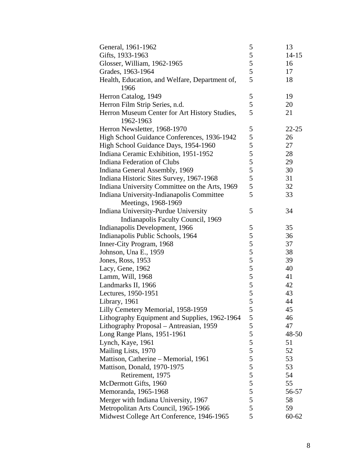| General, 1961-1962                                         | 5              | 13        |
|------------------------------------------------------------|----------------|-----------|
| Gifts, 1933-1963                                           | 5              | $14 - 15$ |
| Glosser, William, 1962-1965                                | 5              | 16        |
| Grades, 1963-1964                                          | 5              | 17        |
| Health, Education, and Welfare, Department of,<br>1966     | 5              | 18        |
| Herron Catalog, 1949                                       | 5              | 19        |
| Herron Film Strip Series, n.d.                             | 5              | 20        |
| Herron Museum Center for Art History Studies,<br>1962-1963 | 5              | 21        |
| Herron Newsletter, 1968-1970                               | 5              | $22 - 25$ |
| High School Guidance Conferences, 1936-1942                | 5              | 26        |
| High School Guidance Days, 1954-1960                       | 5              | 27        |
| Indiana Ceramic Exhibition, 1951-1952                      | 5              | 28        |
| Indiana Federation of Clubs                                | 5              | 29        |
| Indiana General Assembly, 1969                             | 5              | 30        |
| Indiana Historic Sites Survey, 1967-1968                   | 5              | 31        |
| Indiana University Committee on the Arts, 1969             | 5              | 32        |
| Indiana University-Indianapolis Committee                  | 5              | 33        |
| Meetings, 1968-1969                                        |                |           |
| Indiana University-Purdue University                       | 5              | 34        |
| Indianapolis Faculty Council, 1969                         |                |           |
| Indianapolis Development, 1966                             | 5              | 35        |
| Indianapolis Public Schools, 1964                          | 5              | 36        |
| Inner-City Program, 1968                                   | 5              | 37        |
| Johnson, Una E., 1959                                      | 5              | 38        |
| Jones, Ross, 1953                                          | 5              | 39        |
| Lacy, Gene, 1962                                           | 5              | 40        |
| Lamm, Will, 1968                                           | 5              | 41        |
| Landmarks II, 1966                                         | $\mathfrak s$  | 42        |
| Lectures, 1950-1951                                        | $\mathfrak{S}$ | 43        |
| Library, 1961                                              | 5              | 44        |
| Lilly Cemetery Memorial, 1958-1959                         | 5              | 45        |
| Lithography Equipment and Supplies, 1962-1964              | 5              | 46        |
| Lithography Proposal - Antreasian, 1959                    | 5              | 47        |
| Long Range Plans, 1951-1961                                | 5              | 48-50     |
| Lynch, Kaye, 1961                                          | 5              | 51        |
| Mailing Lists, 1970                                        | 5              | 52        |
| Mattison, Catherine – Memorial, 1961                       | 5              | 53        |
| Mattison, Donald, 1970-1975                                | 5              | 53        |
| Retirement, 1975                                           | 5              | 54        |
|                                                            | 5              | 55        |
| McDermott Gifts, 1960                                      | 5              |           |
| Memoranda, 1965-1968                                       |                | 56-57     |
| Merger with Indiana University, 1967                       | 5<br>5         | 58<br>59  |
| Metropolitan Arts Council, 1965-1966                       | 5              |           |
| Midwest College Art Conference, 1946-1965                  |                | 60-62     |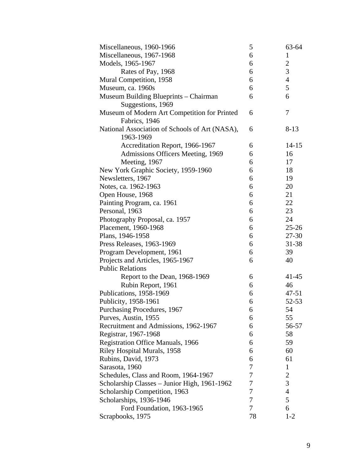| Miscellaneous, 1960-1966                                      | 5                        | 63-64          |
|---------------------------------------------------------------|--------------------------|----------------|
| Miscellaneous, 1967-1968                                      | 6                        | $\mathbf{1}$   |
| Models, 1965-1967                                             | 6                        | $\mathbf{2}$   |
| Rates of Pay, 1968                                            | 6                        | 3              |
| Mural Competition, 1958                                       | 6                        | $\overline{4}$ |
| Museum, ca. 1960s                                             | 6                        | 5              |
| Museum Building Blueprints – Chairman<br>Suggestions, 1969    | 6                        | 6              |
| Museum of Modern Art Competition for Printed<br>Fabrics, 1946 | 6                        | 7              |
| National Association of Schools of Art (NASA),<br>1963-1969   | 6                        | $8-13$         |
| Accreditation Report, 1966-1967                               | 6                        | $14 - 15$      |
| Admissions Officers Meeting, 1969                             | 6                        | 16             |
| Meeting, 1967                                                 | 6                        | 17             |
| New York Graphic Society, 1959-1960                           | 6                        | 18             |
| Newsletters, 1967                                             | 6                        | 19             |
| Notes, ca. 1962-1963                                          | 6                        | 20             |
| Open House, 1968                                              | 6                        | 21             |
| Painting Program, ca. 1961                                    | 6                        | 22             |
| Personal, 1963                                                | 6                        | 23             |
| Photography Proposal, ca. 1957                                | 6                        | 24             |
| Placement, 1960-1968                                          | 6                        | $25 - 26$      |
| Plans, 1946-1958                                              | 6                        | 27-30          |
| Press Releases, 1963-1969                                     | 6                        | 31-38          |
| Program Development, 1961                                     | 6                        | 39             |
| Projects and Articles, 1965-1967                              | 6                        | 40             |
| <b>Public Relations</b>                                       |                          |                |
| Report to the Dean, 1968-1969                                 | 6                        | $41 - 45$      |
| Rubin Report, 1961                                            | 6                        | 46             |
| Publications, 1958-1969                                       | 6                        | $47 - 51$      |
| Publicity, 1958-1961                                          | 6                        | $52 - 53$      |
| Purchasing Procedures, 1967                                   | 6                        | 54             |
| Purves, Austin, 1955                                          | 6                        | 55             |
| Recruitment and Admissions, 1962-1967                         | 6                        | 56-57          |
| Registrar, 1967-1968                                          | 6                        | 58             |
| <b>Registration Office Manuals, 1966</b>                      | 6                        | 59             |
| Riley Hospital Murals, 1958                                   | 6                        | 60             |
| Rubins, David, 1973                                           | 6                        | 61             |
| Sarasota, 1960                                                | 7                        | $\mathbf{1}$   |
| Schedules, Class and Room, 1964-1967                          | 7                        | $\overline{c}$ |
| Scholarship Classes - Junior High, 1961-1962                  | 7                        | 3              |
| Scholarship Competition, 1963                                 | 7                        | $\overline{4}$ |
| Scholarships, 1936-1946                                       | 7                        | 5              |
| Ford Foundation, 1963-1965                                    | $\overline{\mathcal{L}}$ | 6              |
| Scrapbooks, 1975                                              | 78                       | $1 - 2$        |
|                                                               |                          |                |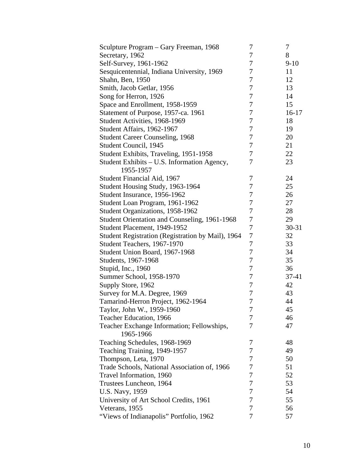| Sculpture Program – Gary Freeman, 1968            | 7      | 7       |
|---------------------------------------------------|--------|---------|
| Secretary, 1962                                   | 7      | 8       |
| Self-Survey, 1961-1962                            | 7      | $9-10$  |
| Sesquicentennial, Indiana University, 1969        | 7      | 11      |
| Shahn, Ben, 1950                                  | 7      | 12      |
| Smith, Jacob Getlar, 1956                         | 7      | 13      |
| Song for Herron, 1926                             | 7      | 14      |
| Space and Enrollment, 1958-1959                   | 7      | 15      |
| Statement of Purpose, 1957-ca. 1961               | 7      | $16-17$ |
| Student Activities, 1968-1969                     | 7      | 18      |
| Student Affairs, 1962-1967                        | 7      | 19      |
| <b>Student Career Counseling, 1968</b>            | 7      | 20      |
| Student Council, 1945                             | 7      | 21      |
| Student Exhibits, Traveling, 1951-1958            | 7      | 22      |
| Student Exhibits – U.S. Information Agency,       | 7      | 23      |
| 1955-1957                                         |        |         |
| Student Financial Aid, 1967                       | 7      | 24      |
| Student Housing Study, 1963-1964                  | 7      | 25      |
| Student Insurance, 1956-1962                      | 7      | 26      |
| Student Loan Program, 1961-1962                   | 7      | 27      |
| Student Organizations, 1958-1962                  | 7      | 28      |
| Student Orientation and Counseling, 1961-1968     | 7      | 29      |
| Student Placement, 1949-1952                      | 7      | 30-31   |
| Student Registration (Registration by Mail), 1964 | $\tau$ | 32      |
| Student Teachers, 1967-1970                       | 7      | 33      |
| Student Union Board, 1967-1968                    | 7      | 34      |
| Students, 1967-1968                               | 7      | 35      |
| Stupid, Inc., 1960                                | 7      | 36      |
| Summer School, 1958-1970                          | 7      | 37-41   |
| Supply Store, 1962                                | 7      | 42      |
| Survey for M.A. Degree, 1969                      | 7      | 43      |
| Tamarind-Herron Project, 1962-1964                | 7      | 44      |
| Taylor, John W., 1959-1960                        | 7      | 45      |
| Teacher Education, 1966                           | 7      | 46      |
| Teacher Exchange Information; Fellowships,        | 7      | 47      |
| 1965-1966                                         |        |         |
| Teaching Schedules, 1968-1969                     | 7      | 48      |
| Teaching Training, 1949-1957                      | 7      | 49      |
| Thompson, Leta, 1970                              | 7      | 50      |
| Trade Schools, National Association of, 1966      | 7      | 51      |
| Travel Information, 1960                          | 7      | 52      |
| Trustees Luncheon, 1964                           | 7      | 53      |
| U.S. Navy, 1959                                   | 7      | 54      |
| University of Art School Credits, 1961            | 7      | 55      |
| Veterans, 1955                                    | 7      | 56      |
| "Views of Indianapolis" Portfolio, 1962           | 7      | 57      |
|                                                   |        |         |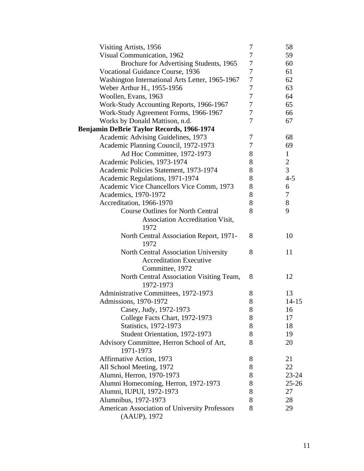| Visiting Artists, 1956                                               | 7 | 58            |
|----------------------------------------------------------------------|---|---------------|
| Visual Communication, 1962                                           | 7 | 59            |
| Brochure for Advertising Students, 1965                              | 7 | 60            |
| <b>Vocational Guidance Course, 1936</b>                              | 7 | 61            |
| Washington International Arts Letter, 1965-1967                      | 7 | 62            |
| Weber Arthur H., 1955-1956                                           | 7 | 63            |
| Woollen, Evans, 1963                                                 | 7 | 64            |
| Work-Study Accounting Reports, 1966-1967                             | 7 | 65            |
| Work-Study Agreement Forms, 1966-1967                                | 7 | 66            |
| Works by Donald Mattison, n.d.                                       | 7 | 67            |
| Benjamin DeBrie Taylor Records, 1966-1974                            |   |               |
| Academic Advising Guidelines, 1973                                   | 7 | 68            |
| Academic Planning Council, 1972-1973                                 | 7 | 69            |
| Ad Hoc Committee, 1972-1973                                          | 8 | $\mathbf{1}$  |
| Academic Policies, 1973-1974                                         | 8 |               |
| Academic Policies Statement, 1973-1974                               | 8 | $\frac{2}{3}$ |
| Academic Regulations, 1971-1974                                      | 8 | $4 - 5$       |
| Academic Vice Chancellors Vice Comm, 1973                            | 8 | 6             |
| Academics, 1970-1972                                                 | 8 | 7             |
| Accreditation, 1966-1970                                             | 8 | 8             |
| <b>Course Outlines for North Central</b>                             | 8 | 9             |
| Association Accreditation Visit,                                     |   |               |
| 1972                                                                 |   |               |
| North Central Association Report, 1971-<br>1972                      | 8 | 10            |
| <b>North Central Association University</b>                          | 8 | 11            |
| <b>Accreditation Executive</b>                                       |   |               |
| Committee, 1972                                                      |   |               |
| North Central Association Visiting Team,<br>1972-1973                | 8 | 12            |
| Administrative Committees, 1972-1973                                 | 8 | 13            |
| Admissions, 1970-1972                                                | 8 | $14 - 15$     |
| Casey, Judy, 1972-1973                                               | 8 | 16            |
| College Facts Chart, 1972-1973                                       | 8 | 17            |
| Statistics, 1972-1973                                                | 8 | 18            |
| Student Orientation, 1972-1973                                       | 8 | 19            |
| Advisory Committee, Herron School of Art,                            | 8 | 20            |
| 1971-1973                                                            |   |               |
| <b>Affirmative Action, 1973</b>                                      | 8 | 21            |
| All School Meeting, 1972                                             | 8 | 22            |
| Alumni, Herron, 1970-1973                                            | 8 | $23 - 24$     |
| Alumni Homecoming, Herron, 1972-1973                                 | 8 | $25 - 26$     |
| Alumni, IUPUI, 1972-1973                                             | 8 | 27            |
| Alumnibus, 1972-1973                                                 | 8 | 28            |
| <b>American Association of University Professors</b><br>(AAUP), 1972 | 8 | 29            |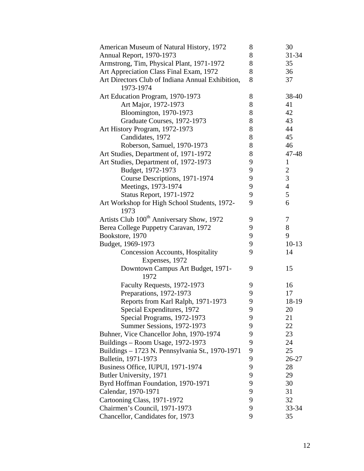| American Museum of Natural History, 1972              | 8     | 30             |
|-------------------------------------------------------|-------|----------------|
| Annual Report, 1970-1973                              | 8     | $31 - 34$      |
| Armstrong, Tim, Physical Plant, 1971-1972             | 8     | 35             |
| Art Appreciation Class Final Exam, 1972               | 8     | 36             |
| Art Directors Club of Indiana Annual Exhibition,      | 8     | 37             |
| 1973-1974                                             |       |                |
| Art Education Program, 1970-1973                      | 8     | 38-40          |
| Art Major, 1972-1973                                  | 8     | 41             |
| Bloomington, 1970-1973                                | 8     | 42             |
| Graduate Courses, 1972-1973                           | $8\,$ | 43             |
| Art History Program, 1972-1973                        | 8     | 44             |
| Candidates, 1972                                      | 8     | 45             |
| Roberson, Samuel, 1970-1973                           | 8     | 46             |
| Art Studies, Department of, 1971-1972                 | 8     | 47-48          |
| Art Studies, Department of, 1972-1973                 | 9     | $\mathbf{1}$   |
| Budget, 1972-1973                                     | 9     | $\overline{c}$ |
| Course Descriptions, 1971-1974                        | 9     | 3              |
| Meetings, 1973-1974                                   | 9     | $\overline{4}$ |
| Status Report, 1971-1972                              | 9     | 5              |
| Art Workshop for High School Students, 1972-          | 9     | 6              |
| 1973                                                  |       |                |
| Artists Club 100 <sup>th</sup> Anniversary Show, 1972 | 9     | 7              |
| Berea College Puppetry Caravan, 1972                  | 9     | 8              |
| Bookstore, 1970                                       | 9     | 9              |
| Budget, 1969-1973                                     | 9     | $10-13$        |
| <b>Concession Accounts, Hospitality</b>               | 9     | 14             |
| Expenses, 1972                                        |       |                |
| Downtown Campus Art Budget, 1971-<br>1972             | 9     | 15             |
| Faculty Requests, 1972-1973                           | 9     | 16             |
| Preparations, 1972-1973                               | 9     | 17             |
| Reports from Karl Ralph, 1971-1973                    | 9     | 18-19          |
| Special Expenditures, 1972                            | 9     | 20             |
| Special Programs, 1972-1973                           | 9     | 21             |
| Summer Sessions, 1972-1973                            | 9     | 22             |
| Buhner, Vice Chancellor John, 1970-1974               | 9     | 23             |
| Buildings – Room Usage, 1972-1973                     | 9     | 24             |
| Buildings - 1723 N. Pennsylvania St., 1970-1971       | 9     | 25             |
| Bulletin, 1971-1973                                   | 9     | 26-27          |
| Business Office, IUPUI, 1971-1974                     | 9     | 28             |
| Butler University, 1971                               | 9     | 29             |
| Byrd Hoffman Foundation, 1970-1971                    | 9     | 30             |
| Calendar, 1970-1971                                   | 9     | 31             |
| Cartooning Class, 1971-1972                           | 9     | 32             |
| Chairmen's Council, 1971-1973                         | 9     | 33-34          |
| Chancellor, Candidates for, 1973                      | 9     | 35             |
|                                                       |       |                |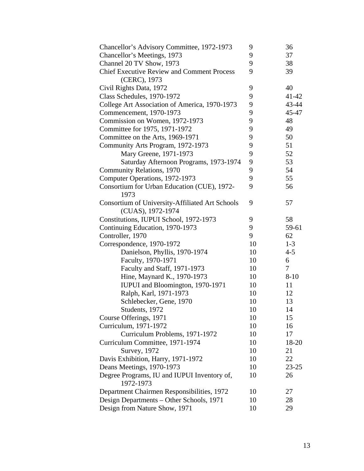| Chancellor's Advisory Committee, 1972-1973                      | 9        | 36                 |
|-----------------------------------------------------------------|----------|--------------------|
| Chancellor's Meetings, 1973                                     | 9        | 37                 |
| Channel 20 TV Show, 1973                                        | 9        | 38                 |
| <b>Chief Executive Review and Comment Process</b>               | 9        | 39                 |
| (CERC), 1973                                                    |          |                    |
| Civil Rights Data, 1972                                         | 9        | 40                 |
| Class Schedules, 1970-1972                                      | 9        | 41-42              |
| College Art Association of America, 1970-1973                   | 9        | 43-44              |
| Commencement, 1970-1973                                         | 9        | 45-47              |
| Commission on Women, 1972-1973                                  | 9        | 48                 |
| Committee for 1975, 1971-1972                                   | 9        | 49                 |
| Committee on the Arts, 1969-1971                                | 9        | 50                 |
| Community Arts Program, 1972-1973                               | 9        | 51                 |
| Mary Greene, 1971-1973                                          | 9        | 52                 |
| Saturday Afternoon Programs, 1973-1974                          | 9        | 53                 |
| Community Relations, 1970                                       | 9        | 54                 |
| Computer Operations, 1972-1973                                  | 9        | 55                 |
| Consortium for Urban Education (CUE), 1972-<br>1973             | 9        | 56                 |
| Consortium of University-Affiliated Art Schools                 | 9        | 57                 |
| (CUAS), 1972-1974                                               |          |                    |
| Constitutions, IUPUI School, 1972-1973                          | 9<br>9   | 58<br>59-61        |
| Continuing Education, 1970-1973<br>Controller, 1970             | 9        |                    |
|                                                                 | 10       | 62                 |
| Correspondence, 1970-1972                                       | 10       | $1 - 3$<br>$4 - 5$ |
| Danielson, Phyllis, 1970-1974<br>Faculty, 1970-1971             | 10       | 6                  |
|                                                                 | 10       | $\overline{7}$     |
| Faculty and Staff, 1971-1973                                    |          |                    |
| Hine, Maynard K., 1970-1973                                     | 10<br>10 | $8 - 10$<br>11     |
| IUPUI and Bloomington, 1970-1971                                | 10       | 12                 |
| Ralph, Karl, 1971-1973<br>Schlebecker, Gene, 1970               | 10       | 13                 |
|                                                                 | 10       | 14                 |
| Students, 1972<br>Course Offerings, 1971                        | 10       | 15                 |
| Curriculum, 1971-1972                                           | 10       | 16                 |
| Curriculum Problems, 1971-1972                                  | 10       | 17                 |
| Curriculum Committee, 1971-1974                                 | 10       | 18-20              |
| <b>Survey</b> , 1972                                            | 10       | 21                 |
|                                                                 |          | 22                 |
| Davis Exhibition, Harry, 1971-1972<br>Deans Meetings, 1970-1973 | 10<br>10 | $23 - 25$          |
|                                                                 | 10       | 26                 |
| Degree Programs, IU and IUPUI Inventory of,<br>1972-1973        |          |                    |
| Department Chairmen Responsibilities, 1972                      | 10       | 27                 |
| Design Departments – Other Schools, 1971                        | 10       | 28                 |
| Design from Nature Show, 1971                                   | 10       | 29                 |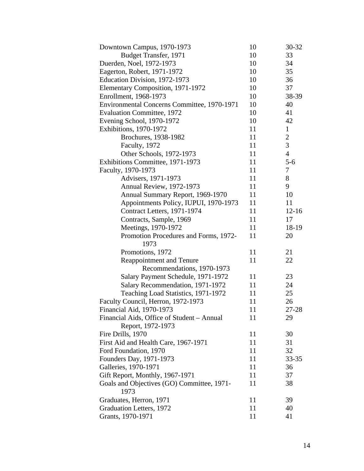| Downtown Campus, 1970-1973                  | 10 | 30-32          |
|---------------------------------------------|----|----------------|
| Budget Transfer, 1971                       | 10 | 33             |
| Duerden, Noel, 1972-1973                    | 10 | 34             |
| Eagerton, Robert, 1971-1972                 | 10 | 35             |
| Education Division, 1972-1973               | 10 | 36             |
| Elementary Composition, 1971-1972           | 10 | 37             |
| Enrollment, 1968-1973                       | 10 | 38-39          |
| Environmental Concerns Committee, 1970-1971 | 10 | 40             |
| <b>Evaluation Committee, 1972</b>           | 10 | 41             |
| Evening School, 1970-1972                   | 10 | 42             |
| Exhibitions, 1970-1972                      | 11 | $\mathbf{1}$   |
| Brochures, 1938-1982                        | 11 | $\overline{2}$ |
| Faculty, 1972                               | 11 | 3              |
| Other Schools, 1972-1973                    | 11 | $\overline{4}$ |
| Exhibitions Committee, 1971-1973            | 11 | $5 - 6$        |
| Faculty, 1970-1973                          | 11 | $\tau$         |
| Advisers, 1971-1973                         | 11 | 8              |
| Annual Review, 1972-1973                    | 11 | 9              |
| Annual Summary Report, 1969-1970            | 11 | 10             |
| Appointments Policy, IUPUI, 1970-1973       | 11 | 11             |
| Contract Letters, 1971-1974                 | 11 | $12 - 16$      |
| Contracts, Sample, 1969                     | 11 | 17             |
| Meetings, 1970-1972                         | 11 | 18-19          |
| Promotion Procedures and Forms, 1972-       | 11 | 20             |
| 1973                                        |    |                |
| Promotions, 1972                            | 11 | 21             |
| Reappointment and Tenure                    | 11 | 22             |
| Recommendations, 1970-1973                  |    |                |
| Salary Payment Schedule, 1971-1972          | 11 | 23             |
| Salary Recommendation, 1971-1972            | 11 | 24             |
| Teaching Load Statistics, 1971-1972         | 11 | 25             |
| Faculty Council, Herron, 1972-1973          | 11 | 26             |
| Financial Aid, 1970-1973                    | 11 | 27-28          |
| Financial Aids, Office of Student – Annual  | 11 | 29             |
| Report, 1972-1973                           |    |                |
| Fire Drills, 1970                           | 11 | 30             |
| First Aid and Health Care, 1967-1971        | 11 | 31             |
| Ford Foundation, 1970                       | 11 | 32             |
| Founders Day, 1971-1973                     | 11 | 33-35          |
| Galleries, 1970-1971                        | 11 | 36             |
| Gift Report, Monthly, 1967-1971             | 11 | 37             |
| Goals and Objectives (GO) Committee, 1971-  | 11 | 38             |
| 1973                                        |    |                |
| Graduates, Herron, 1971                     | 11 | 39             |
| Graduation Letters, 1972                    | 11 | 40             |
| Grants, 1970-1971                           | 11 | 41             |
|                                             |    |                |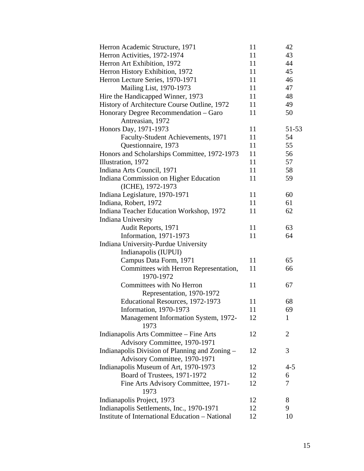| Herron Academic Structure, 1971                     | 11 | 42             |
|-----------------------------------------------------|----|----------------|
| Herron Activities, 1972-1974                        | 11 | 43             |
| Herron Art Exhibition, 1972                         | 11 | 44             |
| Herron History Exhibition, 1972                     | 11 | 45             |
| Herron Lecture Series, 1970-1971                    | 11 | 46             |
| Mailing List, 1970-1973                             | 11 | 47             |
| Hire the Handicapped Winner, 1973                   | 11 | 48             |
| History of Architecture Course Outline, 1972        | 11 | 49             |
| Honorary Degree Recommendation - Garo               | 11 | 50             |
| Antreasian, 1972                                    |    |                |
| Honors Day, 1971-1973                               | 11 | 51-53          |
| Faculty-Student Achievements, 1971                  | 11 | 54             |
| Questionnaire, 1973                                 | 11 | 55             |
| Honors and Scholarships Committee, 1972-1973        | 11 | 56             |
| Illustration, 1972                                  | 11 | 57             |
| Indiana Arts Council, 1971                          | 11 | 58             |
| Indiana Commission on Higher Education              | 11 | 59             |
| (ICHE), 1972-1973                                   |    |                |
| Indiana Legislature, 1970-1971                      | 11 | 60             |
| Indiana, Robert, 1972                               | 11 | 61             |
| Indiana Teacher Education Workshop, 1972            | 11 | 62             |
| Indiana University                                  |    |                |
| Audit Reports, 1971                                 | 11 | 63             |
| Information, 1971-1973                              | 11 | 64             |
| Indiana University-Purdue University                |    |                |
| Indianapolis (IUPUI)                                |    |                |
| Campus Data Form, 1971                              | 11 | 65             |
| Committees with Herron Representation,<br>1970-1972 | 11 | 66             |
| Committees with No Herron                           | 11 | 67             |
| Representation, 1970-1972                           |    |                |
| Educational Resources, 1972-1973                    | 11 | 68             |
| Information, 1970-1973                              | 11 | 69             |
| Management Information System, 1972-<br>1973        | 12 | 1              |
| Indianapolis Arts Committee – Fine Arts             | 12 | $\overline{2}$ |
| Advisory Committee, 1970-1971                       |    |                |
| Indianapolis Division of Planning and Zoning –      | 12 | 3              |
| Advisory Committee, 1970-1971                       |    |                |
| Indianapolis Museum of Art, 1970-1973               | 12 | $4 - 5$        |
| Board of Trustees, 1971-1972                        | 12 | 6              |
| Fine Arts Advisory Committee, 1971-                 | 12 | 7              |
| 1973                                                |    |                |
| Indianapolis Project, 1973                          | 12 | 8              |
| Indianapolis Settlements, Inc., 1970-1971           | 12 | 9              |
| Institute of International Education - National     | 12 | 10             |
|                                                     |    |                |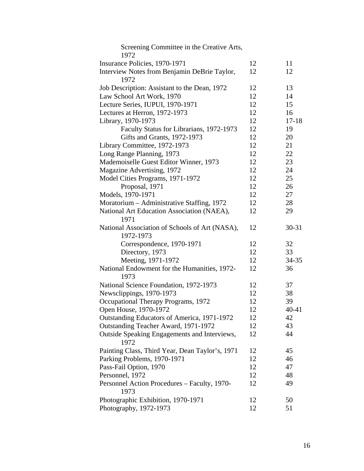| Screening Committee in the Creative Arts,<br>1972    |    |           |
|------------------------------------------------------|----|-----------|
| Insurance Policies, 1970-1971                        | 12 | 11        |
| Interview Notes from Benjamin DeBrie Taylor,         | 12 | 12        |
| 1972                                                 |    |           |
| Job Description: Assistant to the Dean, 1972         | 12 | 13        |
| Law School Art Work, 1970                            | 12 | 14        |
| Lecture Series, IUPUI, 1970-1971                     | 12 | 15        |
| Lectures at Herron, 1972-1973                        | 12 | 16        |
| Library, 1970-1973                                   | 12 | $17 - 18$ |
| Faculty Status for Librarians, 1972-1973             | 12 | 19        |
| Gifts and Grants, 1972-1973                          | 12 | 20        |
| Library Committee, 1972-1973                         | 12 | 21        |
| Long Range Planning, 1973                            | 12 | 22        |
| Mademoiselle Guest Editor Winner, 1973               | 12 | 23        |
| Magazine Advertising, 1972                           | 12 | 24        |
| Model Cities Programs, 1971-1972                     | 12 | 25        |
| Proposal, 1971                                       | 12 | 26        |
| Models, 1970-1971                                    | 12 | 27        |
| Moratorium - Administrative Staffing, 1972           | 12 | 28        |
| National Art Education Association (NAEA),           | 12 | 29        |
| 1971                                                 |    |           |
| National Association of Schools of Art (NASA),       | 12 | 30-31     |
| 1972-1973                                            |    |           |
| Correspondence, 1970-1971                            | 12 | 32        |
| Directory, 1973                                      | 12 | 33        |
| Meeting, 1971-1972                                   | 12 | $34 - 35$ |
| National Endowment for the Humanities, 1972-         | 12 | 36        |
| 1973                                                 |    |           |
| National Science Foundation, 1972-1973               | 12 | 37        |
| Newsclippings, 1970-1973                             | 12 | 38        |
| Occupational Therapy Programs, 1972                  | 12 | 39        |
| Open House, 1970-1972                                | 12 | 40-41     |
| Outstanding Educators of America, 1971-1972          | 12 | 42        |
| Outstanding Teacher Award, 1971-1972                 | 12 | 43        |
| Outside Speaking Engagements and Interviews,<br>1972 | 12 | 44        |
| Painting Class, Third Year, Dean Taylor's, 1971      | 12 | 45        |
| Parking Problems, 1970-1971                          | 12 | 46        |
| Pass-Fail Option, 1970                               | 12 | 47        |
| Personnel, 1972                                      | 12 | 48        |
| Personnel Action Procedures - Faculty, 1970-         | 12 | 49        |
| 1973                                                 |    |           |
| Photographic Exhibition, 1970-1971                   | 12 | 50        |
| Photography, 1972-1973                               | 12 | 51        |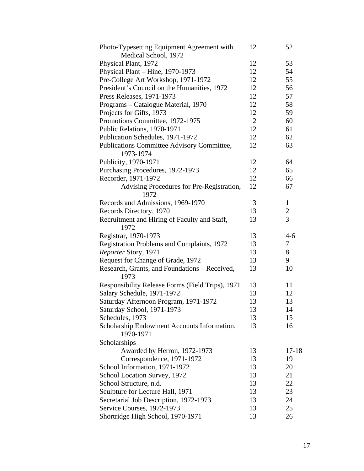| Photo-Typesetting Equipment Agreement with<br>Medical School, 1972 | 12 | 52             |
|--------------------------------------------------------------------|----|----------------|
| Physical Plant, 1972                                               | 12 | 53             |
| Physical Plant - Hine, 1970-1973                                   | 12 | 54             |
| Pre-College Art Workshop, 1971-1972                                | 12 | 55             |
| President's Council on the Humanities, 1972                        | 12 | 56             |
|                                                                    | 12 | 57             |
| Press Releases, 1971-1973                                          | 12 |                |
| Programs – Catalogue Material, 1970                                |    | 58             |
| Projects for Gifts, 1973                                           | 12 | 59             |
| Promotions Committee, 1972-1975                                    | 12 | 60             |
| Public Relations, 1970-1971                                        | 12 | 61             |
| Publication Schedules, 1971-1972                                   | 12 | 62             |
| Publications Committee Advisory Committee,<br>1973-1974            | 12 | 63             |
| Publicity, 1970-1971                                               | 12 | 64             |
| Purchasing Procedures, 1972-1973                                   | 12 | 65             |
| Recorder, 1971-1972                                                | 12 | 66             |
| Advising Procedures for Pre-Registration,<br>1972                  | 12 | 67             |
| Records and Admissions, 1969-1970                                  | 13 | $\mathbf{1}$   |
| Records Directory, 1970                                            | 13 | $\mathbf{2}$   |
| Recruitment and Hiring of Faculty and Staff,<br>1972               | 13 | $\overline{3}$ |
| Registrar, 1970-1973                                               | 13 | $4 - 6$        |
| Registration Problems and Complaints, 1972                         | 13 | 7              |
| Reporter Story, 1971                                               | 13 | 8              |
| Request for Change of Grade, 1972                                  | 13 | 9              |
| Research, Grants, and Foundations – Received,<br>1973              | 13 | 10             |
| Responsibility Release Forms (Field Trips), 1971                   | 13 | 11             |
| Salary Schedule, 1971-1972                                         | 13 | 12             |
| Saturday Afternoon Program, 1971-1972                              | 13 | 13             |
| Saturday School, 1971-1973                                         | 13 | 14             |
| Schedules, 1973                                                    | 13 | 15             |
| Scholarship Endowment Accounts Information,<br>1970-1971           | 13 | 16             |
| Scholarships                                                       |    |                |
| Awarded by Herron, 1972-1973                                       | 13 | $17 - 18$      |
| Correspondence, 1971-1972                                          | 13 | 19             |
| School Information, 1971-1972                                      | 13 | 20             |
| School Location Survey, 1972                                       | 13 | 21             |
| School Structure, n.d.                                             | 13 | 22             |
|                                                                    | 13 | 23             |
| Sculpture for Lecture Hall, 1971                                   |    |                |
| Secretarial Job Description, 1972-1973                             | 13 | 24             |
| Service Courses, 1972-1973                                         | 13 | 25             |
| Shortridge High School, 1970-1971                                  | 13 | 26             |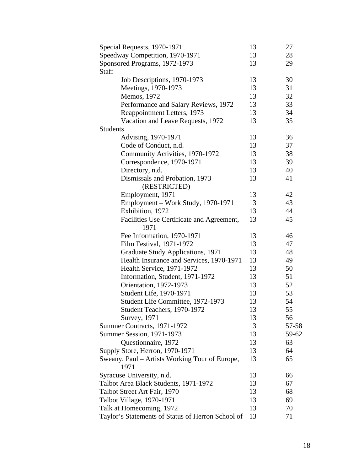| Special Requests, 1970-1971                       | 13 | 27    |
|---------------------------------------------------|----|-------|
| Speedway Competition, 1970-1971                   | 13 | 28    |
| Sponsored Programs, 1972-1973                     | 13 | 29    |
| Staff                                             |    |       |
| Job Descriptions, 1970-1973                       | 13 | 30    |
| Meetings, 1970-1973                               | 13 | 31    |
| Memos, 1972                                       | 13 | 32    |
| Performance and Salary Reviews, 1972              | 13 | 33    |
| Reappointment Letters, 1973                       | 13 | 34    |
| Vacation and Leave Requests, 1972                 | 13 | 35    |
| <b>Students</b>                                   |    |       |
| Advising, 1970-1971                               | 13 | 36    |
| Code of Conduct, n.d.                             | 13 | 37    |
| Community Activities, 1970-1972                   | 13 | 38    |
| Correspondence, 1970-1971                         | 13 | 39    |
| Directory, n.d.                                   | 13 | 40    |
| Dismissals and Probation, 1973                    | 13 | 41    |
| (RESTRICTED)                                      |    |       |
| Employment, 1971                                  | 13 | 42    |
| Employment - Work Study, 1970-1971                | 13 | 43    |
| Exhibition, 1972                                  | 13 | 44    |
| Facilities Use Certificate and Agreement,         | 13 | 45    |
| 1971                                              |    |       |
| Fee Information, 1970-1971                        | 13 | 46    |
| Film Festival, 1971-1972                          | 13 | 47    |
| Graduate Study Applications, 1971                 | 13 | 48    |
| Health Insurance and Services, 1970-1971          | 13 | 49    |
| Health Service, 1971-1972                         | 13 | 50    |
| Information, Student, 1971-1972                   | 13 | 51    |
| Orientation, 1972-1973                            | 13 | 52    |
| Student Life, 1970-1971                           | 13 | 53    |
| Student Life Committee, 1972-1973                 | 13 | 54    |
| Student Teachers, 1970-1972                       | 13 | 55    |
| Survey, 1971                                      | 13 | 56    |
| Summer Contracts, 1971-1972                       | 13 | 57-58 |
| Summer Session, 1971-1973                         | 13 | 59-62 |
| Questionnaire, 1972                               | 13 | 63    |
| Supply Store, Herron, 1970-1971                   | 13 | 64    |
| Sweany, Paul – Artists Working Tour of Europe,    | 13 | 65    |
| 1971                                              |    |       |
| Syracuse University, n.d.                         | 13 | 66    |
| Talbot Area Black Students, 1971-1972             | 13 | 67    |
| Talbot Street Art Fair, 1970                      | 13 | 68    |
| Talbot Village, 1970-1971                         | 13 | 69    |
| Talk at Homecoming, 1972                          | 13 | 70    |
| Taylor's Statements of Status of Herron School of | 13 | 71    |
|                                                   |    |       |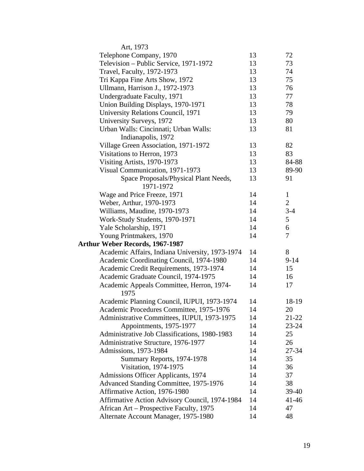| Art, 1973                                         |    |              |
|---------------------------------------------------|----|--------------|
| Telephone Company, 1970                           | 13 | 72           |
| Television - Public Service, 1971-1972            | 13 | 73           |
| Travel, Faculty, 1972-1973                        | 13 | 74           |
| Tri Kappa Fine Arts Show, 1972                    | 13 | 75           |
| Ullmann, Harrison J., 1972-1973                   | 13 | 76           |
| Undergraduate Faculty, 1971                       | 13 | 77           |
| Union Building Displays, 1970-1971                | 13 | 78           |
| University Relations Council, 1971                | 13 | 79           |
| University Surveys, 1972                          | 13 | 80           |
| Urban Walls: Cincinnati; Urban Walls:             | 13 | 81           |
| Indianapolis, 1972                                |    |              |
| Village Green Association, 1971-1972              | 13 | 82           |
| Visitations to Herron, 1973                       | 13 | 83           |
| Visiting Artists, 1970-1973                       | 13 | 84-88        |
| Visual Communication, 1971-1973                   | 13 | 89-90        |
| Space Proposals/Physical Plant Needs,             | 13 | 91           |
| 1971-1972                                         |    |              |
| Wage and Price Freeze, 1971                       | 14 | $\mathbf{1}$ |
| Weber, Arthur, 1970-1973                          | 14 | $\mathbf{2}$ |
| Williams, Maudine, 1970-1973                      | 14 | $3 - 4$      |
| Work-Study Students, 1970-1971                    | 14 | 5            |
| Yale Scholarship, 1971                            | 14 | 6            |
| Young Printmakers, 1970                           | 14 | 7            |
| <b>Arthur Weber Records, 1967-1987</b>            |    |              |
| Academic Affairs, Indiana University, 1973-1974   | 14 | 8            |
| Academic Coordinating Council, 1974-1980          | 14 | $9 - 14$     |
| Academic Credit Requirements, 1973-1974           | 14 | 15           |
| Academic Graduate Council, 1974-1975              | 14 | 16           |
|                                                   | 14 | 17           |
| Academic Appeals Committee, Herron, 1974-<br>1975 |    |              |
| Academic Planning Council, IUPUI, 1973-1974       | 14 | 18-19        |
| Academic Procedures Committee, 1975-1976          | 14 | 20           |
| Administrative Committees, IUPUI, 1973-1975       | 14 | 21-22        |
| Appointments, 1975-1977                           | 14 | $23 - 24$    |
| Administrative Job Classifications, 1980-1983     | 14 | 25           |
| Administrative Structure, 1976-1977               | 14 | 26           |
| Admissions, 1973-1984                             | 14 | 27-34        |
| Summary Reports, 1974-1978                        | 14 | 35           |
| Visitation, 1974-1975                             | 14 | 36           |
| Admissions Officer Applicants, 1974               | 14 | 37           |
| Advanced Standing Committee, 1975-1976            | 14 | 38           |
| Affirmative Action, 1976-1980                     | 14 | 39-40        |
| Affirmative Action Advisory Council, 1974-1984    | 14 | 41-46        |
| African Art - Prospective Faculty, 1975           | 14 | 47           |
| Alternate Account Manager, 1975-1980              | 14 | 48           |
|                                                   |    |              |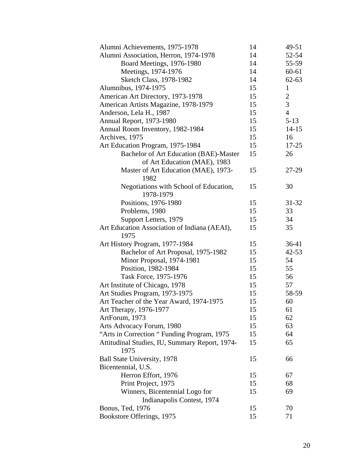| Alumni Achievements, 1975-1978                 | 14 | 49-51          |
|------------------------------------------------|----|----------------|
| Alumni Association, Herron, 1974-1978          | 14 | $52 - 54$      |
| Board Meetings, 1976-1980                      | 14 | 55-59          |
| Meetings, 1974-1976                            | 14 | 60-61          |
| <b>Sketch Class, 1978-1982</b>                 | 14 | $62 - 63$      |
| Alumnibus, 1974-1975                           | 15 | $\mathbf{1}$   |
| American Art Directory, 1973-1978              | 15 | $\overline{2}$ |
| American Artists Magazine, 1978-1979           | 15 | 3              |
| Anderson, Lela H., 1987                        | 15 | $\overline{4}$ |
| Annual Report, 1973-1980                       | 15 | $5-13$         |
| Annual Room Inventory, 1982-1984               | 15 | $14 - 15$      |
| Archives, 1975                                 | 15 | 16             |
| Art Education Program, 1975-1984               | 15 | $17 - 25$      |
| Bachelor of Art Education (BAE)-Master         | 15 | 26             |
| of Art Education (MAE), 1983                   |    |                |
| Master of Art Education (MAE), 1973-           | 15 | 27-29          |
| 1982                                           |    |                |
| Negotiations with School of Education,         | 15 | 30             |
| 1978-1979                                      |    |                |
| Positions, 1976-1980                           | 15 | $31 - 32$      |
| Problems, 1980                                 | 15 | 33             |
| Support Letters, 1979                          | 15 | 34             |
| Art Education Association of Indiana (AEAI),   | 15 | 35             |
| 1975                                           |    |                |
| Art History Program, 1977-1984                 | 15 | $36-41$        |
| Bachelor of Art Proposal, 1975-1982            | 15 | $42 - 53$      |
| Minor Proposal, 1974-1981                      | 15 | 54             |
| Position, 1982-1984                            | 15 | 55             |
| Task Force, 1975-1976                          | 15 | 56             |
| Art Institute of Chicago, 1978                 | 15 | 57             |
| Art Studies Program, 1973-1975                 | 15 | 58-59          |
| Art Teacher of the Year Award, 1974-1975       | 15 | 60             |
| Art Therapy, 1976-1977                         | 15 | 61             |
| ArtForum, 1973                                 | 15 | 62             |
| Arts Advocacy Forum, 1980                      | 15 | 63             |
| "Arts in Correction " Funding Program, 1975    | 15 | 64             |
| Attitudinal Studies, IU, Summary Report, 1974- | 15 | 65             |
| 1975                                           |    |                |
| <b>Ball State University, 1978</b>             | 15 | 66             |
| Bicentennial, U.S.                             |    |                |
| Herron Effort, 1976                            | 15 | 67             |
| Print Project, 1975                            | 15 | 68             |
| Winners, Bicentennial Logo for                 | 15 | 69             |
|                                                |    |                |
| Indianapolis Contest, 1974                     |    |                |
| <b>Bonus, Ted, 1976</b>                        | 15 | 70             |
| Bookstore Offerings, 1975                      | 15 | 71             |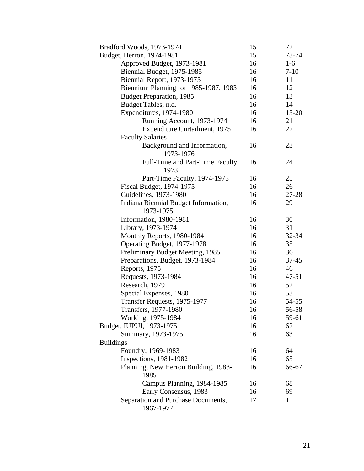| Bradford Woods, 1973-1974                       | 15 | 72           |
|-------------------------------------------------|----|--------------|
| Budget, Herron, 1974-1981                       | 15 | 73-74        |
| Approved Budget, 1973-1981                      | 16 | $1-6$        |
| Biennial Budget, 1975-1985                      | 16 | $7-10$       |
| Biennial Report, 1973-1975                      | 16 | 11           |
| Biennium Planning for 1985-1987, 1983           | 16 | 12           |
| <b>Budget Preparation, 1985</b>                 | 16 | 13           |
| Budget Tables, n.d.                             | 16 | 14           |
| Expenditures, 1974-1980                         | 16 | $15 - 20$    |
| Running Account, 1973-1974                      | 16 | 21           |
| Expenditure Curtailment, 1975                   | 16 | 22           |
| <b>Faculty Salaries</b>                         |    |              |
| Background and Information,                     | 16 | 23           |
| 1973-1976                                       |    |              |
| Full-Time and Part-Time Faculty,                | 16 | 24           |
| 1973                                            |    |              |
| Part-Time Faculty, 1974-1975                    | 16 | 25           |
| Fiscal Budget, 1974-1975                        | 16 | 26           |
| Guidelines, 1973-1980                           | 16 | 27-28        |
| Indiana Biennial Budget Information,            | 16 | 29           |
| 1973-1975                                       |    |              |
| Information, 1980-1981                          | 16 | 30           |
| Library, 1973-1974                              | 16 | 31           |
| Monthly Reports, 1980-1984                      | 16 | $32 - 34$    |
| Operating Budget, 1977-1978                     | 16 | 35           |
| Preliminary Budget Meeting, 1985                | 16 | 36           |
| Preparations, Budget, 1973-1984                 | 16 | $37 - 45$    |
| Reports, 1975                                   | 16 | 46           |
| Requests, 1973-1984                             | 16 | 47-51        |
| Research, 1979                                  | 16 | 52           |
| Special Expenses, 1980                          | 16 | 53           |
| Transfer Requests, 1975-1977                    | 16 | 54-55        |
| Transfers, 1977-1980                            | 16 | 56-58        |
| Working, 1975-1984                              | 16 | 59-61        |
| Budget, IUPUI, 1973-1975                        | 16 | 62           |
| Summary, 1973-1975                              | 16 | 63           |
| <b>Buildings</b>                                |    |              |
| Foundry, 1969-1983                              | 16 | 64           |
| Inspections, 1981-1982                          | 16 | 65           |
| Planning, New Herron Building, 1983-            | 16 | 66-67        |
| 1985                                            |    |              |
| Campus Planning, 1984-1985                      | 16 | 68           |
| Early Consensus, 1983                           | 16 | 69           |
| Separation and Purchase Documents,<br>1967-1977 | 17 | $\mathbf{1}$ |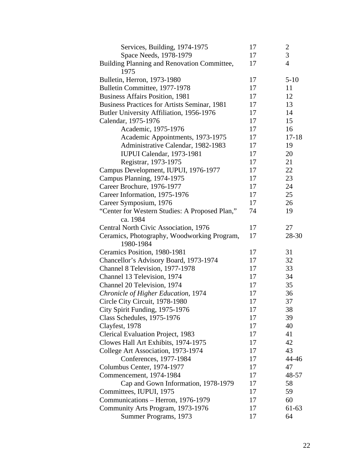| Services, Building, 1974-1975                  | 17 | $\overline{c}$ |
|------------------------------------------------|----|----------------|
| Space Needs, 1978-1979                         | 17 | 3              |
| Building Planning and Renovation Committee,    | 17 | $\overline{4}$ |
| 1975                                           |    |                |
| Bulletin, Herron, 1973-1980                    | 17 | $5-10$         |
| Bulletin Committee, 1977-1978                  | 17 | 11             |
| <b>Business Affairs Position, 1981</b>         | 17 | 12             |
| Business Practices for Artists Seminar, 1981   | 17 | 13             |
| Butler University Affiliation, 1956-1976       | 17 | 14             |
| Calendar, 1975-1976                            | 17 | 15             |
| Academic, 1975-1976                            | 17 | 16             |
| Academic Appointments, 1973-1975               | 17 | $17 - 18$      |
| Administrative Calendar, 1982-1983             | 17 | 19             |
| IUPUI Calendar, 1973-1981                      | 17 | 20             |
| Registrar, 1973-1975                           | 17 | 21             |
| Campus Development, IUPUI, 1976-1977           | 17 | 22             |
| Campus Planning, 1974-1975                     | 17 | 23             |
| Career Brochure, 1976-1977                     | 17 | 24             |
| Career Information, 1975-1976                  | 17 | 25             |
| Career Symposium, 1976                         | 17 | 26             |
| "Center for Western Studies: A Proposed Plan," | 74 | 19             |
| ca. 1984                                       |    |                |
| Central North Civic Association, 1976          | 17 | 27             |
| Ceramics, Photography, Woodworking Program,    | 17 | 28-30          |
| 1980-1984                                      |    |                |
| Ceramics Position, 1980-1981                   | 17 | 31             |
| Chancellor's Advisory Board, 1973-1974         | 17 | 32             |
| Channel 8 Television, 1977-1978                | 17 | 33             |
| Channel 13 Television, 1974                    | 17 | 34             |
| Channel 20 Television, 1974                    | 17 | 35             |
| Chronicle of Higher Education, 1974            | 17 | 36             |
| Circle City Circuit, 1978-1980                 | 17 | 37             |
| City Spirit Funding, 1975-1976                 | 17 | 38             |
| Class Schedules, 1975-1976                     | 17 | 39             |
| Clayfest, 1978                                 | 17 | 40             |
| Clerical Evaluation Project, 1983              | 17 | 41             |
| Clowes Hall Art Exhibits, 1974-1975            | 17 | 42             |
| College Art Association, 1973-1974             | 17 | 43             |
| Conferences, 1977-1984                         | 17 | 44-46          |
| Columbus Center, 1974-1977                     | 17 | 47             |
| Commencement, 1974-1984                        | 17 | 48-57          |
| Cap and Gown Information, 1978-1979            | 17 | 58             |
| Committees, IUPUI, 1975                        | 17 | 59             |
| Communications - Herron, 1976-1979             | 17 | 60             |
| Community Arts Program, 1973-1976              | 17 | 61-63          |
| Summer Programs, 1973                          | 17 | 64             |
|                                                |    |                |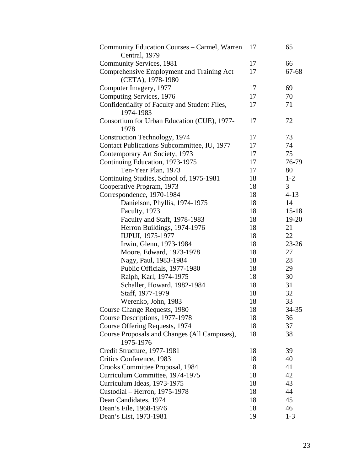| Community Education Courses - Carmel, Warren<br>Central, 1979  | 17 | 65        |
|----------------------------------------------------------------|----|-----------|
| <b>Community Services, 1981</b>                                | 17 | 66        |
| Comprehensive Employment and Training Act<br>(CETA), 1978-1980 | 17 | 67-68     |
| Computer Imagery, 1977                                         | 17 | 69        |
| Computing Services, 1976                                       | 17 | 70        |
| Confidentiality of Faculty and Student Files,<br>1974-1983     | 17 | 71        |
| Consortium for Urban Education (CUE), 1977-<br>1978            | 17 | 72        |
| Construction Technology, 1974                                  | 17 | 73        |
| Contact Publications Subcommittee, IU, 1977                    | 17 | 74        |
| Contemporary Art Society, 1973                                 | 17 | 75        |
| Continuing Education, 1973-1975                                | 17 | 76-79     |
| Ten-Year Plan, 1973                                            | 17 | 80        |
| Continuing Studies, School of, 1975-1981                       | 18 | $1 - 2$   |
| Cooperative Program, 1973                                      | 18 | 3         |
| Correspondence, 1970-1984                                      | 18 | $4 - 13$  |
| Danielson, Phyllis, 1974-1975                                  | 18 | 14        |
| Faculty, 1973                                                  | 18 | $15 - 18$ |
| Faculty and Staff, 1978-1983                                   | 18 | 19-20     |
| Herron Buildings, 1974-1976                                    | 18 | 21        |
| IUPUI, 1975-1977                                               | 18 | 22        |
| Irwin, Glenn, 1973-1984                                        | 18 | $23 - 26$ |
| Moore, Edward, 1973-1978                                       | 18 | 27        |
| Nagy, Paul, 1983-1984                                          | 18 | 28        |
| Public Officials, 1977-1980                                    | 18 | 29        |
| Ralph, Karl, 1974-1975                                         | 18 | 30        |
| Schaller, Howard, 1982-1984                                    | 18 | 31        |
| Staff, 1977-1979                                               | 18 | 32        |
| Werenko, John, 1983                                            | 18 | 33        |
| Course Change Requests, 1980                                   | 18 | $34 - 35$ |
| Course Descriptions, 1977-1978                                 | 18 | 36        |
| Course Offering Requests, 1974                                 | 18 | 37        |
| Course Proposals and Changes (All Campuses),<br>1975-1976      | 18 | 38        |
| Credit Structure, 1977-1981                                    | 18 | 39        |
| Critics Conference, 1983                                       | 18 | 40        |
| Crooks Committee Proposal, 1984                                | 18 | 41        |
| Curriculum Committee, 1974-1975                                | 18 | 42        |
| Curriculum Ideas, 1973-1975                                    | 18 | 43        |
| Custodial - Herron, 1975-1978                                  | 18 | 44        |
| Dean Candidates, 1974                                          | 18 | 45        |
| Dean's File, 1968-1976                                         | 18 | 46        |
| Dean's List, 1973-1981                                         | 19 | $1 - 3$   |
|                                                                |    |           |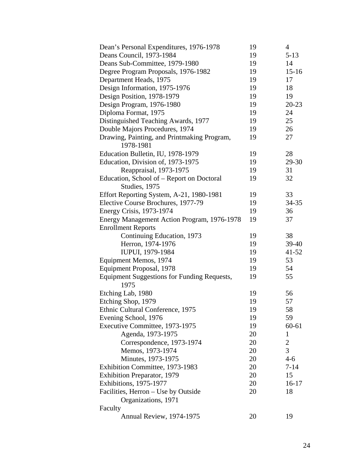| Dean's Personal Expenditures, 1976-1978                  | 19 | $\overline{4}$ |
|----------------------------------------------------------|----|----------------|
| Deans Council, 1973-1984                                 | 19 | $5-13$         |
| Deans Sub-Committee, 1979-1980                           | 19 | 14             |
| Degree Program Proposals, 1976-1982                      | 19 | $15 - 16$      |
| Department Heads, 1975                                   | 19 | 17             |
| Design Information, 1975-1976                            | 19 | 18             |
| Design Position, 1978-1979                               | 19 | 19             |
| Design Program, 1976-1980                                | 19 | $20 - 23$      |
| Diploma Format, 1975                                     | 19 | 24             |
| Distinguished Teaching Awards, 1977                      | 19 | 25             |
| Double Majors Procedures, 1974                           | 19 | 26             |
| Drawing, Painting, and Printmaking Program,<br>1978-1981 | 19 | 27             |
| Education Bulletin, IU, 1978-1979                        | 19 | 28             |
| Education, Division of, 1973-1975                        | 19 | 29-30          |
| Reappraisal, 1973-1975                                   | 19 | 31             |
| Education, School of – Report on Doctoral                | 19 | 32             |
| Studies, 1975                                            |    |                |
| Effort Reporting System, A-21, 1980-1981                 | 19 | 33             |
| Elective Course Brochures, 1977-79                       | 19 | 34-35          |
| Energy Crisis, 1973-1974                                 | 19 | 36             |
| Energy Management Action Program, 1976-1978              | 19 | 37             |
| <b>Enrollment Reports</b>                                |    |                |
| Continuing Education, 1973                               | 19 | 38             |
| Herron, 1974-1976                                        | 19 | 39-40          |
| IUPUI, 1979-1984                                         | 19 | $41 - 52$      |
| Equipment Memos, 1974                                    | 19 | 53             |
| Equipment Proposal, 1978                                 | 19 | 54             |
| Equipment Suggestions for Funding Requests,<br>1975      | 19 | 55             |
| Etching Lab, 1980                                        | 19 | 56             |
| Etching Shop, 1979                                       | 19 | 57             |
| Ethnic Cultural Conference, 1975                         | 19 | 58             |
| Evening School, 1976                                     | 19 | 59             |
| Executive Committee, 1973-1975                           | 19 | 60-61          |
| Agenda, 1973-1975                                        | 20 | $\mathbf{1}$   |
| Correspondence, 1973-1974                                | 20 | $\overline{2}$ |
| Memos, 1973-1974                                         | 20 | 3              |
| Minutes, 1973-1975                                       | 20 | $4 - 6$        |
| Exhibition Committee, 1973-1983                          | 20 | $7 - 14$       |
| <b>Exhibition Preparator</b> , 1979                      | 20 | 15             |
| <b>Exhibitions</b> , 1975-1977                           | 20 | $16-17$        |
| Facilities, Herron – Use by Outside                      | 20 | 18             |
| Organizations, 1971                                      |    |                |
| Faculty                                                  |    |                |
| Annual Review, 1974-1975                                 | 20 | 19             |
|                                                          |    |                |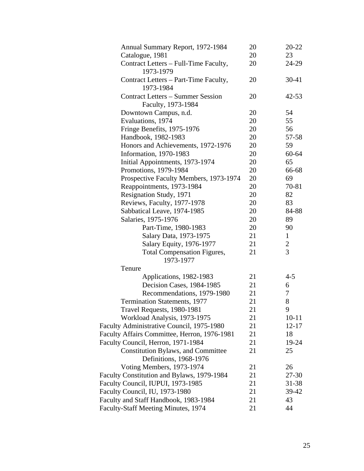| Annual Summary Report, 1972-1984                               | 20 | 20-22          |
|----------------------------------------------------------------|----|----------------|
| Catalogue, 1981                                                | 20 | 23             |
| Contract Letters - Full-Time Faculty,<br>1973-1979             | 20 | 24-29          |
| Contract Letters - Part-Time Faculty,<br>1973-1984             | 20 | 30-41          |
| <b>Contract Letters – Summer Session</b><br>Faculty, 1973-1984 | 20 | $42 - 53$      |
| Downtown Campus, n.d.                                          | 20 | 54             |
| Evaluations, 1974                                              | 20 | 55             |
| Fringe Benefits, 1975-1976                                     | 20 | 56             |
| Handbook, 1982-1983                                            | 20 | 57-58          |
| Honors and Achievements, 1972-1976                             | 20 | 59             |
| Information, 1970-1983                                         | 20 | $60 - 64$      |
| Initial Appointments, 1973-1974                                | 20 | 65             |
| Promotions, 1979-1984                                          | 20 | 66-68          |
| Prospective Faculty Members, 1973-1974                         | 20 | 69             |
| Reappointments, 1973-1984                                      | 20 | 70-81          |
| Resignation Study, 1971                                        | 20 | 82             |
| Reviews, Faculty, 1977-1978                                    | 20 | 83             |
| Sabbatical Leave, 1974-1985                                    | 20 | 84-88          |
| Salaries, 1975-1976                                            | 20 | 89             |
| Part-Time, 1980-1983                                           | 20 | 90             |
| Salary Data, 1973-1975                                         | 21 | $\mathbf{1}$   |
| <b>Salary Equity, 1976-1977</b>                                | 21 | $\overline{2}$ |
| <b>Total Compensation Figures,</b>                             | 21 | 3              |
| 1973-1977                                                      |    |                |
| Tenure                                                         |    |                |
| Applications, 1982-1983                                        | 21 | $4 - 5$        |
| Decision Cases, 1984-1985                                      | 21 | 6              |
| Recommendations, 1979-1980                                     | 21 | 7              |
| <b>Termination Statements, 1977</b>                            | 21 | 8              |
| Travel Requests, 1980-1981                                     | 21 | 9              |
| Workload Analysis, 1973-1975                                   | 21 | $10 - 11$      |
| Faculty Administrative Council, 1975-1980                      | 21 | $12 - 17$      |
| Faculty Affairs Committee, Herron, 1976-1981                   | 21 | 18             |
| Faculty Council, Herron, 1971-1984                             | 21 | 19-24          |
| <b>Constitution Bylaws, and Committee</b>                      | 21 | 25             |
| Definitions, 1968-1976                                         |    |                |
| Voting Members, 1973-1974                                      | 21 | 26             |
| Faculty Constitution and Bylaws, 1979-1984                     | 21 | 27-30          |
| Faculty Council, IUPUI, 1973-1985                              | 21 | 31-38          |
| Faculty Council, IU, 1973-1980                                 | 21 | 39-42          |
| Faculty and Staff Handbook, 1983-1984                          | 21 | 43             |
| Faculty-Staff Meeting Minutes, 1974                            | 21 | 44             |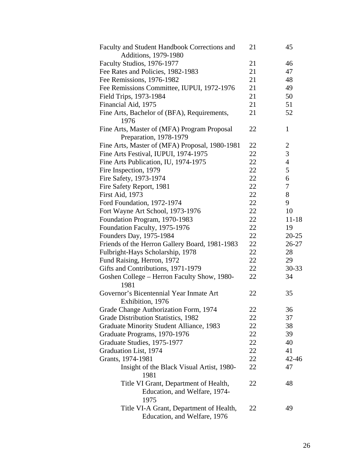| Faculty and Student Handbook Corrections and                                   | 21 | 45             |
|--------------------------------------------------------------------------------|----|----------------|
| Additions, 1979-1980                                                           |    |                |
| Faculty Studios, 1976-1977                                                     | 21 | 46             |
| Fee Rates and Policies, 1982-1983                                              | 21 | 47             |
| Fee Remissions, 1976-1982                                                      | 21 | 48             |
| Fee Remissions Committee, IUPUI, 1972-1976                                     | 21 | 49             |
| Field Trips, 1973-1984                                                         | 21 | 50             |
| Financial Aid, 1975                                                            | 21 | 51             |
| Fine Arts, Bachelor of (BFA), Requirements,<br>1976                            | 21 | 52             |
| Fine Arts, Master of (MFA) Program Proposal<br>Preparation, 1978-1979          | 22 | $\mathbf{1}$   |
| Fine Arts, Master of (MFA) Proposal, 1980-1981                                 | 22 | $\overline{2}$ |
| Fine Arts Festival, IUPUI, 1974-1975                                           | 22 | 3              |
| Fine Arts Publication, IU, 1974-1975                                           | 22 | $\overline{4}$ |
| Fire Inspection, 1979                                                          | 22 | 5              |
| Fire Safety, 1973-1974                                                         | 22 | 6              |
| Fire Safety Report, 1981                                                       | 22 | 7              |
| First Aid, 1973                                                                | 22 | 8              |
| Ford Foundation, 1972-1974                                                     | 22 | 9              |
| Fort Wayne Art School, 1973-1976                                               | 22 | 10             |
| Foundation Program, 1970-1983                                                  | 22 | $11 - 18$      |
| Foundation Faculty, 1975-1976                                                  | 22 | 19             |
| Founders Day, 1975-1984                                                        | 22 | $20-25$        |
| Friends of the Herron Gallery Board, 1981-1983                                 | 22 | $26 - 27$      |
| Fulbright-Hays Scholarship, 1978                                               | 22 | 28             |
| Fund Raising, Herron, 1972                                                     | 22 | 29             |
| Gifts and Contributions, 1971-1979                                             | 22 | $30 - 33$      |
| Goshen College - Herron Faculty Show, 1980-<br>1981                            | 22 | 34             |
| Governor's Bicentennial Year Inmate Art                                        | 22 | 35             |
| Exhibition, 1976                                                               |    |                |
| Grade Change Authorization Form, 1974                                          | 22 | 36             |
| Grade Distribution Statistics, 1982                                            | 22 | 37             |
| Graduate Minority Student Alliance, 1983                                       | 22 | 38             |
| Graduate Programs, 1970-1976                                                   | 22 | 39             |
| Graduate Studies, 1975-1977                                                    | 22 | 40             |
| Graduation List, 1974                                                          | 22 | 41             |
| Grants, 1974-1981                                                              | 22 | $42 - 46$      |
| Insight of the Black Visual Artist, 1980-<br>1981                              | 22 | 47             |
| Title VI Grant, Department of Health,<br>Education, and Welfare, 1974-<br>1975 | 22 | 48             |
| Title VI-A Grant, Department of Health,<br>Education, and Welfare, 1976        | 22 | 49             |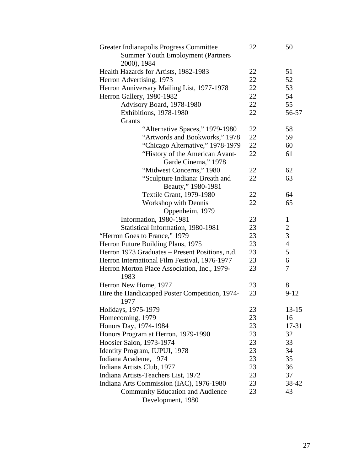| Greater Indianapolis Progress Committee                | 22 | 50             |
|--------------------------------------------------------|----|----------------|
| <b>Summer Youth Employment (Partners</b>               |    |                |
| 2000), 1984                                            |    |                |
| Health Hazards for Artists, 1982-1983                  | 22 | 51             |
| Herron Advertising, 1973                               | 22 | 52             |
| Herron Anniversary Mailing List, 1977-1978             | 22 | 53             |
| Herron Gallery, 1980-1982                              | 22 | 54             |
| Advisory Board, 1978-1980                              | 22 | 55             |
| Exhibitions, 1978-1980                                 | 22 | 56-57          |
| Grants                                                 |    |                |
| "Alternative Spaces," 1979-1980                        | 22 | 58             |
| "Artwords and Bookworks," 1978                         | 22 | 59             |
| "Chicago Alternative," 1978-1979                       | 22 | 60             |
| "History of the American Avant-                        | 22 | 61             |
| Garde Cinema," 1978                                    |    |                |
| "Midwest Concerns," 1980                               | 22 | 62             |
| "Sculpture Indiana: Breath and                         | 22 | 63             |
| Beauty," 1980-1981                                     |    |                |
| Textile Grant, 1979-1980                               | 22 | 64             |
|                                                        | 22 | 65             |
| Workshop with Dennis                                   |    |                |
| Oppenheim, 1979                                        | 23 |                |
| Information, 1980-1981                                 | 23 | $\mathbf{1}$   |
| Statistical Information, 1980-1981                     |    | $\mathbf{2}$   |
| "Herron Goes to France," 1979                          | 23 | 3              |
| Herron Future Building Plans, 1975                     | 23 | $\overline{4}$ |
| Herron 1973 Graduates – Present Positions, n.d.        | 23 | 5              |
| Herron International Film Festival, 1976-1977          | 23 | 6              |
| Herron Morton Place Association, Inc., 1979-           | 23 | 7              |
| 1983                                                   |    |                |
| Herron New Home, 1977                                  | 23 | 8              |
| Hire the Handicapped Poster Competition, 1974-<br>1977 | 23 | $9 - 12$       |
| Holidays, 1975-1979                                    | 23 | $13 - 15$      |
| Homecoming, 1979                                       | 23 | 16             |
| Honors Day, 1974-1984                                  | 23 | 17-31          |
| Honors Program at Herron, 1979-1990                    | 23 | 32             |
| Hoosier Salon, 1973-1974                               | 23 | 33             |
| Identity Program, IUPUI, 1978                          | 23 | 34             |
| Indiana Academe, 1974                                  | 23 | 35             |
| Indiana Artists Club, 1977                             | 23 | 36             |
| Indiana Artists-Teachers List, 1972                    | 23 | 37             |
| Indiana Arts Commission (IAC), 1976-1980               | 23 | 38-42          |
| <b>Community Education and Audience</b>                | 23 | 43             |
|                                                        |    |                |
| Development, 1980                                      |    |                |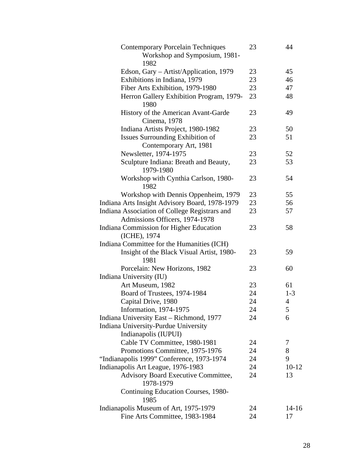| <b>Contemporary Porcelain Techniques</b><br>Workshop and Symposium, 1981- | 23 | 44        |
|---------------------------------------------------------------------------|----|-----------|
| 1982                                                                      |    |           |
| Edson, Gary – Artist/Application, 1979                                    | 23 | 45        |
| Exhibitions in Indiana, 1979                                              | 23 | 46        |
| Fiber Arts Exhibition, 1979-1980                                          | 23 | 47        |
| Herron Gallery Exhibition Program, 1979-<br>1980                          | 23 | 48        |
| History of the American Avant-Garde<br>Cinema, 1978                       | 23 | 49        |
| Indiana Artists Project, 1980-1982                                        | 23 | 50        |
| <b>Issues Surrounding Exhibition of</b>                                   | 23 | 51        |
| Contemporary Art, 1981                                                    |    |           |
| Newsletter, 1974-1975                                                     | 23 | 52        |
| Sculpture Indiana: Breath and Beauty,                                     | 23 | 53        |
| 1979-1980                                                                 |    |           |
| Workshop with Cynthia Carlson, 1980-                                      | 23 | 54        |
| 1982                                                                      |    |           |
| Workshop with Dennis Oppenheim, 1979                                      | 23 | 55        |
| Indiana Arts Insight Advisory Board, 1978-1979                            | 23 | 56        |
| Indiana Association of College Registrars and                             | 23 | 57        |
| Admissions Officers, 1974-1978                                            |    |           |
| Indiana Commission for Higher Education                                   | 23 | 58        |
| (ICHE), 1974                                                              |    |           |
| Indiana Committee for the Humanities (ICH)                                |    |           |
| Insight of the Black Visual Artist, 1980-                                 | 23 | 59        |
| 1981                                                                      |    |           |
| Porcelain: New Horizons, 1982                                             | 23 | 60        |
| Indiana University (IU)                                                   |    |           |
| Art Museum, 1982                                                          | 23 | 61        |
| Board of Trustees, 1974-1984                                              | 24 | $1 - 3$   |
| Capital Drive, 1980                                                       | 24 | 4         |
| Information, 1974-1975                                                    | 24 | 5         |
| Indiana University East – Richmond, 1977                                  | 24 | 6         |
| Indiana University-Purdue University                                      |    |           |
| Indianapolis (IUPUI)                                                      |    |           |
| Cable TV Committee, 1980-1981                                             | 24 | 7         |
| Promotions Committee, 1975-1976                                           | 24 | 8         |
| "Indianapolis 1999" Conference, 1973-1974                                 | 24 | 9         |
| Indianapolis Art League, 1976-1983                                        | 24 | $10-12$   |
| Advisory Board Executive Committee,                                       | 24 | 13        |
| 1978-1979                                                                 |    |           |
| Continuing Education Courses, 1980-<br>1985                               |    |           |
| Indianapolis Museum of Art, 1975-1979                                     | 24 | $14 - 16$ |
| Fine Arts Committee, 1983-1984                                            | 24 | 17        |
|                                                                           |    |           |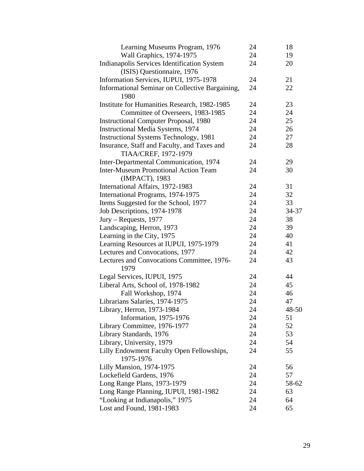| Learning Museums Program, 1976                  | 24 | 18    |
|-------------------------------------------------|----|-------|
| Wall Graphics, 1974-1975                        | 24 | 19    |
| Indianapolis Services Identification System     | 24 | 20    |
| (ISIS) Questionnaire, 1976                      |    |       |
| Information Services, IUPUI, 1975-1978          | 24 | 21    |
| Informational Seminar on Collective Bargaining, | 24 | 22    |
| 1980                                            |    |       |
| Institute for Humanities Research, 1982-1985    | 24 | 23    |
| Committee of Overseers, 1983-1985               | 24 | 24    |
| <b>Instructional Computer Proposal, 1980</b>    | 24 | 25    |
| <b>Instructional Media Systems</b> , 1974       | 24 | 26    |
| <b>Instructional Systems Technology, 1981</b>   | 24 | 27    |
| Insurance, Staff and Faculty, and Taxes and     | 24 | 28    |
| TIAA/CREF, 1972-1979                            |    |       |
| Inter-Departmental Communication, 1974          | 24 | 29    |
| <b>Inter-Museum Promotional Action Team</b>     | 24 | 30    |
| (IMPACT), 1983                                  |    |       |
| International Affairs, 1972-1983                | 24 | 31    |
| International Programs, 1974-1975               | 24 | 32    |
| Items Suggested for the School, 1977            | 24 | 33    |
| Job Descriptions, 1974-1978                     | 24 | 34-37 |
| $Jury - Requests, 1977$                         | 24 | 38    |
| Landscaping, Herron, 1973                       | 24 | 39    |
| Learning in the City, 1975                      | 24 | 40    |
| Learning Resources at IUPUI, 1975-1979          | 24 | 41    |
| Lectures and Convocations, 1977                 | 24 | 42    |
| Lectures and Convocations Committee, 1976-      | 24 | 43    |
| 1979                                            |    |       |
| Legal Services, IUPUI, 1975                     | 24 | 44    |
| Liberal Arts, School of, 1978-1982              | 24 | 45    |
| Fall Workshop, 1974                             | 24 | 46    |
| Librarians Salaries, 1974-1975                  | 24 | 47    |
| Library, Herron, 1973-1984                      | 24 | 48-50 |
| Information, 1975-1976                          | 24 | 51    |
| Library Committee, 1976-1977                    | 24 | 52    |
| Library Standards, 1976                         | 24 | 53    |
| Library, University, 1979                       | 24 | 54    |
| Lilly Endowment Faculty Open Fellowships,       | 24 | 55    |
| 1975-1976                                       |    |       |
| Lilly Mansion, 1974-1975                        | 24 | 56    |
| Lockefield Gardens, 1976                        | 24 | 57    |
| Long Range Plans, 1973-1979                     | 24 | 58-62 |
| Long Range Planning, IUPUI, 1981-1982           | 24 | 63    |
| "Looking at Indianapolis," 1975                 | 24 | 64    |
| Lost and Found, 1981-1983                       | 24 | 65    |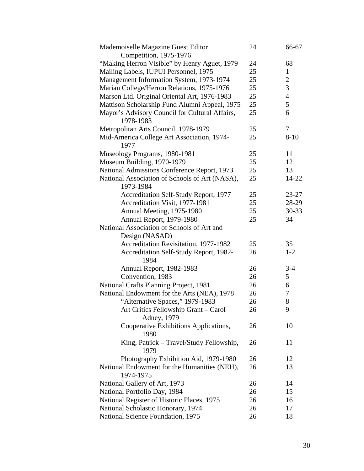| Mademoiselle Magazine Guest Editor                          | 24 | 66-67          |
|-------------------------------------------------------------|----|----------------|
| Competition, 1975-1976                                      |    |                |
| "Making Herron Visible" by Henry Aguet, 1979                | 24 | 68             |
| Mailing Labels, IUPUI Personnel, 1975                       | 25 | $\mathbf{1}$   |
| Management Information System, 1973-1974                    | 25 | $\mathbf{2}$   |
| Marian College/Herron Relations, 1975-1976                  | 25 | 3              |
| Marson Ltd. Original Oriental Art, 1976-1983                | 25 | $\overline{4}$ |
| Mattison Scholarship Fund Alumni Appeal, 1975               | 25 | 5              |
| Mayor's Advisory Council for Cultural Affairs,<br>1978-1983 | 25 | 6              |
| Metropolitan Arts Council, 1978-1979                        | 25 | 7              |
| Mid-America College Art Association, 1974-<br>1977          | 25 | $8 - 10$       |
| Museology Programs, 1980-1981                               | 25 | 11             |
| Museum Building, 1970-1979                                  | 25 | 12             |
| National Admissions Conference Report, 1973                 | 25 | 13             |
| National Association of Schools of Art (NASA),              | 25 | 14-22          |
| 1973-1984                                                   |    |                |
| <b>Accreditation Self-Study Report, 1977</b>                | 25 | $23 - 27$      |
| Accreditation Visit, 1977-1981                              | 25 | 28-29          |
| Annual Meeting, 1975-1980                                   | 25 | $30 - 33$      |
| Annual Report, 1979-1980                                    | 25 | 34             |
| National Association of Schools of Art and                  |    |                |
| Design (NASAD)                                              |    |                |
| Accreditation Revisitation, 1977-1982                       | 25 | 35             |
| Accreditation Self-Study Report, 1982-<br>1984              | 26 | $1 - 2$        |
| Annual Report, 1982-1983                                    | 26 | $3 - 4$        |
| Convention, 1983                                            | 26 | 5              |
| National Crafts Planning Project, 1981                      | 26 | 6              |
| National Endowment for the Arts (NEA), 1978                 | 26 | 7              |
| "Alternative Spaces," 1979-1983                             | 26 | 8              |
| Art Critics Fellowship Grant – Carol                        | 26 | 9              |
| Adney, 1979                                                 |    |                |
| Cooperative Exhibitions Applications,<br>1980               | 26 | 10             |
| King, Patrick - Travel/Study Fellowship,<br>1979            | 26 | 11             |
| Photography Exhibition Aid, 1979-1980                       | 26 | 12             |
| National Endowment for the Humanities (NEH),                | 26 | 13             |
| 1974-1975                                                   |    |                |
| National Gallery of Art, 1973                               | 26 | 14             |
| National Portfolio Day, 1984                                | 26 | 15             |
| National Register of Historic Places, 1975                  | 26 | 16             |
| National Scholastic Honorary, 1974                          | 26 | 17             |
| National Science Foundation, 1975                           | 26 | 18             |
|                                                             |    |                |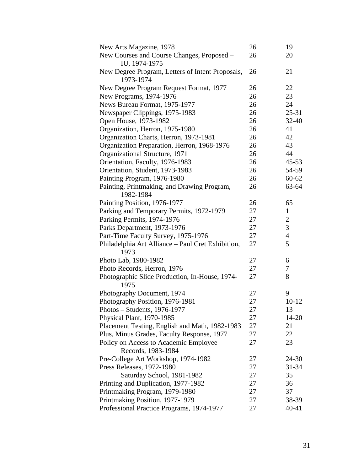| New Arts Magazine, 1978                                       | 26 | 19             |
|---------------------------------------------------------------|----|----------------|
| New Courses and Course Changes, Proposed -<br>IU, 1974-1975   | 26 | 20             |
| New Degree Program, Letters of Intent Proposals,<br>1973-1974 | 26 | 21             |
| New Degree Program Request Format, 1977                       | 26 | 22             |
| New Programs, 1974-1976                                       | 26 | 23             |
| News Bureau Format, 1975-1977                                 | 26 | 24             |
| Newspaper Clippings, 1975-1983                                | 26 | 25-31          |
| Open House, 1973-1982                                         | 26 | $32 - 40$      |
| Organization, Herron, 1975-1980                               | 26 | 41             |
| Organization Charts, Herron, 1973-1981                        | 26 | 42             |
| Organization Preparation, Herron, 1968-1976                   | 26 | 43             |
| Organizational Structure, 1971                                | 26 | 44             |
| Orientation, Faculty, 1976-1983                               | 26 | $45 - 53$      |
| Orientation, Student, 1973-1983                               | 26 | 54-59          |
| Painting Program, 1976-1980                                   | 26 | $60 - 62$      |
| Painting, Printmaking, and Drawing Program,<br>1982-1984      | 26 | 63-64          |
| Painting Position, 1976-1977                                  | 26 | 65             |
| Parking and Temporary Permits, 1972-1979                      | 27 | $\mathbf{1}$   |
| Parking Permits, 1974-1976                                    | 27 | $\overline{2}$ |
| Parks Department, 1973-1976                                   | 27 | 3              |
| Part-Time Faculty Survey, 1975-1976                           | 27 | $\overline{4}$ |
| Philadelphia Art Alliance - Paul Cret Exhibition,<br>1973     | 27 | 5              |
| Photo Lab, 1980-1982                                          | 27 | 6              |
| Photo Records, Herron, 1976                                   | 27 | 7              |
| Photographic Slide Production, In-House, 1974-<br>1975        | 27 | 8              |
| Photography Document, 1974                                    | 27 | 9              |
| Photography Position, 1976-1981                               | 27 | $10-12$        |
| Photos - Students, 1976-1977                                  | 27 | 13             |
| Physical Plant, 1970-1985                                     | 27 | 14-20          |
| Placement Testing, English and Math, 1982-1983                | 27 | 21             |
| Plus, Minus Grades, Faculty Response, 1977                    | 27 | 22             |
| Policy on Access to Academic Employee                         | 27 | 23             |
| Records, 1983-1984                                            |    |                |
| Pre-College Art Workshop, 1974-1982                           | 27 | 24-30          |
| Press Releases, 1972-1980                                     | 27 | $31 - 34$      |
| Saturday School, 1981-1982                                    | 27 | 35             |
| Printing and Duplication, 1977-1982                           | 27 | 36             |
| Printmaking Program, 1979-1980                                | 27 | 37             |
| Printmaking Position, 1977-1979                               | 27 | 38-39          |
| Professional Practice Programs, 1974-1977                     | 27 | 40-41          |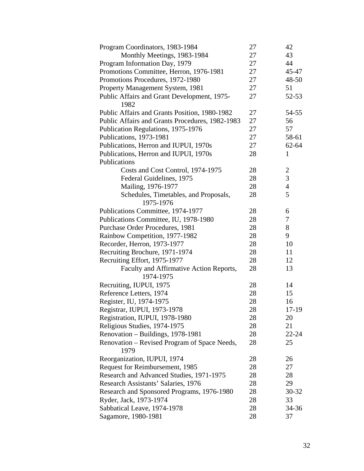| Program Coordinators, 1983-1984                      | 27 | 42             |
|------------------------------------------------------|----|----------------|
| Monthly Meetings, 1983-1984                          | 27 | 43             |
| Program Information Day, 1979                        | 27 | 44             |
| Promotions Committee, Herron, 1976-1981              | 27 | 45-47          |
| Promotions Procedures, 1972-1980                     | 27 | 48-50          |
| Property Management System, 1981                     | 27 | 51             |
| Public Affairs and Grant Development, 1975-<br>1982  | 27 | $52 - 53$      |
| Public Affairs and Grants Position, 1980-1982        | 27 | 54-55          |
| Public Affairs and Grants Procedures, 1982-1983      | 27 | 56             |
| Publication Regulations, 1975-1976                   | 27 | 57             |
| Publications, 1973-1981                              | 27 | 58-61          |
| Publications, Herron and IUPUI, 1970s                | 27 | $62 - 64$      |
| Publications, Herron and IUPUI, 1970s                | 28 | $\mathbf{1}$   |
| Publications                                         |    |                |
| Costs and Cost Control, 1974-1975                    | 28 | 2              |
| Federal Guidelines, 1975                             | 28 | 3              |
| Mailing, 1976-1977                                   | 28 | $\overline{4}$ |
| Schedules, Timetables, and Proposals,                | 28 | 5              |
| 1975-1976                                            |    |                |
| Publications Committee, 1974-1977                    | 28 | 6              |
| Publications Committee, IU, 1978-1980                | 28 | 7              |
| Purchase Order Procedures, 1981                      | 28 | 8              |
| Rainbow Competition, 1977-1982                       | 28 | 9              |
| Recorder, Herron, 1973-1977                          | 28 | 10             |
| Recruiting Brochure, 1971-1974                       | 28 | 11             |
| Recruiting Effort, 1975-1977                         | 28 | 12             |
| Faculty and Affirmative Action Reports,<br>1974-1975 | 28 | 13             |
| Recruiting, IUPUI, 1975                              | 28 | 14             |
| Reference Letters, 1974                              | 28 | 15             |
| Register, IU, 1974-1975                              | 28 | 16             |
| Registrar, IUPUI, 1973-1978                          | 28 | 17-19          |
| Registration, IUPUI, 1978-1980                       | 28 | 20             |
| Religious Studies, 1974-1975                         | 28 | 21             |
| Renovation – Buildings, 1978-1981                    | 28 | $22 - 24$      |
| Renovation – Revised Program of Space Needs,<br>1979 | 28 | 25             |
| Reorganization, IUPUI, 1974                          | 28 | 26             |
| Request for Reimbursement, 1985                      | 28 | 27             |
| Research and Advanced Studies, 1971-1975             | 28 | 28             |
| Research Assistants' Salaries, 1976                  | 28 | 29             |
| Research and Sponsored Programs, 1976-1980           | 28 | 30-32          |
| Ryder, Jack, 1973-1974                               | 28 | 33             |
| Sabbatical Leave, 1974-1978                          | 28 | 34-36          |
| Sagamore, 1980-1981                                  | 28 | 37             |
|                                                      |    |                |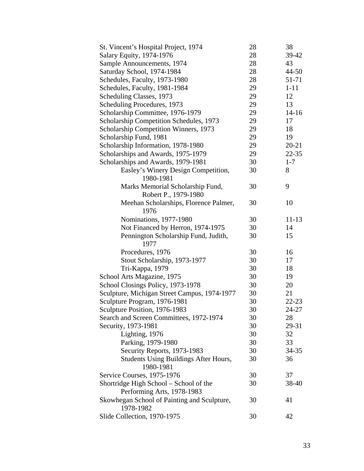| St. Vincent's Hospital Project, 1974         | 28 | 38        |
|----------------------------------------------|----|-----------|
| Salary Equity, 1974-1976                     | 28 | 39-42     |
| Sample Announcements, 1974                   | 28 | 43        |
| Saturday School, 1974-1984                   | 28 | $44 - 50$ |
| Schedules, Faculty, 1973-1980                | 28 | 51-71     |
| Schedules, Faculty, 1981-1984                | 29 | $1 - 11$  |
| Scheduling Classes, 1973                     | 29 | 12        |
| Scheduling Procedures, 1973                  | 29 | 13        |
| Scholarship Committee, 1976-1979             | 29 | $14 - 16$ |
| Scholarship Competition Schedules, 1973      | 29 | 17        |
| Scholarship Competition Winners, 1973        | 29 | 18        |
| Scholarship Fund, 1981                       | 29 | 19        |
| Scholarship Information, 1978-1980           | 29 | $20 - 21$ |
| Scholarships and Awards, 1975-1979           | 29 | $22 - 35$ |
| Scholarships and Awards, 1979-1981           | 30 | $1 - 7$   |
| Easley's Winery Design Competition,          | 30 | 8         |
| 1980-1981                                    |    |           |
| Marks Memorial Scholarship Fund,             | 30 | 9         |
| Robert P., 1979-1980                         |    |           |
| Meehan Scholarships, Florence Palmer,        | 30 | 10        |
| 1976                                         |    |           |
| Nominations, 1977-1980                       | 30 | $11 - 13$ |
| Not Financed by Herron, 1974-1975            | 30 | 14        |
| Pennington Scholarship Fund, Judith,         | 30 | 15        |
| 1977                                         |    |           |
| Procedures, 1976                             | 30 | 16        |
| Stout Scholarship, 1973-1977                 | 30 | 17        |
| Tri-Kappa, 1979                              | 30 | 18        |
| School Arts Magazine, 1975                   | 30 | 19        |
| School Closings Policy, 1973-1978            | 30 | 20        |
| Sculpture, Michigan Street Campus, 1974-1977 | 30 | 21        |
| Sculpture Program, 1976-1981                 | 30 | $22 - 23$ |
| Sculpture Position, 1976-1983                | 30 | 24-27     |
| Search and Screen Committees, 1972-1974      | 30 | 28        |
| Security, 1973-1981                          | 30 | 29-31     |
| Lighting, 1976                               | 30 | 32        |
| Parking, 1979-1980                           | 30 | 33        |
| Security Reports, 1973-1983                  | 30 | $34 - 35$ |
| Students Using Buildings After Hours,        | 30 | 36        |
| 1980-1981                                    |    |           |
| Service Courses, 1975-1976                   | 30 | 37        |
| Shortridge High School – School of the       | 30 | 38-40     |
| Performing Arts, 1978-1983                   |    |           |
| Skowhegan School of Painting and Sculpture,  | 30 | 41        |
| 1978-1982                                    |    |           |
| Slide Collection, 1970-1975                  | 30 | 42        |
|                                              |    |           |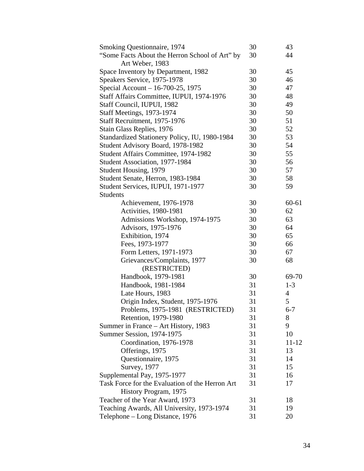| Smoking Questionnaire, 1974                     | 30 | 43             |
|-------------------------------------------------|----|----------------|
| "Some Facts About the Herron School of Art" by  | 30 | 44             |
| Art Weber, 1983                                 |    |                |
| Space Inventory by Department, 1982             | 30 | 45             |
| Speakers Service, 1975-1978                     | 30 | 46             |
| Special Account – 16-700-25, 1975               | 30 | 47             |
| Staff Affairs Committee, IUPUI, 1974-1976       | 30 | 48             |
| Staff Council, IUPUI, 1982                      | 30 | 49             |
| Staff Meetings, 1973-1974                       | 30 | 50             |
| Staff Recruitment, 1975-1976                    | 30 | 51             |
| Stain Glass Replies, 1976                       | 30 | 52             |
| Standardized Stationery Policy, IU, 1980-1984   | 30 | 53             |
| Student Advisory Board, 1978-1982               | 30 | 54             |
| Student Affairs Committee, 1974-1982            | 30 | 55             |
| Student Association, 1977-1984                  | 30 | 56             |
| Student Housing, 1979                           | 30 | 57             |
| Student Senate, Herron, 1983-1984               | 30 | 58             |
| Student Services, IUPUI, 1971-1977              | 30 | 59             |
| <b>Students</b>                                 |    |                |
| Achievement, 1976-1978                          | 30 | $60 - 61$      |
| <b>Activities</b> , 1980-1981                   | 30 | 62             |
| Admissions Workshop, 1974-1975                  | 30 | 63             |
| Advisors, 1975-1976                             | 30 | 64             |
| Exhibition, 1974                                | 30 | 65             |
| Fees, 1973-1977                                 | 30 | 66             |
| Form Letters, 1971-1973                         | 30 | 67             |
| Grievances/Complaints, 1977                     | 30 | 68             |
| (RESTRICTED)                                    |    |                |
| Handbook, 1979-1981                             | 30 | 69-70          |
| Handbook, 1981-1984                             | 31 | $1 - 3$        |
| Late Hours, 1983                                | 31 | $\overline{4}$ |
| Origin Index, Student, 1975-1976                | 31 | 5              |
| Problems, 1975-1981 (RESTRICTED)                | 31 | $6 - 7$        |
| Retention, 1979-1980                            | 31 | 8              |
| Summer in France – Art History, 1983            | 31 | 9              |
|                                                 | 31 | 10             |
| Summer Session, 1974-1975                       |    |                |
| Coordination, 1976-1978                         | 31 | 11-12          |
| Offerings, 1975                                 | 31 | 13             |
| Questionnaire, 1975                             | 31 | 14             |
| <b>Survey</b> , 1977                            | 31 | 15             |
| Supplemental Pay, 1975-1977                     | 31 | 16             |
| Task Force for the Evaluation of the Herron Art | 31 | 17             |
| History Program, 1975                           |    |                |
| Teacher of the Year Award, 1973                 | 31 | 18             |
| Teaching Awards, All University, 1973-1974      | 31 | 19             |
| Telephone – Long Distance, 1976                 | 31 | 20             |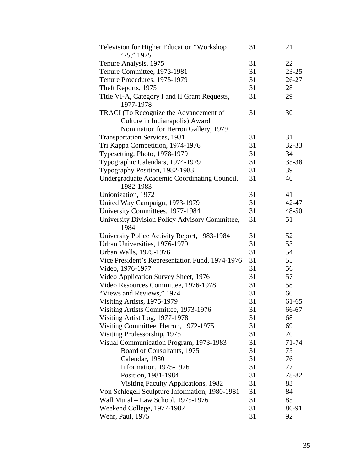| Television for Higher Education "Workshop<br>'75," 1975    | 31 | 21        |
|------------------------------------------------------------|----|-----------|
| Tenure Analysis, 1975                                      | 31 | 22        |
| Tenure Committee, 1973-1981                                | 31 | $23 - 25$ |
| Tenure Procedures, 1975-1979                               | 31 | $26 - 27$ |
| Theft Reports, 1975                                        | 31 | 28        |
| Title VI-A, Category I and II Grant Requests,<br>1977-1978 | 31 | 29        |
| TRACI (To Recognize the Advancement of                     | 31 | 30        |
| Culture in Indianapolis) Award                             |    |           |
| Nomination for Herron Gallery, 1979                        |    |           |
| <b>Transportation Services, 1981</b>                       | 31 | 31        |
| Tri Kappa Competition, 1974-1976                           | 31 | 32-33     |
| Typesetting, Photo, 1978-1979                              | 31 | 34        |
| Typographic Calendars, 1974-1979                           | 31 | 35-38     |
| Typography Position, 1982-1983                             | 31 | 39        |
| Undergraduate Academic Coordinating Council,               | 31 | 40        |
| 1982-1983                                                  |    |           |
| Unionization, 1972                                         | 31 | 41        |
| United Way Campaign, 1973-1979                             | 31 | 42-47     |
| University Committees, 1977-1984                           | 31 | $48 - 50$ |
| University Division Policy Advisory Committee,             | 31 | 51        |
| 1984                                                       |    |           |
| University Police Activity Report, 1983-1984               | 31 | 52        |
| Urban Universities, 1976-1979                              | 31 | 53        |
| Urban Walls, 1975-1976                                     | 31 | 54        |
| Vice President's Representation Fund, 1974-1976            | 31 | 55        |
| Video, 1976-1977                                           | 31 | 56        |
| Video Application Survey Sheet, 1976                       | 31 | 57        |
| Video Resources Committee, 1976-1978                       | 31 | 58        |
| "Views and Reviews," 1974                                  | 31 | 60        |
| Visiting Artists, 1975-1979                                | 31 | 61-65     |
| Visiting Artists Committee, 1973-1976                      | 31 | 66-67     |
| Visiting Artist Log, 1977-1978                             | 31 | 68        |
| Visiting Committee, Herron, 1972-1975                      | 31 | 69        |
| Visiting Professorship, 1975                               | 31 | 70        |
| Visual Communication Program, 1973-1983                    | 31 | 71-74     |
| Board of Consultants, 1975                                 | 31 | 75        |
| Calendar, 1980                                             | 31 | 76        |
| Information, 1975-1976                                     | 31 | 77        |
| Position, 1981-1984                                        | 31 | 78-82     |
| Visiting Faculty Applications, 1982                        | 31 | 83        |
| Von Schlegell Sculpture Information, 1980-1981             | 31 | 84        |
| Wall Mural - Law School, 1975-1976                         | 31 | 85        |
| Weekend College, 1977-1982                                 | 31 | 86-91     |
| Wehr, Paul, 1975                                           | 31 | 92        |
|                                                            |    |           |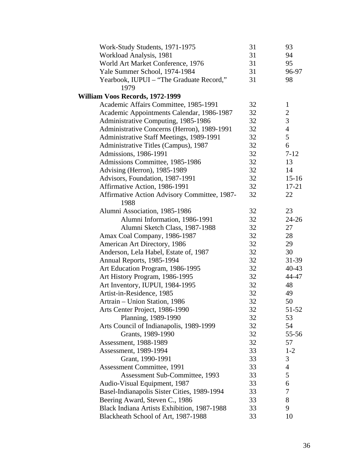| Work-Study Students, 1971-1975                   | 31 | 93                       |
|--------------------------------------------------|----|--------------------------|
| Workload Analysis, 1981                          | 31 | 94                       |
| World Art Market Conference, 1976                | 31 | 95                       |
| Yale Summer School, 1974-1984                    | 31 | 96-97                    |
| Yearbook, IUPUI – "The Graduate Record,"<br>1979 | 31 | 98                       |
| William Voos Records, 1972-1999                  |    |                          |
| Academic Affairs Committee, 1985-1991            | 32 | $\mathbf{1}$             |
| Academic Appointments Calendar, 1986-1987        | 32 | $\overline{2}$           |
| Administrative Computing, 1985-1986              | 32 | 3                        |
| Administrative Concerns (Herron), 1989-1991      | 32 | $\overline{4}$           |
| Administrative Staff Meetings, 1989-1991         | 32 | 5                        |
| Administrative Titles (Campus), 1987             | 32 | 6                        |
| Admissions, 1986-1991                            | 32 | $7 - 12$                 |
| Admissions Committee, 1985-1986                  | 32 | 13                       |
| Advising (Herron), 1985-1989                     | 32 | 14                       |
| Advisors, Foundation, 1987-1991                  | 32 | $15-16$                  |
| Affirmative Action, 1986-1991                    | 32 | $17 - 21$                |
| Affirmative Action Advisory Committee, 1987-     | 32 | 22                       |
| 1988                                             |    |                          |
| Alumni Association, 1985-1986                    | 32 | 23                       |
| Alumni Information, 1986-1991                    | 32 | $24 - 26$                |
| Alumni Sketch Class, 1987-1988                   | 32 | 27                       |
| Amax Coal Company, 1986-1987                     | 32 | 28                       |
| American Art Directory, 1986                     | 32 | 29                       |
| Anderson, Lela Habel, Estate of, 1987            | 32 | 30                       |
| Annual Reports, 1985-1994                        | 32 | $31-39$                  |
| Art Education Program, 1986-1995                 | 32 | $40 - 43$                |
| Art History Program, 1986-1995                   | 32 | 44-47                    |
| Art Inventory, IUPUI, 1984-1995                  | 32 | 48                       |
| Artist-in-Residence, 1985                        | 32 | 49                       |
| Artrain - Union Station, 1986                    | 32 | 50                       |
| Arts Center Project, 1986-1990                   | 32 | 51-52                    |
| Planning, 1989-1990                              | 32 | 53                       |
| Arts Council of Indianapolis, 1989-1999          | 32 | 54                       |
| Grants, 1989-1990                                | 32 | 55-56                    |
| Assessment, 1988-1989                            | 32 | 57                       |
| Assessment, 1989-1994                            | 33 | $1 - 2$                  |
| Grant, 1990-1991                                 | 33 | 3                        |
| <b>Assessment Committee, 1991</b>                | 33 | $\overline{\mathcal{A}}$ |
| Assessment Sub-Committee, 1993                   | 33 | 5                        |
| Audio-Visual Equipment, 1987                     | 33 | 6                        |
| Basel-Indianapolis Sister Cities, 1989-1994      | 33 | 7                        |
| Beering Award, Steven C., 1986                   | 33 | 8                        |
| Black Indiana Artists Exhibition, 1987-1988      | 33 | 9                        |
| Blackheath School of Art, 1987-1988              | 33 | 10                       |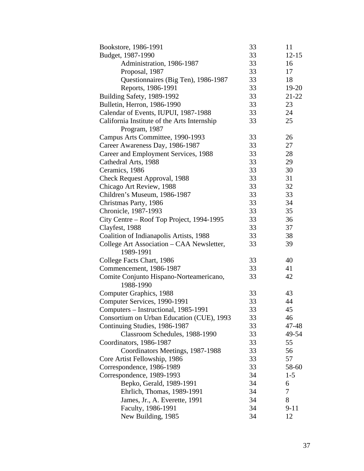| Bookstore, 1986-1991                        | 33 | 11        |
|---------------------------------------------|----|-----------|
| Budget, 1987-1990                           | 33 | $12 - 15$ |
| Administration, 1986-1987                   | 33 | 16        |
| Proposal, 1987                              | 33 | 17        |
| Questionnaires (Big Ten), 1986-1987         | 33 | 18        |
| Reports, 1986-1991                          | 33 | $19-20$   |
| Building Safety, 1989-1992                  | 33 | $21 - 22$ |
| Bulletin, Herron, 1986-1990                 | 33 | 23        |
| Calendar of Events, IUPUI, 1987-1988        | 33 | 24        |
| California Institute of the Arts Internship | 33 | 25        |
| Program, 1987                               |    |           |
| Campus Arts Committee, 1990-1993            | 33 | 26        |
| Career Awareness Day, 1986-1987             | 33 | 27        |
| Career and Employment Services, 1988        | 33 | 28        |
| Cathedral Arts, 1988                        | 33 | 29        |
| Ceramics, 1986                              | 33 | 30        |
| Check Request Approval, 1988                | 33 | 31        |
| Chicago Art Review, 1988                    | 33 | 32        |
| Children's Museum, 1986-1987                | 33 | 33        |
| Christmas Party, 1986                       | 33 | 34        |
| Chronicle, 1987-1993                        | 33 | 35        |
| City Centre – Roof Top Project, 1994-1995   | 33 | 36        |
| Clayfest, 1988                              | 33 | 37        |
| Coalition of Indianapolis Artists, 1988     | 33 | 38        |
| College Art Association – CAA Newsletter,   | 33 | 39        |
| 1989-1991                                   |    |           |
| College Facts Chart, 1986                   | 33 | 40        |
| Commencement, 1986-1987                     | 33 | 41        |
| Comite Conjunto Hispano-Norteamericano,     | 33 | 42        |
| 1988-1990                                   |    |           |
| Computer Graphics, 1988                     | 33 | 43        |
| Computer Services, 1990-1991                | 33 | 44        |
| Computers - Instructional, 1985-1991        | 33 | 45        |
| Consortium on Urban Education (CUE), 1993   | 33 | 46        |
| Continuing Studies, 1986-1987               | 33 | 47-48     |
| Classroom Schedules, 1988-1990              | 33 | 49-54     |
| Coordinators, 1986-1987                     | 33 | 55        |
| Coordinators Meetings, 1987-1988            | 33 | 56        |
| Core Artist Fellowship, 1986                | 33 | 57        |
| Correspondence, 1986-1989                   | 33 | 58-60     |
| Correspondence, 1989-1993                   | 34 | $1 - 5$   |
| Bepko, Gerald, 1989-1991                    | 34 | 6         |
| Ehrlich, Thomas, 1989-1991                  | 34 | 7         |
| James, Jr., A. Everette, 1991               | 34 | 8         |
| Faculty, 1986-1991                          | 34 | $9 - 11$  |
| New Building, 1985                          | 34 | 12        |
|                                             |    |           |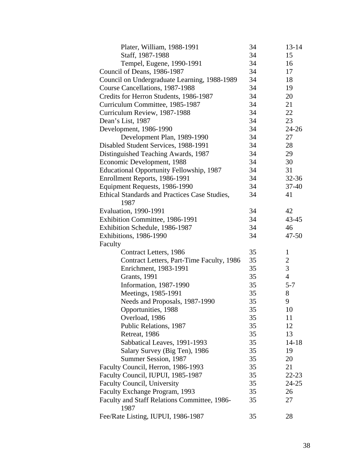| Plater, William, 1988-1991                           | 34 | $13 - 14$      |
|------------------------------------------------------|----|----------------|
| Staff, 1987-1988                                     | 34 | 15             |
| Tempel, Eugene, 1990-1991                            | 34 | 16             |
| Council of Deans, 1986-1987                          | 34 | 17             |
| Council on Undergraduate Learning, 1988-1989         | 34 | 18             |
| Course Cancellations, 1987-1988                      | 34 | 19             |
| Credits for Herron Students, 1986-1987               | 34 | 20             |
| Curriculum Committee, 1985-1987                      | 34 | 21             |
| Curriculum Review, 1987-1988                         | 34 | 22             |
| Dean's List, 1987                                    | 34 | 23             |
| Development, 1986-1990                               | 34 | $24 - 26$      |
| Development Plan, 1989-1990                          | 34 | 27             |
| Disabled Student Services, 1988-1991                 | 34 | 28             |
| Distinguished Teaching Awards, 1987                  | 34 | 29             |
| Economic Development, 1988                           | 34 | 30             |
| <b>Educational Opportunity Fellowship, 1987</b>      | 34 | 31             |
| Enrollment Reports, 1986-1991                        | 34 | $32 - 36$      |
| Equipment Requests, 1986-1990                        | 34 | $37 - 40$      |
| Ethical Standards and Practices Case Studies,        | 34 | 41             |
| 1987                                                 |    |                |
| Evaluation, 1990-1991                                | 34 | 42             |
| Exhibition Committee, 1986-1991                      | 34 | $43 - 45$      |
| Exhibition Schedule, 1986-1987                       | 34 | 46             |
| Exhibitions, 1986-1990                               | 34 | $47 - 50$      |
| Faculty                                              |    |                |
| Contract Letters, 1986                               | 35 | $\mathbf{1}$   |
| Contract Letters, Part-Time Faculty, 1986            | 35 | $\overline{2}$ |
| Enrichment, 1983-1991                                | 35 | 3              |
| <b>Grants</b> , 1991                                 | 35 | $\overline{4}$ |
| Information, 1987-1990                               | 35 | $5 - 7$        |
| Meetings, 1985-1991                                  | 35 | 8              |
| Needs and Proposals, 1987-1990                       | 35 | 9              |
| Opportunities, 1988                                  | 35 | 10             |
| Overload, 1986                                       | 35 | 11             |
| Public Relations, 1987                               | 35 | 12             |
| Retreat, 1986                                        | 35 | 13             |
| Sabbatical Leaves, 1991-1993                         | 35 | $14 - 18$      |
| Salary Survey (Big Ten), 1986                        | 35 | 19             |
| Summer Session, 1987                                 | 35 | 20             |
| Faculty Council, Herron, 1986-1993                   | 35 | 21             |
| Faculty Council, IUPUI, 1985-1987                    | 35 | $22 - 23$      |
| Faculty Council, University                          | 35 | $24 - 25$      |
| Faculty Exchange Program, 1993                       | 35 | 26             |
| Faculty and Staff Relations Committee, 1986-<br>1987 | 35 | 27             |
| Fee/Rate Listing, IUPUI, 1986-1987                   | 35 | 28             |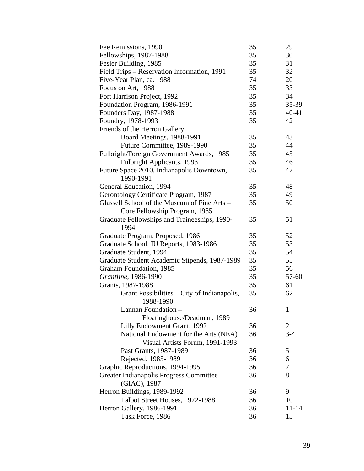| Fee Remissions, 1990                          | 35 | 29             |
|-----------------------------------------------|----|----------------|
| Fellowships, 1987-1988                        | 35 | 30             |
| Fesler Building, 1985                         | 35 | 31             |
| Field Trips - Reservation Information, 1991   | 35 | 32             |
| Five-Year Plan, ca. 1988                      | 74 | 20             |
| Focus on Art, 1988                            | 35 | 33             |
| Fort Harrison Project, 1992                   | 35 | 34             |
| Foundation Program, 1986-1991                 | 35 | 35-39          |
| Founders Day, 1987-1988                       | 35 | 40-41          |
| Foundry, 1978-1993                            | 35 | 42             |
| Friends of the Herron Gallery                 |    |                |
| Board Meetings, 1988-1991                     | 35 | 43             |
| Future Committee, 1989-1990                   | 35 | 44             |
| Fulbright/Foreign Government Awards, 1985     | 35 | 45             |
| Fulbright Applicants, 1993                    | 35 | 46             |
| Future Space 2010, Indianapolis Downtown,     | 35 | 47             |
| 1990-1991                                     |    |                |
| General Education, 1994                       | 35 | 48             |
| Gerontology Certificate Program, 1987         | 35 | 49             |
| Glassell School of the Museum of Fine Arts -  | 35 | 50             |
| Core Fellowship Program, 1985                 |    |                |
| Graduate Fellowships and Traineeships, 1990-  | 35 | 51             |
| 1994                                          |    |                |
| Graduate Program, Proposed, 1986              | 35 | 52             |
| Graduate School, IU Reports, 1983-1986        | 35 | 53             |
| Graduate Student, 1994                        | 35 | 54             |
| Graduate Student Academic Stipends, 1987-1989 | 35 | 55             |
| Graham Foundation, 1985                       | 35 | 56             |
| Grantline, 1986-1990                          | 35 | 57-60          |
| Grants, 1987-1988                             | 35 | 61             |
| Grant Possibilities – City of Indianapolis,   | 35 | 62             |
| 1988-1990                                     |    |                |
| Lannan Foundation -                           | 36 | $\mathbf{1}$   |
| Floatinghouse/Deadman, 1989                   |    |                |
| Lilly Endowment Grant, 1992                   | 36 | $\overline{2}$ |
| National Endowment for the Arts (NEA)         | 36 | $3-4$          |
| Visual Artists Forum, 1991-1993               |    |                |
| Past Grants, 1987-1989                        | 36 | 5              |
| Rejected, 1985-1989                           | 36 | 6              |
| Graphic Reproductions, 1994-1995              | 36 | 7              |
| Greater Indianapolis Progress Committee       | 36 | 8              |
| (GIAC), 1987                                  |    |                |
| Herron Buildings, 1989-1992                   | 36 | 9              |
| Talbot Street Houses, 1972-1988               | 36 | 10             |
| Herron Gallery, 1986-1991                     | 36 | $11 - 14$      |
| Task Force, 1986                              | 36 | 15             |
|                                               |    |                |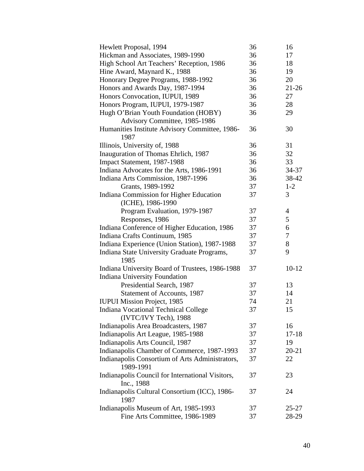| Hewlett Proposal, 1994                                         | 36 | 16             |
|----------------------------------------------------------------|----|----------------|
| Hickman and Associates, 1989-1990                              | 36 | 17             |
| High School Art Teachers' Reception, 1986                      | 36 | 18             |
| Hine Award, Maynard K., 1988                                   | 36 | 19             |
| Honorary Degree Programs, 1988-1992                            | 36 | 20             |
| Honors and Awards Day, 1987-1994                               | 36 | $21 - 26$      |
| Honors Convocation, IUPUI, 1989                                | 36 | 27             |
| Honors Program, IUPUI, 1979-1987                               | 36 | 28             |
| Hugh O'Brian Youth Foundation (HOBY)                           | 36 | 29             |
| Advisory Committee, 1985-1986                                  |    |                |
| Humanities Institute Advisory Committee, 1986-<br>1987         | 36 | 30             |
| Illinois, University of, 1988                                  | 36 | 31             |
| Inauguration of Thomas Ehrlich, 1987                           | 36 | 32             |
| Impact Statement, 1987-1988                                    | 36 | 33             |
| Indiana Advocates for the Arts, 1986-1991                      | 36 | 34-37          |
| Indiana Arts Commission, 1987-1996                             | 36 | 38-42          |
| Grants, 1989-1992                                              | 37 | $1 - 2$        |
| Indiana Commission for Higher Education                        | 37 | 3              |
| (ICHE), 1986-1990                                              |    |                |
| Program Evaluation, 1979-1987                                  | 37 | $\overline{4}$ |
| Responses, 1986                                                | 37 | 5              |
| Indiana Conference of Higher Education, 1986                   | 37 | 6              |
| Indiana Crafts Continuum, 1985                                 | 37 | 7              |
| Indiana Experience (Union Station), 1987-1988                  | 37 | 8              |
| Indiana State University Graduate Programs,                    | 37 | 9              |
| 1985                                                           |    |                |
| Indiana University Board of Trustees, 1986-1988                | 37 | $10-12$        |
| <b>Indiana University Foundation</b>                           |    |                |
| Presidential Search, 1987                                      | 37 | 13             |
| Statement of Accounts, 1987                                    | 37 | 14             |
| <b>IUPUI Mission Project, 1985</b>                             | 74 | 21             |
| Indiana Vocational Technical College                           | 37 | 15             |
| (IVTC/IVY Tech), 1988                                          |    |                |
| Indianapolis Area Broadcasters, 1987                           | 37 | 16             |
| Indianapolis Art League, 1985-1988                             | 37 | $17 - 18$      |
| Indianapolis Arts Council, 1987                                | 37 | 19             |
| Indianapolis Chamber of Commerce, 1987-1993                    | 37 | $20 - 21$      |
| Indianapolis Consortium of Arts Administrators,<br>1989-1991   | 37 | 22             |
| Indianapolis Council for International Visitors,<br>Inc., 1988 | 37 | 23             |
| Indianapolis Cultural Consortium (ICC), 1986-<br>1987          | 37 | 24             |
| Indianapolis Museum of Art, 1985-1993                          | 37 | $25 - 27$      |
| Fine Arts Committee, 1986-1989                                 | 37 | 28-29          |
|                                                                |    |                |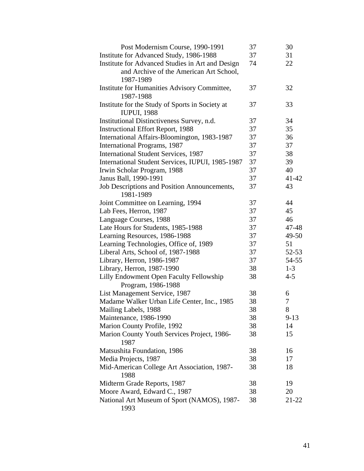| Post Modernism Course, 1990-1991                 | 37 | 30        |
|--------------------------------------------------|----|-----------|
| Institute for Advanced Study, 1986-1988          | 37 | 31        |
| Institute for Advanced Studies in Art and Design | 74 | 22        |
| and Archive of the American Art School,          |    |           |
| 1987-1989                                        |    |           |
| Institute for Humanities Advisory Committee,     | 37 | 32        |
| 1987-1988                                        |    |           |
| Institute for the Study of Sports in Society at  | 37 | 33        |
| <b>IUPUI</b> , 1988                              |    |           |
| Institutional Distinctiveness Survey, n.d.       | 37 | 34        |
| <b>Instructional Effort Report, 1988</b>         | 37 | 35        |
| International Affairs-Bloomington, 1983-1987     | 37 | 36        |
| International Programs, 1987                     | 37 | 37        |
| <b>International Student Services, 1987</b>      | 37 | 38        |
| International Student Services, IUPUI, 1985-1987 | 37 | 39        |
| Irwin Scholar Program, 1988                      | 37 | 40        |
| Janus Ball, 1990-1991                            | 37 | $41 - 42$ |
| Job Descriptions and Position Announcements,     | 37 | 43        |
| 1981-1989                                        |    |           |
| Joint Committee on Learning, 1994                | 37 | 44        |
| Lab Fees, Herron, 1987                           | 37 | 45        |
| Language Courses, 1988                           | 37 | 46        |
| Late Hours for Students, 1985-1988               | 37 | 47-48     |
| Learning Resources, 1986-1988                    | 37 | 49-50     |
| Learning Technologies, Office of, 1989           | 37 | 51        |
| Liberal Arts, School of, 1987-1988               | 37 | $52 - 53$ |
| Library, Herron, 1986-1987                       | 37 | $54 - 55$ |
| Library, Herron, 1987-1990                       | 38 | $1 - 3$   |
| Lilly Endowment Open Faculty Fellowship          | 38 | $4 - 5$   |
| Program, 1986-1988                               |    |           |
| List Management Service, 1987                    | 38 | 6         |
| Madame Walker Urban Life Center, Inc., 1985      | 38 | 7         |
| Mailing Labels, 1988                             | 38 | 8         |
| Maintenance, 1986-1990                           | 38 | $9 - 13$  |
| Marion County Profile, 1992                      | 38 | 14        |
| Marion County Youth Services Project, 1986-      | 38 | 15        |
| 1987                                             |    |           |
| Matsushita Foundation, 1986                      | 38 | 16        |
| Media Projects, 1987                             | 38 | 17        |
| Mid-American College Art Association, 1987-      | 38 | 18        |
| 1988                                             |    |           |
| Midterm Grade Reports, 1987                      | 38 | 19        |
| Moore Award, Edward C., 1987                     | 38 | 20        |
| National Art Museum of Sport (NAMOS), 1987-      | 38 | 21-22     |
| 1993                                             |    |           |
|                                                  |    |           |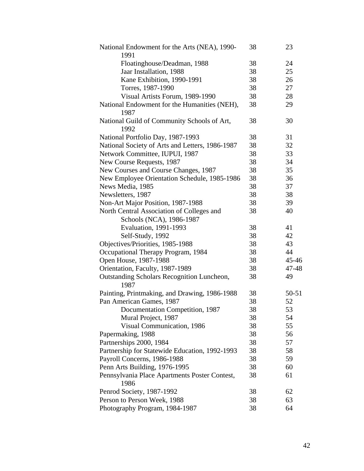| National Endowment for the Arts (NEA), 1990-<br>1991      | 38 | 23        |
|-----------------------------------------------------------|----|-----------|
| Floatinghouse/Deadman, 1988                               | 38 | 24        |
| Jaar Installation, 1988                                   | 38 | 25        |
| Kane Exhibition, 1990-1991                                | 38 | 26        |
| Torres, 1987-1990                                         | 38 | 27        |
| Visual Artists Forum, 1989-1990                           | 38 | 28        |
| National Endowment for the Humanities (NEH),              | 38 | 29        |
| 1987                                                      |    |           |
| National Guild of Community Schools of Art,               | 38 | 30        |
| 1992                                                      |    |           |
| National Portfolio Day, 1987-1993                         | 38 | 31        |
| National Society of Arts and Letters, 1986-1987           | 38 | 32        |
| Network Committee, IUPUI, 1987                            | 38 | 33        |
| New Course Requests, 1987                                 | 38 | 34        |
| New Courses and Course Changes, 1987                      | 38 | 35        |
| New Employee Orientation Schedule, 1985-1986              | 38 | 36        |
| News Media, 1985                                          | 38 | 37        |
| Newsletters, 1987                                         | 38 | 38        |
| Non-Art Major Position, 1987-1988                         | 38 | 39        |
| North Central Association of Colleges and                 | 38 | 40        |
| Schools (NCA), 1986-1987                                  |    |           |
| Evaluation, 1991-1993                                     | 38 | 41        |
| Self-Study, 1992                                          | 38 | 42        |
| Objectives/Priorities, 1985-1988                          | 38 | 43        |
| Occupational Therapy Program, 1984                        | 38 | 44        |
| Open House, 1987-1988                                     | 38 | $45 - 46$ |
| Orientation, Faculty, 1987-1989                           | 38 | 47-48     |
| <b>Outstanding Scholars Recognition Luncheon,</b><br>1987 | 38 | 49        |
| Painting, Printmaking, and Drawing, 1986-1988             | 38 | $50 - 51$ |
| Pan American Games, 1987                                  | 38 | 52        |
| Documentation Competition, 1987                           | 38 | 53        |
| Mural Project, 1987                                       | 38 | 54        |
| Visual Communication, 1986                                | 38 | 55        |
| Papermaking, 1988                                         | 38 | 56        |
| Partnerships 2000, 1984                                   | 38 | 57        |
| Partnership for Statewide Education, 1992-1993            | 38 | 58        |
| Payroll Concerns, 1986-1988                               | 38 | 59        |
| Penn Arts Building, 1976-1995                             | 38 | 60        |
| Pennsylvania Place Apartments Poster Contest,             | 38 | 61        |
| 1986                                                      |    |           |
| Penrod Society, 1987-1992                                 | 38 | 62        |
| Person to Person Week, 1988                               | 38 | 63        |
| Photography Program, 1984-1987                            | 38 | 64        |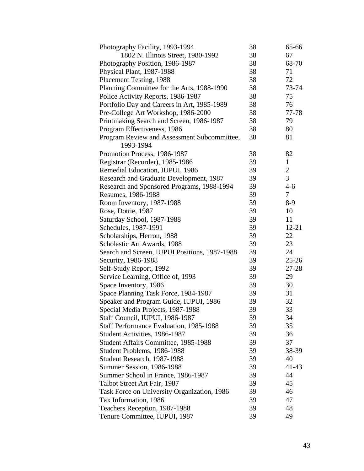| Photography Facility, 1993-1994               | 38 | 65-66          |
|-----------------------------------------------|----|----------------|
| 1802 N. Illinois Street, 1980-1992            | 38 | 67             |
| Photography Position, 1986-1987               | 38 | 68-70          |
| Physical Plant, 1987-1988                     | 38 | 71             |
| Placement Testing, 1988                       | 38 | 72             |
| Planning Committee for the Arts, 1988-1990    | 38 | 73-74          |
| Police Activity Reports, 1986-1987            | 38 | 75             |
| Portfolio Day and Careers in Art, 1985-1989   | 38 | 76             |
| Pre-College Art Workshop, 1986-2000           | 38 | 77-78          |
| Printmaking Search and Screen, 1986-1987      | 38 | 79             |
| Program Effectiveness, 1986                   | 38 | 80             |
| Program Review and Assessment Subcommittee,   | 38 | 81             |
| 1993-1994                                     |    |                |
| Promotion Process, 1986-1987                  | 38 | 82             |
| Registrar (Recorder), 1985-1986               | 39 | $\mathbf{1}$   |
| Remedial Education, IUPUI, 1986               | 39 | $\overline{2}$ |
| Research and Graduate Development, 1987       | 39 | 3              |
| Research and Sponsored Programs, 1988-1994    | 39 | $4 - 6$        |
| Resumes, 1986-1988                            | 39 | 7              |
| Room Inventory, 1987-1988                     | 39 | $8-9$          |
| Rose, Dottie, 1987                            | 39 | 10             |
| Saturday School, 1987-1988                    | 39 | 11             |
| Schedules, 1987-1991                          | 39 | $12 - 21$      |
| Scholarships, Herron, 1988                    | 39 | 22             |
| Scholastic Art Awards, 1988                   | 39 | 23             |
| Search and Screen, IUPUI Positions, 1987-1988 | 39 | 24             |
| Security, 1986-1988                           | 39 | $25 - 26$      |
| Self-Study Report, 1992                       | 39 | 27-28          |
| Service Learning, Office of, 1993             | 39 | 29             |
| Space Inventory, 1986                         | 39 | 30             |
| Space Planning Task Force, 1984-1987          | 39 | 31             |
| Speaker and Program Guide, IUPUI, 1986        | 39 | 32             |
| Special Media Projects, 1987-1988             | 39 | 33             |
| Staff Council, IUPUI, 1986-1987               | 39 | 34             |
| Staff Performance Evaluation, 1985-1988       | 39 | 35             |
| Student Activities, 1986-1987                 | 39 | 36             |
| Student Affairs Committee, 1985-1988          | 39 | 37             |
| Student Problems, 1986-1988                   | 39 | 38-39          |
| Student Research, 1987-1988                   | 39 | 40             |
| Summer Session, 1986-1988                     | 39 | $41 - 43$      |
| Summer School in France, 1986-1987            | 39 | 44             |
| Talbot Street Art Fair, 1987                  | 39 | 45             |
| Task Force on University Organization, 1986   | 39 | 46             |
| Tax Information, 1986                         | 39 | 47             |
| Teachers Reception, 1987-1988                 | 39 | 48             |
| Tenure Committee, IUPUI, 1987                 | 39 | 49             |
|                                               |    |                |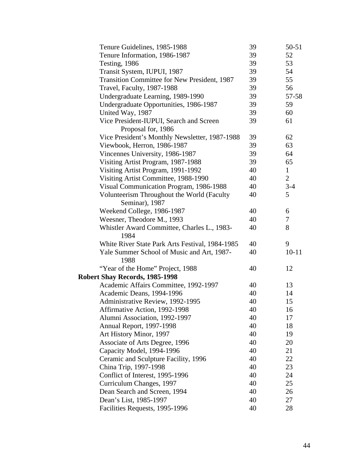| Tenure Guidelines, 1985-1988                    | 39 | $50 - 51$      |
|-------------------------------------------------|----|----------------|
| Tenure Information, 1986-1987                   | 39 | 52             |
| Testing, 1986                                   | 39 | 53             |
| Transit System, IUPUI, 1987                     | 39 | 54             |
| Transition Committee for New President, 1987    | 39 | 55             |
| Travel, Faculty, 1987-1988                      | 39 | 56             |
| Undergraduate Learning, 1989-1990               | 39 | 57-58          |
| Undergraduate Opportunities, 1986-1987          | 39 | 59             |
| United Way, 1987                                | 39 | 60             |
| Vice President-IUPUI, Search and Screen         | 39 | 61             |
| Proposal for, 1986                              |    |                |
| Vice President's Monthly Newsletter, 1987-1988  | 39 | 62             |
| Viewbook, Herron, 1986-1987                     | 39 | 63             |
| Vincennes University, 1986-1987                 | 39 | 64             |
| Visiting Artist Program, 1987-1988              | 39 | 65             |
| Visiting Artist Program, 1991-1992              | 40 | $\mathbf{1}$   |
| Visiting Artist Committee, 1988-1990            | 40 | $\overline{2}$ |
| Visual Communication Program, 1986-1988         | 40 | $3-4$          |
| Volunteerism Throughout the World (Faculty      | 40 | 5              |
| Seminar), 1987                                  |    |                |
| Weekend College, 1986-1987                      | 40 | 6              |
| Weesner, Theodore M., 1993                      | 40 | 7              |
| Whistler Award Committee, Charles L., 1983-     | 40 | 8              |
| 1984                                            |    |                |
| White River State Park Arts Festival, 1984-1985 | 40 | 9              |
| Yale Summer School of Music and Art, 1987-      | 40 | $10 - 11$      |
| 1988                                            |    |                |
| "Year of the Home" Project, 1988                | 40 | 12             |
| <b>Robert Shay Records, 1985-1998</b>           |    |                |
| Academic Affairs Committee, 1992-1997           | 40 | 13             |
| Academic Deans, 1994-1996                       | 40 | 14             |
| Administrative Review, 1992-1995                | 40 | 15             |
| Affirmative Action, 1992-1998                   | 40 | 16             |
| Alumni Association, 1992-1997                   | 40 | 17             |
| Annual Report, 1997-1998                        | 40 | 18             |
| Art History Minor, 1997                         | 40 | 19             |
| Associate of Arts Degree, 1996                  | 40 | 20             |
| Capacity Model, 1994-1996                       | 40 | 21             |
| Ceramic and Sculpture Facility, 1996            | 40 | 22             |
| China Trip, 1997-1998                           | 40 | 23             |
| Conflict of Interest, 1995-1996                 | 40 | 24             |
| Curriculum Changes, 1997                        | 40 | 25             |
| Dean Search and Screen, 1994                    | 40 | 26             |
| Dean's List, 1985-1997                          | 40 | 27             |
| Facilities Requests, 1995-1996                  | 40 | 28             |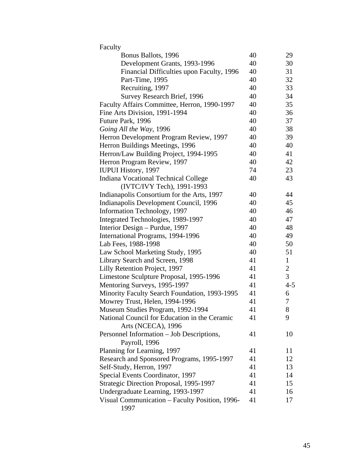| Faculty                                                |    |                |
|--------------------------------------------------------|----|----------------|
| Bonus Ballots, 1996                                    | 40 | 29             |
| Development Grants, 1993-1996                          | 40 | 30             |
| Financial Difficulties upon Faculty, 1996              | 40 | 31             |
| Part-Time, 1995                                        | 40 | 32             |
| Recruiting, 1997                                       | 40 | 33             |
| Survey Research Brief, 1996                            | 40 | 34             |
| Faculty Affairs Committee, Herron, 1990-1997           | 40 | 35             |
| Fine Arts Division, 1991-1994                          | 40 | 36             |
| Future Park, 1996                                      | 40 | 37             |
| Going All the Way, 1996                                | 40 | 38             |
| Herron Development Program Review, 1997                | 40 | 39             |
| Herron Buildings Meetings, 1996                        | 40 | 40             |
| Herron/Law Building Project, 1994-1995                 | 40 | 41             |
| Herron Program Review, 1997                            | 40 | 42             |
| <b>IUPUI History</b> , 1997                            | 74 | 23             |
| Indiana Vocational Technical College                   | 40 | 43             |
| (IVTC/IVY Tech), 1991-1993                             |    |                |
| Indianapolis Consortium for the Arts, 1997             | 40 | 44             |
| Indianapolis Development Council, 1996                 | 40 | 45             |
| Information Technology, 1997                           | 40 | 46             |
| Integrated Technologies, 1989-1997                     | 40 | 47             |
| Interior Design - Purdue, 1997                         | 40 | 48             |
| International Programs, 1994-1996                      | 40 | 49             |
| Lab Fees, 1988-1998                                    | 40 | 50             |
| Law School Marketing Study, 1995                       | 40 | 51             |
| Library Search and Screen, 1998                        | 41 | $\mathbf{1}$   |
| Lilly Retention Project, 1997                          | 41 | $\overline{2}$ |
| Limestone Sculpture Proposal, 1995-1996                | 41 | 3              |
| Mentoring Surveys, 1995-1997                           | 41 | $4 - 5$        |
| Minority Faculty Search Foundation, 1993-1995          | 41 | 6              |
| Mowrey Trust, Helen, 1994-1996                         | 41 | $\tau$         |
| Museum Studies Program, 1992-1994                      | 41 | 8              |
| National Council for Education in the Ceramic          | 41 | 9              |
| Arts (NCECA), 1996                                     |    |                |
| Personnel Information - Job Descriptions,              | 41 | 10             |
| Payroll, 1996                                          |    |                |
| Planning for Learning, 1997                            | 41 | 11             |
| Research and Sponsored Programs, 1995-1997             | 41 | 12             |
| Self-Study, Herron, 1997                               | 41 | 13             |
| Special Events Coordinator, 1997                       | 41 | 14             |
| Strategic Direction Proposal, 1995-1997                | 41 | 15             |
| Undergraduate Learning, 1993-1997                      | 41 | 16             |
| Visual Communication - Faculty Position, 1996-<br>1997 | 41 | 17             |
|                                                        |    |                |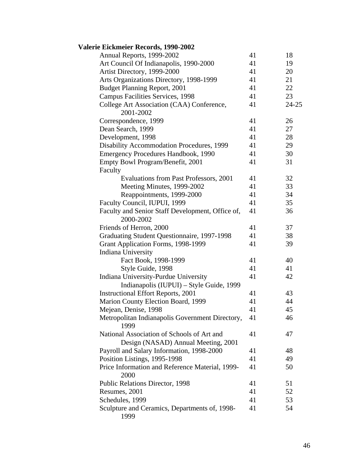| Valerie Eickmeier Records, 1990-2002                                              |    |           |
|-----------------------------------------------------------------------------------|----|-----------|
| Annual Reports, 1999-2002                                                         | 41 | 18        |
| Art Council Of Indianapolis, 1990-2000                                            | 41 | 19        |
| Artist Directory, 1999-2000                                                       | 41 | 20        |
| Arts Organizations Directory, 1998-1999                                           | 41 | 21        |
| <b>Budget Planning Report, 2001</b>                                               | 41 | 22        |
| Campus Facilities Services, 1998                                                  | 41 | 23        |
| College Art Association (CAA) Conference,<br>2001-2002                            | 41 | $24 - 25$ |
| Correspondence, 1999                                                              | 41 | 26        |
| Dean Search, 1999                                                                 | 41 | 27        |
| Development, 1998                                                                 | 41 | 28        |
| Disability Accommodation Procedures, 1999                                         | 41 | 29        |
| Emergency Procedures Handbook, 1990                                               | 41 | 30        |
| Empty Bowl Program/Benefit, 2001<br>Faculty                                       | 41 | 31        |
| Evaluations from Past Professors, 2001                                            | 41 | 32        |
| Meeting Minutes, 1999-2002                                                        | 41 | 33        |
| Reappointments, 1999-2000                                                         | 41 | 34        |
| Faculty Council, IUPUI, 1999                                                      | 41 | 35        |
| Faculty and Senior Staff Development, Office of,<br>2000-2002                     | 41 | 36        |
| Friends of Herron, 2000                                                           | 41 | 37        |
| Graduating Student Questionnaire, 1997-1998                                       | 41 | 38        |
| Grant Application Forms, 1998-1999                                                | 41 | 39        |
| Indiana University                                                                |    |           |
| Fact Book, 1998-1999                                                              | 41 | 40        |
| Style Guide, 1998                                                                 | 41 | 41        |
| Indiana University-Purdue University                                              | 41 | 42        |
| Indianapolis (IUPUI) – Style Guide, 1999                                          |    |           |
| <b>Instructional Effort Reports, 2001</b>                                         | 41 | 43        |
| Marion County Election Board, 1999                                                | 41 | 44        |
| Mejean, Denise, 1998                                                              | 41 | 45        |
| Metropolitan Indianapolis Government Directory,<br>1999                           | 41 | 46        |
| National Association of Schools of Art and<br>Design (NASAD) Annual Meeting, 2001 | 41 | 47        |
| Payroll and Salary Information, 1998-2000                                         | 41 | 48        |
| Position Listings, 1995-1998                                                      | 41 | 49        |
| Price Information and Reference Material, 1999-<br>2000                           | 41 | 50        |
| Public Relations Director, 1998                                                   | 41 | 51        |
| Resumes, 2001                                                                     | 41 | 52        |
| Schedules, 1999                                                                   | 41 | 53        |
| Sculpture and Ceramics, Departments of, 1998-<br>1999                             | 41 | 54        |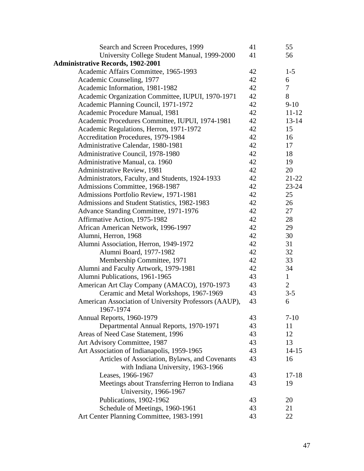| Search and Screen Procedures, 1999                    | 41 | 55             |
|-------------------------------------------------------|----|----------------|
| University College Student Manual, 1999-2000          | 41 | 56             |
| <b>Administrative Records, 1902-2001</b>              |    |                |
| Academic Affairs Committee, 1965-1993                 | 42 | $1 - 5$        |
| Academic Counseling, 1977                             | 42 | 6              |
| Academic Information, 1981-1982                       | 42 | $\tau$         |
| Academic Organization Committee, IUPUI, 1970-1971     | 42 | 8              |
| Academic Planning Council, 1971-1972                  | 42 | $9-10$         |
| Academic Procedure Manual, 1981                       | 42 | $11 - 12$      |
| Academic Procedures Committee, IUPUI, 1974-1981       | 42 | $13 - 14$      |
| Academic Regulations, Herron, 1971-1972               | 42 | 15             |
| Accreditation Procedures, 1979-1984                   | 42 | 16             |
| Administrative Calendar, 1980-1981                    | 42 | 17             |
| Administrative Council, 1978-1980                     | 42 | 18             |
| Administrative Manual, ca. 1960                       | 42 | 19             |
| Administrative Review, 1981                           | 42 | 20             |
| Administrators, Faculty, and Students, 1924-1933      | 42 | $21 - 22$      |
| Admissions Committee, 1968-1987                       | 42 | $23 - 24$      |
| Admissions Portfolio Review, 1971-1981                | 42 | 25             |
| Admissions and Student Statistics, 1982-1983          | 42 | 26             |
| Advance Standing Committee, 1971-1976                 | 42 | 27             |
| Affirmative Action, 1975-1982                         | 42 | 28             |
| African American Network, 1996-1997                   | 42 | 29             |
| Alumni, Herron, 1968                                  | 42 | 30             |
| Alumni Association, Herron, 1949-1972                 | 42 | 31             |
| Alumni Board, 1977-1982                               | 42 | 32             |
| Membership Committee, 1971                            | 42 | 33             |
| Alumni and Faculty Artwork, 1979-1981                 | 42 | 34             |
| Alumni Publications, 1961-1965                        | 43 | $\mathbf{1}$   |
| American Art Clay Company (AMACO), 1970-1973          | 43 | $\overline{2}$ |
| Ceramic and Metal Workshops, 1967-1969                | 43 | $3 - 5$        |
| American Association of University Professors (AAUP), | 43 | 6              |
| 1967-1974                                             |    |                |
| Annual Reports, 1960-1979                             | 43 | $7 - 10$       |
| Departmental Annual Reports, 1970-1971                | 43 | 11             |
| Areas of Need Case Statement, 1996                    | 43 | 12             |
| Art Advisory Committee, 1987                          | 43 | 13             |
| Art Association of Indianapolis, 1959-1965            | 43 | $14 - 15$      |
| Articles of Association, Bylaws, and Covenants        | 43 | 16             |
| with Indiana University, 1963-1966                    |    |                |
| Leases, 1966-1967                                     | 43 | $17 - 18$      |
| Meetings about Transferring Herron to Indiana         | 43 | 19             |
| University, 1966-1967                                 |    |                |
| Publications, 1902-1962                               | 43 | 20             |
| Schedule of Meetings, 1960-1961                       | 43 | 21             |
| Art Center Planning Committee, 1983-1991              | 43 | 22             |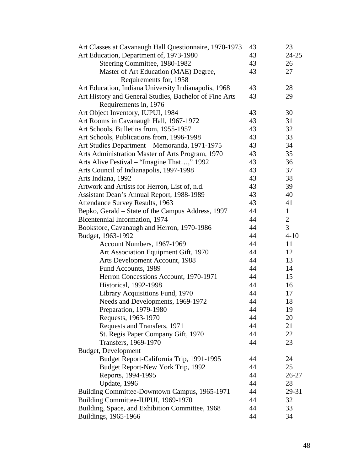| Art Classes at Cavanaugh Hall Questionnaire, 1970-1973 | 43 | 23             |
|--------------------------------------------------------|----|----------------|
| Art Education, Department of, 1973-1980                | 43 | $24 - 25$      |
| Steering Committee, 1980-1982                          | 43 | 26             |
| Master of Art Education (MAE) Degree,                  | 43 | 27             |
| Requirements for, 1958                                 |    |                |
| Art Education, Indiana University Indianapolis, 1968   | 43 | 28             |
| Art History and General Studies, Bachelor of Fine Arts | 43 | 29             |
| Requirements in, 1976                                  |    |                |
| Art Object Inventory, IUPUI, 1984                      | 43 | 30             |
| Art Rooms in Cavanaugh Hall, 1967-1972                 | 43 | 31             |
| Art Schools, Bulletins from, 1955-1957                 | 43 | 32             |
| Art Schools, Publications from, 1996-1998              | 43 | 33             |
| Art Studies Department - Memoranda, 1971-1975          | 43 | 34             |
| Arts Administration Master of Arts Program, 1970       | 43 | 35             |
| Arts Alive Festival – "Imagine That," 1992             | 43 | 36             |
| Arts Council of Indianapolis, 1997-1998                | 43 | 37             |
| Arts Indiana, 1992                                     | 43 | 38             |
| Artwork and Artists for Herron, List of, n.d.          | 43 | 39             |
| Assistant Dean's Annual Report, 1988-1989              | 43 | 40             |
| Attendance Survey Results, 1963                        | 43 | 41             |
| Bepko, Gerald - State of the Campus Address, 1997      | 44 | $\mathbf{1}$   |
| Bicentennial Information, 1974                         | 44 | $\overline{2}$ |
| Bookstore, Cavanaugh and Herron, 1970-1986             | 44 | 3              |
| Budget, 1963-1992                                      | 44 | $4 - 10$       |
| Account Numbers, 1967-1969                             | 44 | 11             |
| Art Association Equipment Gift, 1970                   | 44 | 12             |
| Arts Development Account, 1988                         | 44 | 13             |
| Fund Accounts, 1989                                    | 44 | 14             |
| Herron Concessions Account, 1970-1971                  | 44 | 15             |
| <b>Historical</b> , 1992-1998                          | 44 | 16             |
| Library Acquisitions Fund, 1970                        | 44 | 17             |
| Needs and Developments, 1969-1972                      | 44 | 18             |
| Preparation, 1979-1980                                 | 44 | 19             |
| Requests, 1963-1970                                    | 44 | 20             |
| Requests and Transfers, 1971                           | 44 | 21             |
| St. Regis Paper Company Gift, 1970                     | 44 | 22             |
| Transfers, 1969-1970                                   | 44 | 23             |
| Budget, Development                                    |    |                |
| Budget Report-California Trip, 1991-1995               | 44 | 24             |
| Budget Report-New York Trip, 1992                      | 44 | 25             |
| Reports, 1994-1995                                     | 44 | 26-27          |
| Update, 1996                                           | 44 | 28             |
| Building Committee-Downtown Campus, 1965-1971          | 44 | 29-31          |
| Building Committee-IUPUI, 1969-1970                    | 44 | 32             |
| Building, Space, and Exhibition Committee, 1968        | 44 | 33             |
| Buildings, 1965-1966                                   | 44 | 34             |
|                                                        |    |                |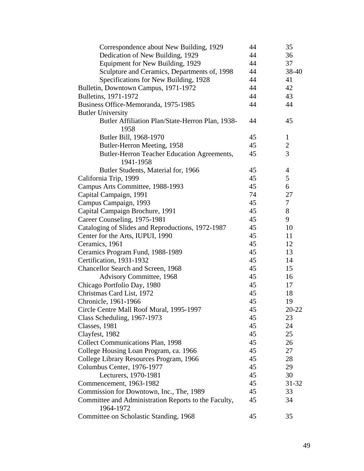| Correspondence about New Building, 1929                           | 44 | 35           |
|-------------------------------------------------------------------|----|--------------|
| Dedication of New Building, 1929                                  | 44 | 36           |
| Equipment for New Building, 1929                                  | 44 | 37           |
| Sculpture and Ceramics, Departments of, 1998                      | 44 | 38-40        |
| Specifications for New Building, 1928                             | 44 | 41           |
| Bulletin, Downtown Campus, 1971-1972                              | 44 | 42           |
| Bulletins, 1971-1972                                              | 44 | 43           |
| Business Office-Memoranda, 1975-1985                              | 44 | 44           |
| <b>Butler University</b>                                          |    |              |
| Butler Affiliation Plan/State-Herron Plan, 1938-<br>1958          | 44 | 45           |
| Butler Bill, 1968-1970                                            | 45 | $\mathbf{1}$ |
| Butler-Herron Meeting, 1958                                       | 45 | $\mathbf{2}$ |
| Butler-Herron Teacher Education Agreements,<br>1941-1958          | 45 | 3            |
| Butler Students, Material for, 1966                               | 45 | 4            |
| California Trip, 1999                                             | 45 | 5            |
| Campus Arts Committee, 1988-1993                                  | 45 | 6            |
| Capital Campaign, 1991                                            | 74 | 27           |
| Campus Campaign, 1993                                             | 45 | $\tau$       |
| Capital Campaign Brochure, 1991                                   | 45 | 8            |
| Career Counseling, 1975-1981                                      | 45 | 9            |
| Cataloging of Slides and Reproductions, 1972-1987                 | 45 | 10           |
| Center for the Arts, IUPUI, 1990                                  | 45 | 11           |
| Ceramics, 1961                                                    | 45 | 12           |
| Ceramics Program Fund, 1988-1989                                  | 45 | 13           |
| Certification, 1931-1932                                          | 45 | 14           |
| Chancellor Search and Screen, 1968                                | 45 | 15           |
| <b>Advisory Committee</b> , 1968                                  | 45 | 16           |
| Chicago Portfolio Day, 1980                                       | 45 | 17           |
| Christmas Card List, 1972                                         | 45 | 18           |
| Chronicle, 1961-1966                                              | 45 | 19           |
| Circle Centre Mall Roof Mural, 1995-1997                          | 45 | $20 - 22$    |
| Class Scheduling, 1967-1973                                       | 45 | 23           |
| Classes, 1981                                                     | 45 | 24           |
| Clayfest, 1982                                                    | 45 | 25           |
| <b>Collect Communications Plan, 1998</b>                          | 45 | 26           |
| College Housing Loan Program, ca. 1966                            | 45 | 27           |
| College Library Resources Program, 1966                           | 45 | 28           |
| Columbus Center, 1976-1977                                        | 45 | 29           |
| Lecturers, 1970-1981                                              | 45 | 30           |
| Commencement, 1963-1982                                           | 45 | 31-32        |
| Commission for Downtown, Inc., The, 1989                          | 45 | 33           |
| Committee and Administration Reports to the Faculty,<br>1964-1972 | 45 | 34           |
| Committee on Scholastic Standing, 1968                            | 45 | 35           |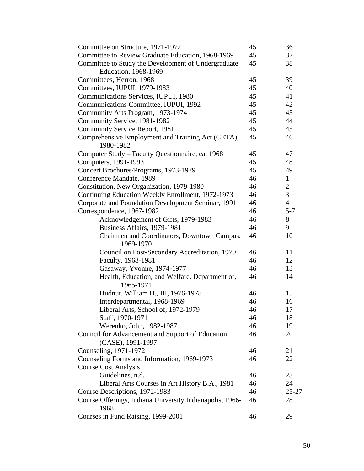| Committee on Structure, 1971-1972                                | 45 | 36             |
|------------------------------------------------------------------|----|----------------|
| Committee to Review Graduate Education, 1968-1969                | 45 | 37             |
| Committee to Study the Development of Undergraduate              | 45 | 38             |
| Education, 1968-1969                                             |    |                |
| Committees, Herron, 1968                                         | 45 | 39             |
| Committees, IUPUI, 1979-1983                                     | 45 | 40             |
| Communications Services, IUPUI, 1980                             | 45 | 41             |
| Communications Committee, IUPUI, 1992                            | 45 | 42             |
| Community Arts Program, 1973-1974                                | 45 | 43             |
| Community Service, 1981-1982                                     | 45 | 44             |
| Community Service Report, 1981                                   | 45 | 45             |
| Comprehensive Employment and Training Act (CETA),<br>1980-1982   | 45 | 46             |
| Computer Study - Faculty Questionnaire, ca. 1968                 | 45 | 47             |
| Computers, 1991-1993                                             | 45 | 48             |
| Concert Brochures/Programs, 1973-1979                            | 45 | 49             |
| Conference Mandate, 1989                                         | 46 | $\mathbf{1}$   |
| Constitution, New Organization, 1979-1980                        | 46 | $\overline{2}$ |
| Continuing Education Weekly Enrollment, 1972-1973                | 46 | $\overline{3}$ |
| Corporate and Foundation Development Seminar, 1991               | 46 | $\overline{4}$ |
| Correspondence, 1967-1982                                        | 46 | $5 - 7$        |
| Acknowledgement of Gifts, 1979-1983                              | 46 | 8              |
| Business Affairs, 1979-1981                                      | 46 | 9              |
| Chairmen and Coordinators, Downtown Campus,<br>1969-1970         | 46 | 10             |
| Council on Post-Secondary Accreditation, 1979                    | 46 | 11             |
| Faculty, 1968-1981                                               | 46 | 12             |
| Gasaway, Yvonne, 1974-1977                                       | 46 | 13             |
| Health, Education, and Welfare, Department of,<br>1965-1971      | 46 | 14             |
| Hudnut, William H., III, 1976-1978                               | 46 | 15             |
| Interdepartmental, 1968-1969                                     | 46 | 16             |
| Liberal Arts, School of, 1972-1979                               | 46 | 17             |
| Staff, 1970-1971                                                 | 46 | 18             |
| Werenko, John, 1982-1987                                         | 46 | 19             |
| Council for Advancement and Support of Education                 | 46 | 20             |
| (CASE), 1991-1997                                                |    |                |
| Counseling, 1971-1972                                            | 46 | 21             |
| Counseling Forms and Information, 1969-1973                      | 46 | 22             |
| <b>Course Cost Analysis</b>                                      |    |                |
| Guidelines, n.d.                                                 | 46 | 23             |
| Liberal Arts Courses in Art History B.A., 1981                   | 46 | 24             |
| Course Descriptions, 1972-1983                                   | 46 | $25 - 27$      |
| Course Offerings, Indiana University Indianapolis, 1966-<br>1968 | 46 | 28             |
| Courses in Fund Raising, 1999-2001                               | 46 | 29             |
|                                                                  |    |                |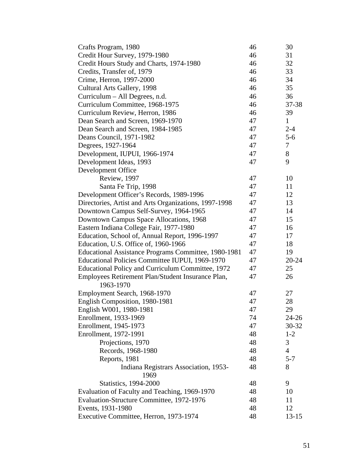| Crafts Program, 1980                                  | 46 | 30             |
|-------------------------------------------------------|----|----------------|
| Credit Hour Survey, 1979-1980                         | 46 | 31             |
| Credit Hours Study and Charts, 1974-1980              | 46 | 32             |
| Credits, Transfer of, 1979                            | 46 | 33             |
| Crime, Herron, 1997-2000                              | 46 | 34             |
| Cultural Arts Gallery, 1998                           | 46 | 35             |
| Curriculum – All Degrees, n.d.                        | 46 | 36             |
| Curriculum Committee, 1968-1975                       | 46 | 37-38          |
| Curriculum Review, Herron, 1986                       | 46 | 39             |
| Dean Search and Screen, 1969-1970                     | 47 | $\mathbf{1}$   |
| Dean Search and Screen, 1984-1985                     | 47 | $2 - 4$        |
| Deans Council, 1971-1982                              | 47 | $5 - 6$        |
| Degrees, 1927-1964                                    | 47 | $\tau$         |
| Development, IUPUI, 1966-1974                         | 47 | 8              |
| Development Ideas, 1993                               | 47 | 9              |
| Development Office                                    |    |                |
| Review, 1997                                          | 47 | 10             |
| Santa Fe Trip, 1998                                   | 47 | 11             |
| Development Officer's Records, 1989-1996              | 47 | 12             |
| Directories, Artist and Arts Organizations, 1997-1998 | 47 | 13             |
| Downtown Campus Self-Survey, 1964-1965                | 47 | 14             |
| Downtown Campus Space Allocations, 1968               | 47 | 15             |
| Eastern Indiana College Fair, 1977-1980               | 47 | 16             |
| Education, School of, Annual Report, 1996-1997        | 47 | 17             |
| Education, U.S. Office of, 1960-1966                  | 47 | 18             |
| Educational Assistance Programs Committee, 1980-1981  | 47 | 19             |
| Educational Policies Committee IUPUI, 1969-1970       | 47 | $20 - 24$      |
| Educational Policy and Curriculum Committee, 1972     | 47 | 25             |
| Employees Retirement Plan/Student Insurance Plan,     | 47 | 26             |
| 1963-1970                                             |    |                |
| Employment Search, 1968-1970                          | 47 | 27             |
| English Composition, 1980-1981                        | 47 | 28             |
| English W001, 1980-1981                               | 47 | 29             |
| Enrollment, 1933-1969                                 | 74 | $24 - 26$      |
| Enrollment, 1945-1973                                 | 47 | 30-32          |
| Enrollment, 1972-1991                                 | 48 | $1 - 2$        |
| Projections, 1970                                     | 48 | 3              |
| Records, 1968-1980                                    | 48 | $\overline{4}$ |
| Reports, 1981                                         | 48 | $5 - 7$        |
| Indiana Registrars Association, 1953-                 | 48 | 8              |
| 1969                                                  |    |                |
| <b>Statistics</b> , 1994-2000                         | 48 | 9              |
| Evaluation of Faculty and Teaching, 1969-1970         | 48 | 10             |
| Evaluation-Structure Committee, 1972-1976             | 48 | 11             |
| Events, 1931-1980                                     | 48 | 12             |
| Executive Committee, Herron, 1973-1974                | 48 | $13 - 15$      |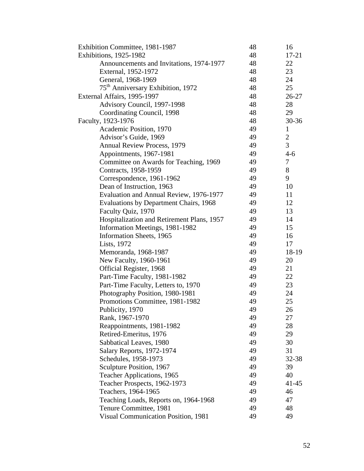| <b>Exhibition Committee, 1981-1987</b>        | 48 | 16           |
|-----------------------------------------------|----|--------------|
| <b>Exhibitions</b> , 1925-1982                | 48 | 17-21        |
| Announcements and Invitations, 1974-1977      | 48 | 22           |
| External, 1952-1972                           | 48 | 23           |
| General, 1968-1969                            | 48 | 24           |
| 75 <sup>th</sup> Anniversary Exhibition, 1972 | 48 | 25           |
| External Affairs, 1995-1997                   | 48 | $26 - 27$    |
| Advisory Council, 1997-1998                   | 48 | 28           |
| Coordinating Council, 1998                    | 48 | 29           |
| Faculty, 1923-1976                            | 48 | $30 - 36$    |
| Academic Position, 1970                       | 49 | $\mathbf{1}$ |
| Advisor's Guide, 1969                         | 49 | $\mathbf{2}$ |
| <b>Annual Review Process, 1979</b>            | 49 | 3            |
| Appointments, 1967-1981                       | 49 | $4 - 6$      |
| Committee on Awards for Teaching, 1969        | 49 | $\tau$       |
| Contracts, 1958-1959                          | 49 | 8            |
| Correspondence, 1961-1962                     | 49 | 9            |
| Dean of Instruction, 1963                     | 49 | 10           |
| Evaluation and Annual Review, 1976-1977       | 49 | 11           |
| Evaluations by Department Chairs, 1968        | 49 | 12           |
| Faculty Quiz, 1970                            | 49 | 13           |
| Hospitalization and Retirement Plans, 1957    | 49 | 14           |
| Information Meetings, 1981-1982               | 49 | 15           |
| Information Sheets, 1965                      | 49 | 16           |
| Lists, 1972                                   | 49 | 17           |
| Memoranda, 1968-1987                          | 49 | 18-19        |
| New Faculty, 1960-1961                        | 49 | 20           |
| Official Register, 1968                       | 49 | 21           |
| Part-Time Faculty, 1981-1982                  | 49 | 22           |
| Part-Time Faculty, Letters to, 1970           | 49 | 23           |
| Photography Position, 1980-1981               | 49 | 24           |
| Promotions Committee, 1981-1982               | 49 | 25           |
| Publicity, 1970                               | 49 | 26           |
| Rank, 1967-1970                               | 49 | 27           |
| Reappointments, 1981-1982                     | 49 | 28           |
| Retired-Emeritus, 1976                        | 49 | 29           |
| Sabbatical Leaves, 1980                       | 49 | 30           |
| Salary Reports, 1972-1974                     | 49 | 31           |
| Schedules, 1958-1973                          | 49 | 32-38        |
| Sculpture Position, 1967                      | 49 | 39           |
| Teacher Applications, 1965                    | 49 | 40           |
| Teacher Prospects, 1962-1973                  | 49 | $41 - 45$    |
| Teachers, 1964-1965                           | 49 | 46           |
| Teaching Loads, Reports on, 1964-1968         | 49 | 47           |
| Tenure Committee, 1981                        | 49 | 48           |
| <b>Visual Communication Position, 1981</b>    | 49 | 49           |
|                                               |    |              |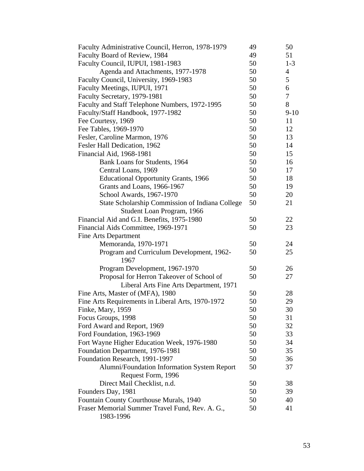| Faculty Administrative Council, Herron, 1978-1979            | 49 | 50             |
|--------------------------------------------------------------|----|----------------|
| Faculty Board of Review, 1984                                | 49 | 51             |
| Faculty Council, IUPUI, 1981-1983                            | 50 | $1 - 3$        |
| Agenda and Attachments, 1977-1978                            | 50 | $\overline{4}$ |
| Faculty Council, University, 1969-1983                       | 50 | 5              |
| Faculty Meetings, IUPUI, 1971                                | 50 | 6              |
| Faculty Secretary, 1979-1981                                 | 50 | 7              |
| Faculty and Staff Telephone Numbers, 1972-1995               | 50 | 8              |
| Faculty/Staff Handbook, 1977-1982                            | 50 | $9-10$         |
| Fee Courtesy, 1969                                           | 50 | 11             |
| Fee Tables, 1969-1970                                        | 50 | 12             |
| Fesler, Caroline Marmon, 1976                                | 50 | 13             |
| Fesler Hall Dedication, 1962                                 | 50 | 14             |
| Financial Aid, 1968-1981                                     | 50 | 15             |
| Bank Loans for Students, 1964                                | 50 | 16             |
| Central Loans, 1969                                          | 50 | 17             |
| <b>Educational Opportunity Grants, 1966</b>                  | 50 | 18             |
| Grants and Loans, 1966-1967                                  | 50 | 19             |
| School Awards, 1967-1970                                     | 50 | 20             |
| State Scholarship Commission of Indiana College              | 50 | 21             |
| Student Loan Program, 1966                                   |    |                |
| Financial Aid and G.I. Benefits, 1975-1980                   | 50 | 22             |
| Financial Aids Committee, 1969-1971                          | 50 | 23             |
| Fine Arts Department                                         |    |                |
| Memoranda, 1970-1971                                         | 50 | 24             |
| Program and Curriculum Development, 1962-<br>1967            | 50 | 25             |
| Program Development, 1967-1970                               | 50 | 26             |
| Proposal for Herron Takeover of School of                    | 50 | 27             |
| Liberal Arts Fine Arts Department, 1971                      |    |                |
| Fine Arts, Master of (MFA), 1980                             | 50 | 28             |
| Fine Arts Requirements in Liberal Arts, 1970-1972            | 50 | 29             |
| Finke, Mary, 1959                                            | 50 | 30             |
| Focus Groups, 1998                                           | 50 | 31             |
| Ford Award and Report, 1969                                  | 50 | 32             |
| Ford Foundation, 1963-1969                                   | 50 | 33             |
| Fort Wayne Higher Education Week, 1976-1980                  | 50 | 34             |
| Foundation Department, 1976-1981                             | 50 | 35             |
| Foundation Research, 1991-1997                               | 50 | 36             |
| Alumni/Foundation Information System Report                  | 50 | 37             |
| Request Form, 1996                                           |    |                |
| Direct Mail Checklist, n.d.                                  | 50 | 38             |
| Founders Day, 1981                                           | 50 | 39             |
| Fountain County Courthouse Murals, 1940                      | 50 | 40             |
| Fraser Memorial Summer Travel Fund, Rev. A. G.,<br>1983-1996 | 50 | 41             |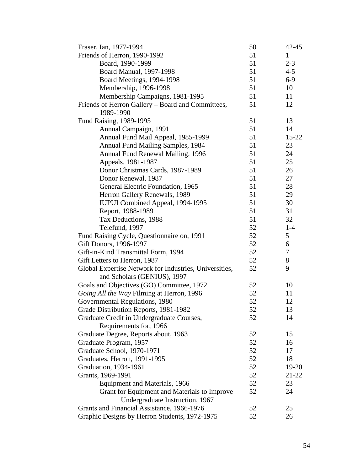| Fraser, Ian, 1977-1994                                 | 50 | $42 - 45$    |
|--------------------------------------------------------|----|--------------|
| Friends of Herron, 1990-1992                           | 51 | $\mathbf{1}$ |
| Board, 1990-1999                                       | 51 | $2 - 3$      |
| Board Manual, 1997-1998                                | 51 | $4 - 5$      |
| Board Meetings, 1994-1998                              | 51 | $6-9$        |
| Membership, 1996-1998                                  | 51 | 10           |
| Membership Campaigns, 1981-1995                        | 51 | 11           |
| Friends of Herron Gallery – Board and Committees,      | 51 | 12           |
| 1989-1990                                              |    |              |
| Fund Raising, 1989-1995                                | 51 | 13           |
| Annual Campaign, 1991                                  | 51 | 14           |
| Annual Fund Mail Appeal, 1985-1999                     | 51 | $15 - 22$    |
| <b>Annual Fund Mailing Samples, 1984</b>               | 51 | 23           |
| Annual Fund Renewal Mailing, 1996                      | 51 | 24           |
| Appeals, 1981-1987                                     | 51 | 25           |
| Donor Christmas Cards, 1987-1989                       | 51 | 26           |
| Donor Renewal, 1987                                    | 51 | 27           |
| General Electric Foundation, 1965                      | 51 | 28           |
| Herron Gallery Renewals, 1989                          | 51 | 29           |
| <b>IUPUI Combined Appeal, 1994-1995</b>                | 51 | 30           |
| Report, 1988-1989                                      | 51 | 31           |
| Tax Deductions, 1988                                   | 51 | 32           |
| Telefund, 1997                                         | 52 | $1-4$        |
| Fund Raising Cycle, Questionnaire on, 1991             | 52 | 5            |
| Gift Donors, 1996-1997                                 | 52 | 6            |
| Gift-in-Kind Transmittal Form, 1994                    | 52 | 7            |
| Gift Letters to Herron, 1987                           | 52 | $8\,$        |
| Global Expertise Network for Industries, Universities, | 52 | 9            |
| and Scholars (GENIUS), 1997                            |    |              |
| Goals and Objectives (GO) Committee, 1972              | 52 | 10           |
| Going All the Way Filming at Herron, 1996              | 52 | 11           |
| Governmental Regulations, 1980                         | 52 | 12           |
| Grade Distribution Reports, 1981-1982                  | 52 | 13           |
| Graduate Credit in Undergraduate Courses,              | 52 | 14           |
| Requirements for, 1966                                 |    |              |
| Graduate Degree, Reports about, 1963                   | 52 | 15           |
| Graduate Program, 1957                                 | 52 | 16           |
| Graduate School, 1970-1971                             | 52 | 17           |
| Graduates, Herron, 1991-1995                           | 52 | 18           |
| Graduation, 1934-1961                                  | 52 | 19-20        |
| Grants, 1969-1991                                      | 52 | 21-22        |
| Equipment and Materials, 1966                          | 52 | 23           |
| Grant for Equipment and Materials to Improve           | 52 | 24           |
| Undergraduate Instruction, 1967                        |    |              |
| Grants and Financial Assistance, 1966-1976             | 52 | 25           |
| Graphic Designs by Herron Students, 1972-1975          | 52 | 26           |
|                                                        |    |              |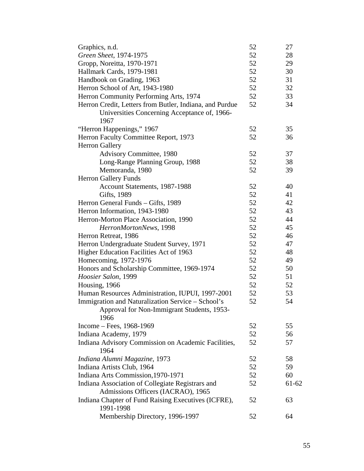| Graphics, n.d.                                          | 52 | 27        |
|---------------------------------------------------------|----|-----------|
| Green Sheet, 1974-1975                                  | 52 | 28        |
| Gropp, Noreitta, 1970-1971                              | 52 | 29        |
| Hallmark Cards, 1979-1981                               | 52 | 30        |
| Handbook on Grading, 1963                               | 52 | 31        |
| Herron School of Art, 1943-1980                         | 52 | 32        |
| Herron Community Performing Arts, 1974                  | 52 | 33        |
| Herron Credit, Letters from Butler, Indiana, and Purdue | 52 | 34        |
| Universities Concerning Acceptance of, 1966-            |    |           |
| 1967                                                    |    |           |
| "Herron Happenings," 1967                               | 52 | 35        |
| Herron Faculty Committee Report, 1973                   | 52 | 36        |
| <b>Herron Gallery</b>                                   |    |           |
| <b>Advisory Committee</b> , 1980                        | 52 | 37        |
| Long-Range Planning Group, 1988                         | 52 | 38        |
| Memoranda, 1980                                         | 52 | 39        |
| <b>Herron Gallery Funds</b>                             |    |           |
| Account Statements, 1987-1988                           | 52 | 40        |
| Gifts, 1989                                             | 52 | 41        |
| Herron General Funds – Gifts, 1989                      | 52 | 42        |
| Herron Information, 1943-1980                           | 52 | 43        |
| Herron-Morton Place Association, 1990                   | 52 | 44        |
| HerronMortonNews, 1998                                  | 52 | 45        |
| Herron Retreat, 1986                                    | 52 | 46        |
| Herron Undergraduate Student Survey, 1971               | 52 | 47        |
| Higher Education Facilities Act of 1963                 | 52 | 48        |
| Homecoming, 1972-1976                                   | 52 | 49        |
| Honors and Scholarship Committee, 1969-1974             | 52 | 50        |
| Hoosier Salon, 1999                                     | 52 | 51        |
| Housing, 1966                                           | 52 | 52        |
| Human Resources Administration, IUPUI, 1997-2001        | 52 | 53        |
| Immigration and Naturalization Service - School's       | 52 | 54        |
| Approval for Non-Immigrant Students, 1953-              |    |           |
| 1966                                                    |    |           |
| Income – Fees, $1968-1969$                              | 52 | 55        |
| Indiana Academy, 1979                                   | 52 | 56        |
| Indiana Advisory Commission on Academic Facilities,     | 52 | 57        |
| 1964                                                    |    |           |
| Indiana Alumni Magazine, 1973                           | 52 | 58        |
| Indiana Artists Club, 1964                              | 52 | 59        |
| Indiana Arts Commission, 1970-1971                      | 52 | 60        |
| Indiana Association of Collegiate Registrars and        | 52 | $61 - 62$ |
| Admissions Officers (IACRAO), 1965                      |    |           |
| Indiana Chapter of Fund Raising Executives (ICFRE),     | 52 | 63        |
| 1991-1998                                               |    |           |
| Membership Directory, 1996-1997                         | 52 | 64        |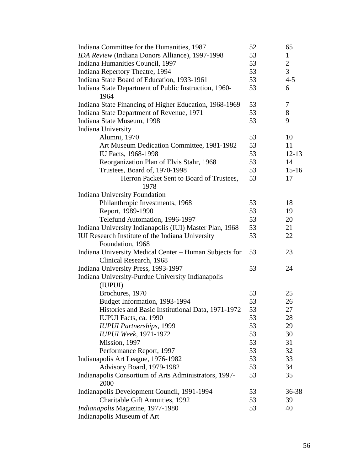| Indiana Committee for the Humanities, 1987              | 52       | 65             |
|---------------------------------------------------------|----------|----------------|
| IDA Review (Indiana Donors Alliance), 1997-1998         | 53       | $\mathbf{1}$   |
| Indiana Humanities Council, 1997                        | 53       | $\overline{2}$ |
| Indiana Repertory Theatre, 1994                         | 53       | 3              |
| Indiana State Board of Education, 1933-1961             | 53       | $4 - 5$        |
| Indiana State Department of Public Instruction, 1960-   | 53       | 6              |
| 1964                                                    |          |                |
| Indiana State Financing of Higher Education, 1968-1969  | 53       | 7              |
| Indiana State Department of Revenue, 1971               | 53       | 8              |
| Indiana State Museum, 1998                              | 53       | 9              |
| Indiana University                                      |          |                |
| Alumni, 1970                                            | 53       | 10             |
| Art Museum Dedication Committee, 1981-1982              | 53       | 11             |
| IU Facts, 1968-1998                                     | 53       | $12 - 13$      |
| Reorganization Plan of Elvis Stahr, 1968                | 53       | 14             |
| Trustees, Board of, 1970-1998                           | 53       | $15 - 16$      |
| Herron Packet Sent to Board of Trustees,                | 53       | 17             |
| 1978                                                    |          |                |
| Indiana University Foundation                           |          |                |
| Philanthropic Investments, 1968                         | 53       | 18             |
| Report, 1989-1990                                       | 53       | 19             |
| Telefund Automation, 1996-1997                          | 53       | 20             |
| Indiana University Indianapolis (IUI) Master Plan, 1968 | 53       | 21             |
| IUI Research Institute of the Indiana University        | 53       | 22             |
| Foundation, 1968                                        |          |                |
| Indiana University Medical Center - Human Subjects for  | 53       | 23             |
| Clinical Research, 1968                                 |          |                |
| Indiana University Press, 1993-1997                     | 53       | 24             |
| Indiana University-Purdue University Indianapolis       |          |                |
| (IUPUI)                                                 |          |                |
| Brochures, 1970                                         | 53       | 25             |
| Budget Information, 1993-1994                           | 53       | 26             |
| Histories and Basic Institutional Data, 1971-1972       | 53       | 27             |
| IUPUI Facts, ca. 1990                                   | 53       | 28             |
| <b>IUPUI</b> Partnerships, 1999                         | 53       | 29             |
| <b>IUPUI</b> Week, 1971-1972                            | 53       | 30             |
| Mission, 1997                                           | 53       | 31             |
| Performance Report, 1997                                | 53       | 32             |
| Indianapolis Art League, 1976-1982                      | 53       | 33             |
| Advisory Board, 1979-1982                               | 53       | 34             |
| Indianapolis Consortium of Arts Administrators, 1997-   | 53       | 35             |
| 2000                                                    |          |                |
|                                                         |          |                |
| Indianapolis Development Council, 1991-1994             | 53<br>53 | 36-38          |
| Charitable Gift Annuities, 1992                         |          | 39             |
| Indianapolis Magazine, 1977-1980                        | 53       | 40             |
| Indianapolis Museum of Art                              |          |                |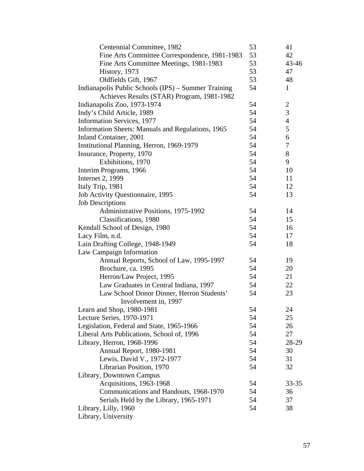| Centennial Committee, 1982                          | 53 | 41             |
|-----------------------------------------------------|----|----------------|
| Fine Arts Committee Correspondence, 1981-1983       | 53 | 42             |
| Fine Arts Committee Meetings, 1981-1983             | 53 | 43-46          |
| History, 1973                                       | 53 | 47             |
| Oldfields Gift, 1967                                | 53 | 48             |
| Indianapolis Public Schools (IPS) - Summer Training | 54 | $\mathbf{1}$   |
| Achieves Results (STAR) Program, 1981-1982          |    |                |
| Indianapolis Zoo, 1973-1974                         | 54 | $\overline{c}$ |
| Indy's Child Article, 1989                          | 54 | 3              |
| Information Services, 1977                          | 54 | $\overline{4}$ |
| Information Sheets: Manuals and Regulations, 1965   | 54 | 5              |
| <b>Inland Container</b> , 2001                      | 54 | 6              |
| Institutional Planning, Herron, 1969-1979           | 54 | $\overline{7}$ |
| Insurance, Property, 1970                           | 54 | $8\,$          |
| Exhibitions, 1970                                   | 54 | 9              |
| Interim Programs, 1966                              | 54 | 10             |
| Internet 2, 1999                                    | 54 | 11             |
| Italy Trip, 1981                                    | 54 | 12             |
| Job Activity Questionnaire, 1995                    | 54 | 13             |
| <b>Job Descriptions</b>                             |    |                |
| Administrative Positions, 1975-1992                 | 54 | 14             |
| Classifications, 1980                               | 54 | 15             |
| Kendall School of Design, 1980                      | 54 | 16             |
| Lacy Film, n.d.                                     | 54 | 17             |
| Lain Drafting College, 1948-1949                    | 54 | 18             |
| Law Campaign Information                            |    |                |
| Annual Reports, School of Law, 1995-1997            | 54 | 19             |
| Brochure, ca. 1995                                  | 54 | 20             |
| Herron/Law Project, 1995                            | 54 | 21             |
| Law Graduates in Central Indiana, 1997              | 54 | 22             |
| Law School Donor Dinner, Herron Students'           | 54 | 23             |
| Involvement in, 1997                                |    |                |
| Learn and Shop, 1980-1981                           | 54 | 24             |
| Lecture Series, 1970-1971                           | 54 | 25             |
| Legislation, Federal and State, 1965-1966           | 54 | 26             |
| Liberal Arts Publications, School of, 1996          | 54 | 27             |
| Library, Herron, 1968-1996                          | 54 | 28-29          |
| Annual Report, 1980-1981                            | 54 | 30             |
| Lewis, David V., 1972-1977                          | 54 | 31             |
| Librarian Position, 1970                            | 54 | 32             |
| Library, Downtown Campus                            |    |                |
| Acquisitions, 1963-1968                             | 54 | $33 - 35$      |
|                                                     | 54 | 36             |
| Communications and Handouts, 1968-1970              | 54 | 37             |
| Serials Held by the Library, 1965-1971              | 54 |                |
| Library, Lilly, 1960                                |    | 38             |
| Library, University                                 |    |                |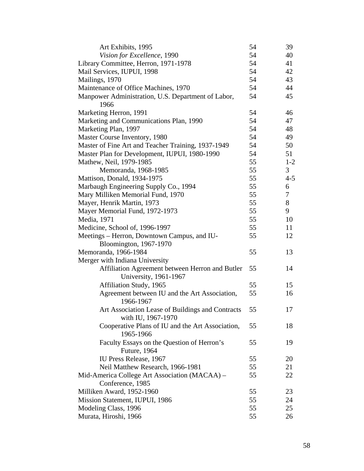| Art Exhibits, 1995                                                       | 54 | 39             |
|--------------------------------------------------------------------------|----|----------------|
| Vision for Excellence, 1990                                              | 54 | 40             |
| Library Committee, Herron, 1971-1978                                     | 54 | 41             |
| Mail Services, IUPUI, 1998                                               | 54 | 42             |
| Mailings, 1970                                                           | 54 | 43             |
| Maintenance of Office Machines, 1970                                     | 54 | 44             |
| Manpower Administration, U.S. Department of Labor,<br>1966               | 54 | 45             |
| Marketing Herron, 1991                                                   | 54 | 46             |
| Marketing and Communications Plan, 1990                                  | 54 | 47             |
| Marketing Plan, 1997                                                     | 54 | 48             |
| Master Course Inventory, 1980                                            | 54 | 49             |
| Master of Fine Art and Teacher Training, 1937-1949                       | 54 | 50             |
| Master Plan for Development, IUPUI, 1980-1990                            | 54 | 51             |
| Mathew, Neil, 1979-1985                                                  | 55 | $1 - 2$        |
| Memoranda, 1968-1985                                                     | 55 | $\mathfrak{Z}$ |
| Mattison, Donald, 1934-1975                                              | 55 | $4 - 5$        |
| Marbaugh Engineering Supply Co., 1994                                    | 55 | 6              |
| Mary Milliken Memorial Fund, 1970                                        | 55 | $\tau$         |
| Mayer, Henrik Martin, 1973                                               | 55 | 8              |
| Mayer Memorial Fund, 1972-1973                                           | 55 | 9              |
| Media, 1971                                                              | 55 | 10             |
| Medicine, School of, 1996-1997                                           | 55 | 11             |
| Meetings – Herron, Downtown Campus, and IU-                              | 55 | 12             |
| Bloomington, 1967-1970                                                   |    |                |
| Memoranda, 1966-1984                                                     | 55 | 13             |
| Merger with Indiana University                                           |    |                |
| Affiliation Agreement between Herron and Butler<br>University, 1961-1967 | 55 | 14             |
| Affiliation Study, 1965                                                  | 55 | 15             |
| Agreement between IU and the Art Association,<br>1966-1967               | 55 | 16             |
| Art Association Lease of Buildings and Contracts<br>with IU, 1967-1970   | 55 | 17             |
| Cooperative Plans of IU and the Art Association,<br>1965-1966            | 55 | 18             |
| Faculty Essays on the Question of Herron's<br><b>Future</b> , 1964       | 55 | 19             |
| IU Press Release, 1967                                                   | 55 | 20             |
| Neil Matthew Research, 1966-1981                                         | 55 | 21             |
| Mid-America College Art Association (MACAA) -                            | 55 | 22             |
| Conference, 1985                                                         |    |                |
| Milliken Award, 1952-1960                                                | 55 | 23             |
| Mission Statement, IUPUI, 1986                                           | 55 | 24             |
| Modeling Class, 1996                                                     | 55 | 25             |
| Murata, Hiroshi, 1966                                                    | 55 | 26             |
|                                                                          |    |                |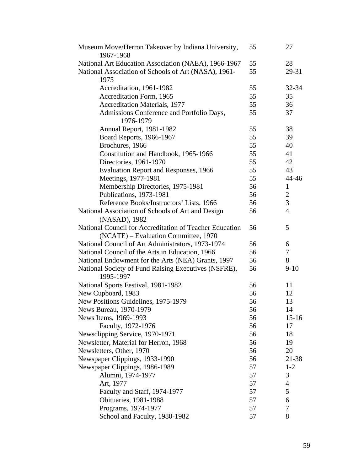| Museum Move/Herron Takeover by Indiana University,      | 55 | 27             |
|---------------------------------------------------------|----|----------------|
| 1967-1968                                               |    |                |
| National Art Education Association (NAEA), 1966-1967    | 55 | 28             |
| National Association of Schools of Art (NASA), 1961-    | 55 | 29-31          |
| 1975                                                    |    |                |
| Accreditation, 1961-1982                                | 55 | 32-34          |
| Accreditation Form, 1965                                | 55 | 35             |
| <b>Accreditation Materials, 1977</b>                    | 55 | 36             |
| Admissions Conference and Portfolio Days,<br>1976-1979  | 55 | 37             |
| Annual Report, 1981-1982                                | 55 | 38             |
| Board Reports, 1966-1967                                | 55 | 39             |
| Brochures, 1966                                         | 55 | 40             |
| Constitution and Handbook, 1965-1966                    | 55 | 41             |
| Directories, 1961-1970                                  | 55 | 42             |
| Evaluation Report and Responses, 1966                   | 55 | 43             |
| Meetings, 1977-1981                                     | 55 | 44-46          |
| Membership Directories, 1975-1981                       | 56 | $\mathbf{1}$   |
| Publications, 1973-1981                                 | 56 | $\overline{2}$ |
| Reference Books/Instructors' Lists, 1966                | 56 | 3              |
| National Association of Schools of Art and Design       | 56 | $\overline{4}$ |
| (NASAD), 1982                                           |    |                |
| National Council for Accreditation of Teacher Education | 56 | 5              |
| (NCATE) – Evaluation Committee, 1970                    |    |                |
| National Council of Art Administrators, 1973-1974       | 56 | 6              |
| National Council of the Arts in Education, 1966         | 56 | 7              |
| National Endowment for the Arts (NEA) Grants, 1997      | 56 | 8              |
| National Society of Fund Raising Executives (NSFRE),    | 56 | $9-10$         |
| 1995-1997                                               |    |                |
| National Sports Festival, 1981-1982                     | 56 | 11             |
| New Cupboard, 1983                                      | 56 | 12             |
| New Positions Guidelines, 1975-1979                     | 56 | 13             |
| News Bureau, 1970-1979                                  | 56 | 14             |
| News Items, 1969-1993                                   | 56 | $15-16$        |
| Faculty, 1972-1976                                      | 56 | 17             |
| Newsclipping Service, 1970-1971                         | 56 | 18             |
| Newsletter, Material for Herron, 1968                   | 56 | 19             |
| Newsletters, Other, 1970                                | 56 | 20             |
| Newspaper Clippings, 1933-1990                          | 56 | 21-38          |
| Newspaper Clippings, 1986-1989                          | 57 | $1 - 2$        |
| Alumni, 1974-1977                                       | 57 | 3              |
| Art, 1977                                               | 57 | 4              |
| Faculty and Staff, 1974-1977                            | 57 | 5              |
| <b>Obituaries</b> , 1981-1988                           | 57 | 6              |
| Programs, 1974-1977                                     | 57 | 7              |
| School and Faculty, 1980-1982                           | 57 | 8              |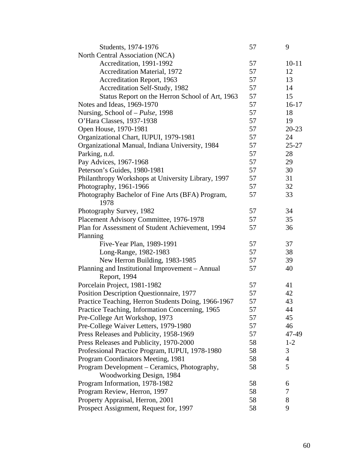| Students, 1974-1976                                 | 57 | 9         |
|-----------------------------------------------------|----|-----------|
| North Central Association (NCA)                     |    |           |
| Accreditation, 1991-1992                            | 57 | $10 - 11$ |
| <b>Accreditation Material, 1972</b>                 | 57 | 12        |
| Accreditation Report, 1963                          | 57 | 13        |
| Accreditation Self-Study, 1982                      | 57 | 14        |
| Status Report on the Herron School of Art, 1963     | 57 | 15        |
| Notes and Ideas, 1969-1970                          | 57 | $16-17$   |
| Nursing, School of $-$ <i>Pulse</i> , 1998          | 57 | 18        |
| O'Hara Classes, 1937-1938                           | 57 | 19        |
| Open House, 1970-1981                               | 57 | $20 - 23$ |
| Organizational Chart, IUPUI, 1979-1981              | 57 | 24        |
| Organizational Manual, Indiana University, 1984     | 57 | $25 - 27$ |
| Parking, n.d.                                       | 57 | 28        |
| Pay Advices, 1967-1968                              | 57 | 29        |
| Peterson's Guides, 1980-1981                        | 57 | 30        |
| Philanthropy Workshops at University Library, 1997  | 57 | 31        |
| Photography, 1961-1966                              | 57 | 32        |
| Photography Bachelor of Fine Arts (BFA) Program,    | 57 | 33        |
| 1978                                                |    |           |
| Photography Survey, 1982                            | 57 | 34        |
| Placement Advisory Committee, 1976-1978             | 57 | 35        |
| Plan for Assessment of Student Achievement, 1994    | 57 | 36        |
| Planning                                            |    |           |
| Five-Year Plan, 1989-1991                           | 57 | 37        |
| Long-Range, 1982-1983                               | 57 | 38        |
| New Herron Building, 1983-1985                      | 57 | 39        |
| Planning and Institutional Improvement – Annual     | 57 | 40        |
| Report, 1994                                        |    |           |
| Porcelain Project, 1981-1982                        | 57 | 41        |
| Position Description Questionnaire, 1977            | 57 | 42        |
| Practice Teaching, Herron Students Doing, 1966-1967 | 57 | 43        |
| Practice Teaching, Information Concerning, 1965     | 57 | 44        |
| Pre-College Art Workshop, 1973                      | 57 | 45        |
| Pre-College Waiver Letters, 1979-1980               | 57 | 46        |
| Press Releases and Publicity, 1958-1969             | 57 | 47-49     |
| Press Releases and Publicity, 1970-2000             | 58 | $1 - 2$   |
| Professional Practice Program, IUPUI, 1978-1980     | 58 | 3         |
| Program Coordinators Meeting, 1981                  | 58 | 4         |
| Program Development – Ceramics, Photography,        | 58 | 5         |
| Woodworking Design, 1984                            |    |           |
| Program Information, 1978-1982                      | 58 | 6         |
| Program Review, Herron, 1997                        | 58 | 7         |
| Property Appraisal, Herron, 2001                    | 58 | 8         |
| Prospect Assignment, Request for, 1997              | 58 | 9         |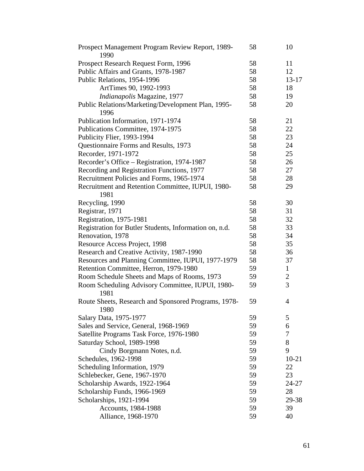| Prospect Management Program Review Report, 1989-<br>1990     | 58 | 10             |
|--------------------------------------------------------------|----|----------------|
| Prospect Research Request Form, 1996                         | 58 | 11             |
| Public Affairs and Grants, 1978-1987                         | 58 | 12             |
| Public Relations, 1954-1996                                  | 58 | $13 - 17$      |
| ArtTimes 90, 1992-1993                                       | 58 | 18             |
| Indianapolis Magazine, 1977                                  | 58 | 19             |
| Public Relations/Marketing/Development Plan, 1995-           | 58 | 20             |
| 1996                                                         |    |                |
| Publication Information, 1971-1974                           | 58 | 21             |
| Publications Committee, 1974-1975                            | 58 | 22             |
| Publicity Flier, 1993-1994                                   | 58 | 23             |
| Questionnaire Forms and Results, 1973                        | 58 | 24             |
| Recorder, 1971-1972                                          | 58 | 25             |
| Recorder's Office – Registration, 1974-1987                  | 58 | 26             |
| Recording and Registration Functions, 1977                   | 58 | 27             |
| Recruitment Policies and Forms, 1965-1974                    | 58 | 28             |
| Recruitment and Retention Committee, IUPUI, 1980-            | 58 | 29             |
| 1981                                                         |    |                |
| Recycling, 1990                                              | 58 | 30             |
| Registrar, 1971                                              | 58 | 31             |
| Registration, 1975-1981                                      | 58 | 32             |
| Registration for Butler Students, Information on, n.d.       | 58 | 33             |
| Renovation, 1978                                             | 58 | 34             |
| Resource Access Project, 1998                                | 58 | 35             |
| Research and Creative Activity, 1987-1990                    | 58 | 36             |
| Resources and Planning Committee, IUPUI, 1977-1979           | 58 | 37             |
| Retention Committee, Herron, 1979-1980                       | 59 | $\mathbf{1}$   |
| Room Schedule Sheets and Maps of Rooms, 1973                 | 59 | $\overline{2}$ |
| Room Scheduling Advisory Committee, IUPUI, 1980-<br>1981     | 59 | 3              |
| Route Sheets, Research and Sponsored Programs, 1978-<br>1980 | 59 | 4              |
| Salary Data, 1975-1977                                       | 59 | 5              |
| Sales and Service, General, 1968-1969                        | 59 | 6              |
| Satellite Programs Task Force, 1976-1980                     | 59 | 7              |
| Saturday School, 1989-1998                                   | 59 | 8              |
| Cindy Borgmann Notes, n.d.                                   | 59 | 9              |
| Schedules, 1962-1998                                         | 59 | $10 - 21$      |
| Scheduling Information, 1979                                 | 59 | 22             |
| Schlebecker, Gene, 1967-1970                                 | 59 | 23             |
| Scholarship Awards, 1922-1964                                | 59 | 24-27          |
| Scholarship Funds, 1966-1969                                 | 59 | 28             |
| Scholarships, 1921-1994                                      | 59 | 29-38          |
| Accounts, 1984-1988                                          | 59 | 39             |
| Alliance, 1968-1970                                          | 59 | 40             |
|                                                              |    |                |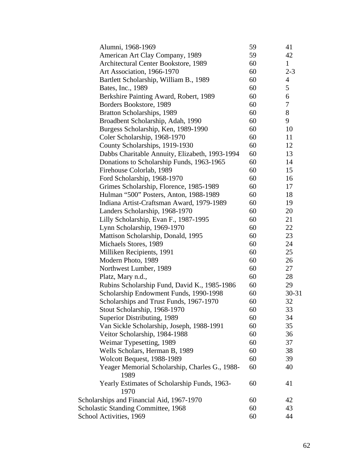| Alumni, 1968-1969                              | 59 | 41             |
|------------------------------------------------|----|----------------|
| American Art Clay Company, 1989                | 59 | 42             |
| Architectural Center Bookstore, 1989           | 60 | $\mathbf{1}$   |
| Art Association, 1966-1970                     | 60 | $2 - 3$        |
| Bartlett Scholarship, William B., 1989         | 60 | $\overline{4}$ |
| Bates, Inc., 1989                              | 60 | 5              |
| Berkshire Painting Award, Robert, 1989         | 60 | 6              |
| Borders Bookstore, 1989                        | 60 | 7              |
| Bratton Scholarships, 1989                     | 60 | 8              |
| Broadbent Scholarship, Adah, 1990              | 60 | 9              |
| Burgess Scholarship, Ken, 1989-1990            | 60 | 10             |
| Coler Scholarship, 1968-1970                   | 60 | 11             |
| County Scholarships, 1919-1930                 | 60 | 12             |
| Dabbs Charitable Annuity, Elizabeth, 1993-1994 | 60 | 13             |
| Donations to Scholarship Funds, 1963-1965      | 60 | 14             |
| Firehouse Colorlab, 1989                       | 60 | 15             |
| Ford Scholarship, 1968-1970                    | 60 | 16             |
| Grimes Scholarship, Florence, 1985-1989        | 60 | 17             |
| Hulman "500" Posters, Anton, 1988-1989         | 60 | 18             |
| Indiana Artist-Craftsman Award, 1979-1989      | 60 | 19             |
| Landers Scholarship, 1968-1970                 | 60 | 20             |
| Lilly Scholarship, Evan F., 1987-1995          | 60 | 21             |
| Lynn Scholarship, 1969-1970                    | 60 | 22             |
| Mattison Scholarship, Donald, 1995             | 60 | 23             |
| Michaels Stores, 1989                          | 60 | 24             |
| Milliken Recipients, 1991                      | 60 | 25             |
| Modern Photo, 1989                             | 60 | 26             |
| Northwest Lumber, 1989                         | 60 | 27             |
| Platz, Mary n.d.,                              | 60 | 28             |
| Rubins Scholarship Fund, David K., 1985-1986   | 60 | 29             |
| Scholarship Endowment Funds, 1990-1998         | 60 | $30 - 31$      |
| Scholarships and Trust Funds, 1967-1970        | 60 | 32             |
| Stout Scholarship, 1968-1970                   | 60 | 33             |
| Superior Distributing, 1989                    | 60 | 34             |
| Van Sickle Scholarship, Joseph, 1988-1991      | 60 | 35             |
| Veitor Scholarship, 1984-1988                  | 60 | 36             |
| Weimar Typesetting, 1989                       | 60 | 37             |
| Wells Scholars, Herman B, 1989                 | 60 | 38             |
| Wolcott Bequest, 1988-1989                     | 60 | 39             |
| Yeager Memorial Scholarship, Charles G., 1988- | 60 | 40             |
| 1989                                           |    |                |
| Yearly Estimates of Scholarship Funds, 1963-   | 60 | 41             |
| 1970                                           |    |                |
| Scholarships and Financial Aid, 1967-1970      | 60 | 42             |
| <b>Scholastic Standing Committee, 1968</b>     | 60 | 43             |
| School Activities, 1969                        | 60 | 44             |
|                                                |    |                |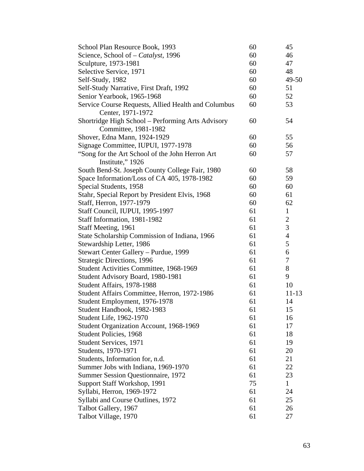| School Plan Resource Book, 1993                     | 60 | 45             |
|-----------------------------------------------------|----|----------------|
| Science, School of – Catalyst, 1996                 | 60 | 46             |
| Sculpture, 1973-1981                                | 60 | 47             |
| Selective Service, 1971                             | 60 | 48             |
| Self-Study, 1982                                    | 60 | 49-50          |
| Self-Study Narrative, First Draft, 1992             | 60 | 51             |
| Senior Yearbook, 1965-1968                          | 60 | 52             |
| Service Course Requests, Allied Health and Columbus | 60 | 53             |
| Center, 1971-1972                                   |    |                |
| Shortridge High School – Performing Arts Advisory   | 60 | 54             |
| Committee, 1981-1982                                |    |                |
| Shover, Edna Mann, 1924-1929                        | 60 | 55             |
| Signage Committee, IUPUI, 1977-1978                 | 60 | 56             |
| "Song for the Art School of the John Herron Art     | 60 | 57             |
| Institute," 1926                                    |    |                |
| South Bend-St. Joseph County College Fair, 1980     | 60 | 58             |
| Space Information/Loss of CA 405, 1978-1982         | 60 | 59             |
| Special Students, 1958                              | 60 | 60             |
| Stahr, Special Report by President Elvis, 1968      | 60 | 61             |
| Staff, Herron, 1977-1979                            | 60 | 62             |
| Staff Council, IUPUI, 1995-1997                     | 61 | $\mathbf{1}$   |
| Staff Information, 1981-1982                        | 61 | $\overline{c}$ |
| Staff Meeting, 1961                                 | 61 | 3              |
| State Scholarship Commission of Indiana, 1966       | 61 | $\overline{4}$ |
| Stewardship Letter, 1986                            | 61 | 5              |
| Stewart Center Gallery – Purdue, 1999               | 61 | 6              |
| <b>Strategic Directions, 1996</b>                   | 61 | 7              |
| Student Activities Committee, 1968-1969             | 61 | 8              |
| Student Advisory Board, 1980-1981                   | 61 | 9              |
| Student Affairs, 1978-1988                          | 61 | 10             |
| Student Affairs Committee, Herron, 1972-1986        | 61 | $11 - 13$      |
| Student Employment, 1976-1978                       | 61 | 14             |
| Student Handbook, 1982-1983                         | 61 | 15             |
| Student Life, 1962-1970                             | 61 | 16             |
| Student Organization Account, 1968-1969             | 61 | 17             |
| <b>Student Policies, 1968</b>                       | 61 | 18             |
| Student Services, 1971                              | 61 | 19             |
| Students, 1970-1971                                 | 61 | 20             |
| Students, Information for, n.d.                     | 61 | 21             |
| Summer Jobs with Indiana, 1969-1970                 | 61 | 22             |
| <b>Summer Session Questionnaire, 1972</b>           | 61 | 23             |
| Support Staff Workshop, 1991                        | 75 | $\mathbf{1}$   |
| Syllabi, Herron, 1969-1972                          | 61 | 24             |
| Syllabi and Course Outlines, 1972                   | 61 | 25             |
| Talbot Gallery, 1967                                | 61 | 26             |
| Talbot Village, 1970                                | 61 | 27             |
|                                                     |    |                |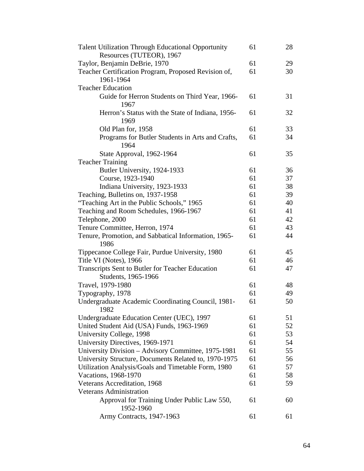| <b>Talent Utilization Through Educational Opportunity</b>    | 61 | 28 |
|--------------------------------------------------------------|----|----|
| Resources (TUTEOR), 1967                                     |    |    |
| Taylor, Benjamin DeBrie, 1970                                | 61 | 29 |
| Teacher Certification Program, Proposed Revision of,         | 61 | 30 |
| 1961-1964                                                    |    |    |
| <b>Teacher Education</b>                                     |    |    |
| Guide for Herron Students on Third Year, 1966-<br>1967       | 61 | 31 |
| Herron's Status with the State of Indiana, 1956-<br>1969     | 61 | 32 |
| Old Plan for, 1958                                           | 61 | 33 |
| Programs for Butler Students in Arts and Crafts,             | 61 | 34 |
| 1964                                                         |    |    |
| State Approval, 1962-1964                                    | 61 | 35 |
| <b>Teacher Training</b>                                      |    |    |
| Butler University, 1924-1933                                 | 61 | 36 |
| Course, 1923-1940                                            | 61 | 37 |
| Indiana University, 1923-1933                                | 61 | 38 |
| Teaching, Bulletins on, 1937-1958                            | 61 | 39 |
| "Teaching Art in the Public Schools," 1965                   | 61 | 40 |
| Teaching and Room Schedules, 1966-1967                       | 61 | 41 |
| Telephone, 2000                                              | 61 | 42 |
| Tenure Committee, Herron, 1974                               | 61 | 43 |
| Tenure, Promotion, and Sabbatical Information, 1965-<br>1986 | 61 | 44 |
| Tippecanoe College Fair, Purdue University, 1980             | 61 | 45 |
| Title VI (Notes), 1966                                       | 61 | 46 |
| Transcripts Sent to Butler for Teacher Education             | 61 | 47 |
| Students, 1965-1966                                          |    |    |
| Travel, 1979-1980                                            | 61 | 48 |
| Typography, 1978                                             | 61 | 49 |
| Undergraduate Academic Coordinating Council, 1981-<br>1982   | 61 | 50 |
| Undergraduate Education Center (UEC), 1997                   | 61 | 51 |
| United Student Aid (USA) Funds, 1963-1969                    | 61 | 52 |
| University College, 1998                                     | 61 | 53 |
| University Directives, 1969-1971                             | 61 | 54 |
| University Division – Advisory Committee, 1975-1981          | 61 | 55 |
| University Structure, Documents Related to, 1970-1975        | 61 | 56 |
| Utilization Analysis/Goals and Timetable Form, 1980          | 61 | 57 |
| Vacations, 1968-1970                                         | 61 | 58 |
| Veterans Accreditation, 1968                                 | 61 | 59 |
| <b>Veterans Administration</b>                               |    |    |
| Approval for Training Under Public Law 550,<br>1952-1960     | 61 | 60 |
| Army Contracts, 1947-1963                                    | 61 | 61 |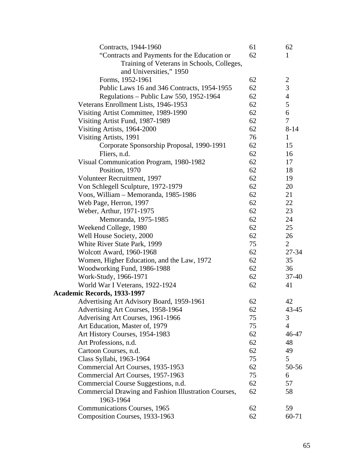| Contracts, 1944-1960                                 | 61 | 62                      |
|------------------------------------------------------|----|-------------------------|
| "Contracts and Payments for the Education or         | 62 | $\mathbf{1}$            |
| Training of Veterans in Schools, Colleges,           |    |                         |
| and Universities," 1950                              |    |                         |
| Forms, 1952-1961                                     | 62 | $\overline{\mathbf{c}}$ |
| Public Laws 16 and 346 Contracts, 1954-1955          | 62 | 3                       |
| Regulations - Public Law 550, 1952-1964              | 62 | $\overline{4}$          |
| Veterans Enrollment Lists, 1946-1953                 | 62 | 5                       |
| Visiting Artist Committee, 1989-1990                 | 62 | 6                       |
| Visiting Artist Fund, 1987-1989                      | 62 | $\tau$                  |
| Visiting Artists, 1964-2000                          | 62 | $8 - 14$                |
| Visiting Artists, 1991                               | 76 | $\mathbf{1}$            |
| Corporate Sponsorship Proposal, 1990-1991            | 62 | 15                      |
| Fliers, n.d.                                         | 62 | 16                      |
| Visual Communication Program, 1980-1982              | 62 | 17                      |
| Position, 1970                                       | 62 | 18                      |
| Volunteer Recruitment, 1997                          | 62 | 19                      |
| Von Schlegell Sculpture, 1972-1979                   | 62 | 20                      |
| Voos, William - Memoranda, 1985-1986                 | 62 | 21                      |
| Web Page, Herron, 1997                               | 62 | 22                      |
| Weber, Arthur, 1971-1975                             | 62 | 23                      |
| Memoranda, 1975-1985                                 | 62 | 24                      |
| Weekend College, 1980                                | 62 | 25                      |
| Well House Society, 2000                             | 62 | 26                      |
| White River State Park, 1999                         | 75 | $\overline{2}$          |
| <b>Wolcott Award, 1960-1968</b>                      | 62 | $27 - 34$               |
| Women, Higher Education, and the Law, 1972           | 62 | 35                      |
| Woodworking Fund, 1986-1988                          | 62 | 36                      |
| Work-Study, 1966-1971                                | 62 | $37-40$                 |
| World War I Veterans, 1922-1924                      | 62 | 41                      |
| Academic Records, 1933-1997                          |    |                         |
| Advertising Art Advisory Board, 1959-1961            | 62 | 42                      |
| Advertising Art Courses, 1958-1964                   | 62 | 43-45                   |
| Adverising Art Courses, 1961-1966                    | 75 | 3                       |
| Art Education, Master of, 1979                       | 75 | $\overline{4}$          |
| Art History Courses, 1954-1983                       | 62 | 46-47                   |
| Art Professions, n.d.                                | 62 | 48                      |
|                                                      | 62 | 49                      |
| Cartoon Courses, n.d.                                |    |                         |
| Class Syllabi, 1963-1964                             | 75 | 5                       |
| Commercial Art Courses, 1935-1953                    | 62 | 50-56                   |
| Commercial Art Courses, 1957-1963                    | 75 | 6                       |
| Commercial Course Suggestions, n.d.                  | 62 | 57                      |
| Commercial Drawing and Fashion Illustration Courses, | 62 | 58                      |
| 1963-1964                                            |    |                         |
| <b>Communications Courses, 1965</b>                  | 62 | 59                      |
| Composition Courses, 1933-1963                       | 62 | 60-71                   |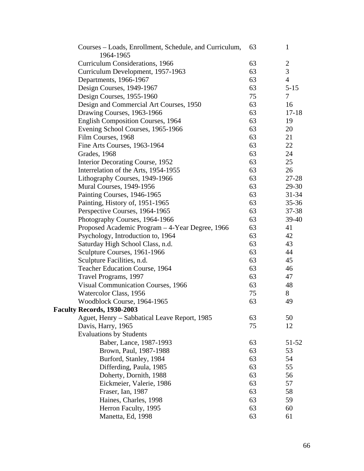| Courses – Loads, Enrollment, Schedule, and Curriculum, | 63 | $\mathbf{1}$   |
|--------------------------------------------------------|----|----------------|
| 1964-1965                                              |    |                |
| <b>Curriculum Considerations, 1966</b>                 | 63 | $\mathbf{2}$   |
| Curriculum Development, 1957-1963                      | 63 | 3              |
| Departments, 1966-1967                                 | 63 | $\overline{4}$ |
| Design Courses, 1949-1967                              | 63 | $5 - 15$       |
| Design Courses, 1955-1960                              | 75 | $\tau$         |
| Design and Commercial Art Courses, 1950                | 63 | 16             |
| Drawing Courses, 1963-1966                             | 63 | $17 - 18$      |
| <b>English Composition Courses, 1964</b>               | 63 | 19             |
| Evening School Courses, 1965-1966                      | 63 | 20             |
| Film Courses, 1968                                     | 63 | 21             |
| Fine Arts Courses, 1963-1964                           | 63 | 22             |
| Grades, 1968                                           | 63 | 24             |
| Interior Decorating Course, 1952                       | 63 | 25             |
| Interrelation of the Arts, 1954-1955                   | 63 | 26             |
| Lithography Courses, 1949-1966                         | 63 | 27-28          |
| Mural Courses, 1949-1956                               | 63 | 29-30          |
| Painting Courses, 1946-1965                            | 63 | $31 - 34$      |
| Painting, History of, 1951-1965                        | 63 | $35 - 36$      |
| Perspective Courses, 1964-1965                         | 63 | $37 - 38$      |
| Photography Courses, 1964-1966                         | 63 | $39-40$        |
| Proposed Academic Program - 4-Year Degree, 1966        | 63 | 41             |
| Psychology, Introduction to, 1964                      | 63 | 42             |
| Saturday High School Class, n.d.                       | 63 | 43             |
| Sculpture Courses, 1961-1966                           | 63 | 44             |
| Sculpture Facilities, n.d.                             | 63 | 45             |
| Teacher Education Course, 1964                         | 63 | 46             |
| Travel Programs, 1997                                  | 63 | 47             |
| <b>Visual Communication Courses, 1966</b>              | 63 | 48             |
| Watercolor Class, 1956                                 | 75 | 8              |
| Woodblock Course, 1964-1965                            | 63 | 49             |
| Faculty Records, 1930-2003                             |    |                |
| Aguet, Henry – Sabbatical Leave Report, 1985           | 63 | 50             |
| Davis, Harry, 1965                                     | 75 | 12             |
| <b>Evaluations by Students</b>                         |    |                |
| Baber, Lance, 1987-1993                                | 63 | 51-52          |
| Brown, Paul, 1987-1988                                 | 63 | 53             |
| Burford, Stanley, 1984                                 | 63 | 54             |
| Differding, Paula, 1985                                | 63 | 55             |
| Doherty, Dornith, 1988                                 | 63 | 56             |
| Eickmeier, Valerie, 1986                               | 63 | 57             |
| Fraser, Ian, 1987                                      | 63 | 58             |
| Haines, Charles, 1998                                  | 63 | 59             |
| Herron Faculty, 1995                                   | 63 | 60             |
| Manetta, Ed, 1998                                      | 63 | 61             |
|                                                        |    |                |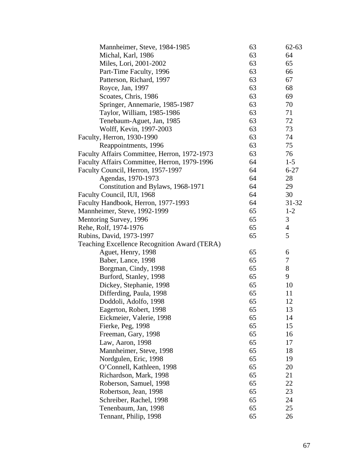| Mannheimer, Steve, 1984-1985                 | 63 | $62 - 63$      |
|----------------------------------------------|----|----------------|
| Michal, Karl, 1986                           | 63 | 64             |
| Miles, Lori, 2001-2002                       | 63 | 65             |
| Part-Time Faculty, 1996                      | 63 | 66             |
| Patterson, Richard, 1997                     | 63 | 67             |
| Royce, Jan, 1997                             | 63 | 68             |
| Scoates, Chris, 1986                         | 63 | 69             |
| Springer, Annemarie, 1985-1987               | 63 | 70             |
| Taylor, William, 1985-1986                   | 63 | 71             |
| Tenebaum-Aguet, Jan, 1985                    | 63 | 72             |
| Wolff, Kevin, 1997-2003                      | 63 | 73             |
| Faculty, Herron, 1930-1990                   | 63 | 74             |
| Reappointments, 1996                         | 63 | 75             |
| Faculty Affairs Committee, Herron, 1972-1973 | 63 | 76             |
| Faculty Affairs Committee, Herron, 1979-1996 | 64 | $1 - 5$        |
| Faculty Council, Herron, 1957-1997           | 64 | $6 - 27$       |
| Agendas, 1970-1973                           | 64 | 28             |
| Constitution and Bylaws, 1968-1971           | 64 | 29             |
| Faculty Council, IUI, 1968                   | 64 | 30             |
| Faculty Handbook, Herron, 1977-1993          | 64 | $31 - 32$      |
| Mannheimer, Steve, 1992-1999                 | 65 | $1 - 2$        |
| Mentoring Survey, 1996                       | 65 | 3              |
| Rehe, Rolf, 1974-1976                        | 65 | $\overline{4}$ |
| Rubins, David, 1973-1997                     | 65 | 5              |
| Teaching Excellence Recognition Award (TERA) |    |                |
| Aguet, Henry, 1998                           | 65 | 6              |
| Baber, Lance, 1998                           | 65 | $\tau$         |
| Borgman, Cindy, 1998                         | 65 | 8              |
| Burford, Stanley, 1998                       | 65 | 9              |
| Dickey, Stephanie, 1998                      | 65 | 10             |
| Differding, Paula, 1998                      | 65 | 11             |
| Doddoli, Adolfo, 1998                        | 65 | 12             |
| Eagerton, Robert, 1998                       | 65 | 13             |
| Eickmeier, Valerie, 1998                     | 65 | 14             |
| Fierke, Peg, 1998                            | 65 | 15             |
| Freeman, Gary, 1998                          | 65 | 16             |
| Law, Aaron, 1998                             | 65 | 17             |
| Mannheimer, Steve, 1998                      | 65 | 18             |
| Nordgulen, Eric, 1998                        | 65 | 19             |
| O'Connell, Kathleen, 1998                    | 65 | 20             |
| Richardson, Mark, 1998                       | 65 | 21             |
| Roberson, Samuel, 1998                       | 65 | 22             |
| Robertson, Jean, 1998                        | 65 | 23             |
| Schreiber, Rachel, 1998                      | 65 | 24             |
| Tenenbaum, Jan, 1998                         | 65 | 25             |
| Tennant, Philip, 1998                        | 65 | 26             |
|                                              |    |                |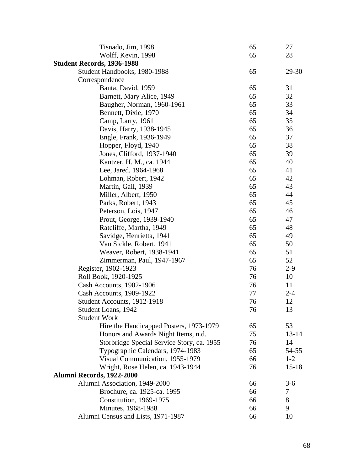| 28<br>Wolff, Kevin, 1998<br>65<br>Student Records, 1936-1988<br>Student Handbooks, 1980-1988<br>65<br>29-30<br>Correspondence<br>Banta, David, 1959<br>31<br>65<br>32<br>65<br>Barnett, Mary Alice, 1949<br>Baugher, Norman, 1960-1961<br>65<br>33<br>65<br>34<br>Bennett, Dixie, 1970<br>65<br>35<br>Camp, Larry, 1961<br>65<br>36<br>Davis, Harry, 1938-1945<br>37<br>Engle, Frank, 1936-1949<br>65<br>38<br>65<br>Hopper, Floyd, 1940<br>Jones, Clifford, 1937-1940<br>65<br>39<br>40<br>Kantzer, H. M., ca. 1944<br>65<br>65<br>41<br>Lee, Jared, 1964-1968<br>42<br>65<br>Lohman, Robert, 1942<br>Martin, Gail, 1939<br>65<br>43<br>65<br>44<br>Miller, Albert, 1950<br>65<br>Parks, Robert, 1943<br>45<br>65<br>46<br>Peterson, Lois, 1947<br>47<br>Prout, George, 1939-1940<br>65<br>48<br>65<br>Ratcliffe, Martha, 1949<br>Savidge, Henrietta, 1941<br>65<br>49<br>Van Sickle, Robert, 1941<br>65<br>50<br>65<br>51<br>Weaver, Robert, 1938-1941<br>52<br>65<br>Zimmerman, Paul, 1947-1967<br>Register, 1902-1923<br>76<br>$2-9$<br>Roll Book, 1920-1925<br>76<br>10<br>76<br>11<br>Cash Accounts, 1902-1906<br>Cash Accounts, 1909-1922<br>77<br>$2 - 4$<br>76<br>12<br>Student Accounts, 1912-1918<br>76<br>13<br>Student Loans, 1942<br><b>Student Work</b><br>53<br>Hire the Handicapped Posters, 1973-1979<br>65<br>Honors and Awards Night Items, n.d.<br>75<br>$13 - 14$<br>Storbridge Special Service Story, ca. 1955<br>14<br>76<br>Typographic Calendars, 1974-1983<br>65<br>54-55<br>Visual Communication, 1955-1979<br>66<br>$1 - 2$<br>Wright, Rose Helen, ca. 1943-1944<br>76<br>$15 - 18$<br>Alumni Records, 1922-2000<br>Alumni Association, 1949-2000<br>$3-6$<br>66<br>Brochure, ca. 1925-ca. 1995<br>7<br>66<br>Constitution, 1969-1975<br>8<br>66<br>9<br>Minutes, 1968-1988<br>66 | Tisnado, Jim, 1998                 | 65 | 27 |
|----------------------------------------------------------------------------------------------------------------------------------------------------------------------------------------------------------------------------------------------------------------------------------------------------------------------------------------------------------------------------------------------------------------------------------------------------------------------------------------------------------------------------------------------------------------------------------------------------------------------------------------------------------------------------------------------------------------------------------------------------------------------------------------------------------------------------------------------------------------------------------------------------------------------------------------------------------------------------------------------------------------------------------------------------------------------------------------------------------------------------------------------------------------------------------------------------------------------------------------------------------------------------------------------------------------------------------------------------------------------------------------------------------------------------------------------------------------------------------------------------------------------------------------------------------------------------------------------------------------------------------------------------------------------------------------------------------------------------------------------------------------------------------------------------------------|------------------------------------|----|----|
|                                                                                                                                                                                                                                                                                                                                                                                                                                                                                                                                                                                                                                                                                                                                                                                                                                                                                                                                                                                                                                                                                                                                                                                                                                                                                                                                                                                                                                                                                                                                                                                                                                                                                                                                                                                                                |                                    |    |    |
|                                                                                                                                                                                                                                                                                                                                                                                                                                                                                                                                                                                                                                                                                                                                                                                                                                                                                                                                                                                                                                                                                                                                                                                                                                                                                                                                                                                                                                                                                                                                                                                                                                                                                                                                                                                                                |                                    |    |    |
|                                                                                                                                                                                                                                                                                                                                                                                                                                                                                                                                                                                                                                                                                                                                                                                                                                                                                                                                                                                                                                                                                                                                                                                                                                                                                                                                                                                                                                                                                                                                                                                                                                                                                                                                                                                                                |                                    |    |    |
|                                                                                                                                                                                                                                                                                                                                                                                                                                                                                                                                                                                                                                                                                                                                                                                                                                                                                                                                                                                                                                                                                                                                                                                                                                                                                                                                                                                                                                                                                                                                                                                                                                                                                                                                                                                                                |                                    |    |    |
|                                                                                                                                                                                                                                                                                                                                                                                                                                                                                                                                                                                                                                                                                                                                                                                                                                                                                                                                                                                                                                                                                                                                                                                                                                                                                                                                                                                                                                                                                                                                                                                                                                                                                                                                                                                                                |                                    |    |    |
|                                                                                                                                                                                                                                                                                                                                                                                                                                                                                                                                                                                                                                                                                                                                                                                                                                                                                                                                                                                                                                                                                                                                                                                                                                                                                                                                                                                                                                                                                                                                                                                                                                                                                                                                                                                                                |                                    |    |    |
|                                                                                                                                                                                                                                                                                                                                                                                                                                                                                                                                                                                                                                                                                                                                                                                                                                                                                                                                                                                                                                                                                                                                                                                                                                                                                                                                                                                                                                                                                                                                                                                                                                                                                                                                                                                                                |                                    |    |    |
|                                                                                                                                                                                                                                                                                                                                                                                                                                                                                                                                                                                                                                                                                                                                                                                                                                                                                                                                                                                                                                                                                                                                                                                                                                                                                                                                                                                                                                                                                                                                                                                                                                                                                                                                                                                                                |                                    |    |    |
|                                                                                                                                                                                                                                                                                                                                                                                                                                                                                                                                                                                                                                                                                                                                                                                                                                                                                                                                                                                                                                                                                                                                                                                                                                                                                                                                                                                                                                                                                                                                                                                                                                                                                                                                                                                                                |                                    |    |    |
|                                                                                                                                                                                                                                                                                                                                                                                                                                                                                                                                                                                                                                                                                                                                                                                                                                                                                                                                                                                                                                                                                                                                                                                                                                                                                                                                                                                                                                                                                                                                                                                                                                                                                                                                                                                                                |                                    |    |    |
|                                                                                                                                                                                                                                                                                                                                                                                                                                                                                                                                                                                                                                                                                                                                                                                                                                                                                                                                                                                                                                                                                                                                                                                                                                                                                                                                                                                                                                                                                                                                                                                                                                                                                                                                                                                                                |                                    |    |    |
|                                                                                                                                                                                                                                                                                                                                                                                                                                                                                                                                                                                                                                                                                                                                                                                                                                                                                                                                                                                                                                                                                                                                                                                                                                                                                                                                                                                                                                                                                                                                                                                                                                                                                                                                                                                                                |                                    |    |    |
|                                                                                                                                                                                                                                                                                                                                                                                                                                                                                                                                                                                                                                                                                                                                                                                                                                                                                                                                                                                                                                                                                                                                                                                                                                                                                                                                                                                                                                                                                                                                                                                                                                                                                                                                                                                                                |                                    |    |    |
|                                                                                                                                                                                                                                                                                                                                                                                                                                                                                                                                                                                                                                                                                                                                                                                                                                                                                                                                                                                                                                                                                                                                                                                                                                                                                                                                                                                                                                                                                                                                                                                                                                                                                                                                                                                                                |                                    |    |    |
|                                                                                                                                                                                                                                                                                                                                                                                                                                                                                                                                                                                                                                                                                                                                                                                                                                                                                                                                                                                                                                                                                                                                                                                                                                                                                                                                                                                                                                                                                                                                                                                                                                                                                                                                                                                                                |                                    |    |    |
|                                                                                                                                                                                                                                                                                                                                                                                                                                                                                                                                                                                                                                                                                                                                                                                                                                                                                                                                                                                                                                                                                                                                                                                                                                                                                                                                                                                                                                                                                                                                                                                                                                                                                                                                                                                                                |                                    |    |    |
|                                                                                                                                                                                                                                                                                                                                                                                                                                                                                                                                                                                                                                                                                                                                                                                                                                                                                                                                                                                                                                                                                                                                                                                                                                                                                                                                                                                                                                                                                                                                                                                                                                                                                                                                                                                                                |                                    |    |    |
|                                                                                                                                                                                                                                                                                                                                                                                                                                                                                                                                                                                                                                                                                                                                                                                                                                                                                                                                                                                                                                                                                                                                                                                                                                                                                                                                                                                                                                                                                                                                                                                                                                                                                                                                                                                                                |                                    |    |    |
|                                                                                                                                                                                                                                                                                                                                                                                                                                                                                                                                                                                                                                                                                                                                                                                                                                                                                                                                                                                                                                                                                                                                                                                                                                                                                                                                                                                                                                                                                                                                                                                                                                                                                                                                                                                                                |                                    |    |    |
|                                                                                                                                                                                                                                                                                                                                                                                                                                                                                                                                                                                                                                                                                                                                                                                                                                                                                                                                                                                                                                                                                                                                                                                                                                                                                                                                                                                                                                                                                                                                                                                                                                                                                                                                                                                                                |                                    |    |    |
|                                                                                                                                                                                                                                                                                                                                                                                                                                                                                                                                                                                                                                                                                                                                                                                                                                                                                                                                                                                                                                                                                                                                                                                                                                                                                                                                                                                                                                                                                                                                                                                                                                                                                                                                                                                                                |                                    |    |    |
|                                                                                                                                                                                                                                                                                                                                                                                                                                                                                                                                                                                                                                                                                                                                                                                                                                                                                                                                                                                                                                                                                                                                                                                                                                                                                                                                                                                                                                                                                                                                                                                                                                                                                                                                                                                                                |                                    |    |    |
|                                                                                                                                                                                                                                                                                                                                                                                                                                                                                                                                                                                                                                                                                                                                                                                                                                                                                                                                                                                                                                                                                                                                                                                                                                                                                                                                                                                                                                                                                                                                                                                                                                                                                                                                                                                                                |                                    |    |    |
|                                                                                                                                                                                                                                                                                                                                                                                                                                                                                                                                                                                                                                                                                                                                                                                                                                                                                                                                                                                                                                                                                                                                                                                                                                                                                                                                                                                                                                                                                                                                                                                                                                                                                                                                                                                                                |                                    |    |    |
|                                                                                                                                                                                                                                                                                                                                                                                                                                                                                                                                                                                                                                                                                                                                                                                                                                                                                                                                                                                                                                                                                                                                                                                                                                                                                                                                                                                                                                                                                                                                                                                                                                                                                                                                                                                                                |                                    |    |    |
|                                                                                                                                                                                                                                                                                                                                                                                                                                                                                                                                                                                                                                                                                                                                                                                                                                                                                                                                                                                                                                                                                                                                                                                                                                                                                                                                                                                                                                                                                                                                                                                                                                                                                                                                                                                                                |                                    |    |    |
|                                                                                                                                                                                                                                                                                                                                                                                                                                                                                                                                                                                                                                                                                                                                                                                                                                                                                                                                                                                                                                                                                                                                                                                                                                                                                                                                                                                                                                                                                                                                                                                                                                                                                                                                                                                                                |                                    |    |    |
|                                                                                                                                                                                                                                                                                                                                                                                                                                                                                                                                                                                                                                                                                                                                                                                                                                                                                                                                                                                                                                                                                                                                                                                                                                                                                                                                                                                                                                                                                                                                                                                                                                                                                                                                                                                                                |                                    |    |    |
|                                                                                                                                                                                                                                                                                                                                                                                                                                                                                                                                                                                                                                                                                                                                                                                                                                                                                                                                                                                                                                                                                                                                                                                                                                                                                                                                                                                                                                                                                                                                                                                                                                                                                                                                                                                                                |                                    |    |    |
|                                                                                                                                                                                                                                                                                                                                                                                                                                                                                                                                                                                                                                                                                                                                                                                                                                                                                                                                                                                                                                                                                                                                                                                                                                                                                                                                                                                                                                                                                                                                                                                                                                                                                                                                                                                                                |                                    |    |    |
|                                                                                                                                                                                                                                                                                                                                                                                                                                                                                                                                                                                                                                                                                                                                                                                                                                                                                                                                                                                                                                                                                                                                                                                                                                                                                                                                                                                                                                                                                                                                                                                                                                                                                                                                                                                                                |                                    |    |    |
|                                                                                                                                                                                                                                                                                                                                                                                                                                                                                                                                                                                                                                                                                                                                                                                                                                                                                                                                                                                                                                                                                                                                                                                                                                                                                                                                                                                                                                                                                                                                                                                                                                                                                                                                                                                                                |                                    |    |    |
|                                                                                                                                                                                                                                                                                                                                                                                                                                                                                                                                                                                                                                                                                                                                                                                                                                                                                                                                                                                                                                                                                                                                                                                                                                                                                                                                                                                                                                                                                                                                                                                                                                                                                                                                                                                                                |                                    |    |    |
|                                                                                                                                                                                                                                                                                                                                                                                                                                                                                                                                                                                                                                                                                                                                                                                                                                                                                                                                                                                                                                                                                                                                                                                                                                                                                                                                                                                                                                                                                                                                                                                                                                                                                                                                                                                                                |                                    |    |    |
|                                                                                                                                                                                                                                                                                                                                                                                                                                                                                                                                                                                                                                                                                                                                                                                                                                                                                                                                                                                                                                                                                                                                                                                                                                                                                                                                                                                                                                                                                                                                                                                                                                                                                                                                                                                                                |                                    |    |    |
|                                                                                                                                                                                                                                                                                                                                                                                                                                                                                                                                                                                                                                                                                                                                                                                                                                                                                                                                                                                                                                                                                                                                                                                                                                                                                                                                                                                                                                                                                                                                                                                                                                                                                                                                                                                                                |                                    |    |    |
|                                                                                                                                                                                                                                                                                                                                                                                                                                                                                                                                                                                                                                                                                                                                                                                                                                                                                                                                                                                                                                                                                                                                                                                                                                                                                                                                                                                                                                                                                                                                                                                                                                                                                                                                                                                                                |                                    |    |    |
|                                                                                                                                                                                                                                                                                                                                                                                                                                                                                                                                                                                                                                                                                                                                                                                                                                                                                                                                                                                                                                                                                                                                                                                                                                                                                                                                                                                                                                                                                                                                                                                                                                                                                                                                                                                                                |                                    |    |    |
|                                                                                                                                                                                                                                                                                                                                                                                                                                                                                                                                                                                                                                                                                                                                                                                                                                                                                                                                                                                                                                                                                                                                                                                                                                                                                                                                                                                                                                                                                                                                                                                                                                                                                                                                                                                                                |                                    |    |    |
|                                                                                                                                                                                                                                                                                                                                                                                                                                                                                                                                                                                                                                                                                                                                                                                                                                                                                                                                                                                                                                                                                                                                                                                                                                                                                                                                                                                                                                                                                                                                                                                                                                                                                                                                                                                                                |                                    |    |    |
|                                                                                                                                                                                                                                                                                                                                                                                                                                                                                                                                                                                                                                                                                                                                                                                                                                                                                                                                                                                                                                                                                                                                                                                                                                                                                                                                                                                                                                                                                                                                                                                                                                                                                                                                                                                                                |                                    |    |    |
|                                                                                                                                                                                                                                                                                                                                                                                                                                                                                                                                                                                                                                                                                                                                                                                                                                                                                                                                                                                                                                                                                                                                                                                                                                                                                                                                                                                                                                                                                                                                                                                                                                                                                                                                                                                                                |                                    |    |    |
|                                                                                                                                                                                                                                                                                                                                                                                                                                                                                                                                                                                                                                                                                                                                                                                                                                                                                                                                                                                                                                                                                                                                                                                                                                                                                                                                                                                                                                                                                                                                                                                                                                                                                                                                                                                                                |                                    |    |    |
|                                                                                                                                                                                                                                                                                                                                                                                                                                                                                                                                                                                                                                                                                                                                                                                                                                                                                                                                                                                                                                                                                                                                                                                                                                                                                                                                                                                                                                                                                                                                                                                                                                                                                                                                                                                                                |                                    |    |    |
|                                                                                                                                                                                                                                                                                                                                                                                                                                                                                                                                                                                                                                                                                                                                                                                                                                                                                                                                                                                                                                                                                                                                                                                                                                                                                                                                                                                                                                                                                                                                                                                                                                                                                                                                                                                                                | Alumni Census and Lists, 1971-1987 | 66 | 10 |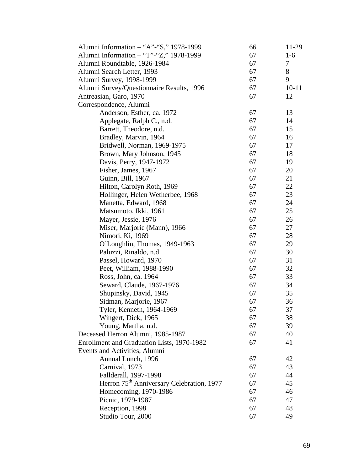| Alumni Information - "A"-"S," 1978-1999               | 66 | 11-29     |
|-------------------------------------------------------|----|-----------|
| Alumni Information - "T"-"Z," 1978-1999               | 67 | $1-6$     |
| Alumni Roundtable, 1926-1984                          | 67 | 7         |
| Alumni Search Letter, 1993                            | 67 | 8         |
| Alumni Survey, 1998-1999                              | 67 | 9         |
| Alumni Survey/Questionnaire Results, 1996             | 67 | $10 - 11$ |
| Antreasian, Garo, 1970                                | 67 | 12        |
| Correspondence, Alumni                                |    |           |
| Anderson, Esther, ca. 1972                            | 67 | 13        |
| Applegate, Ralph C., n.d.                             | 67 | 14        |
| Barrett, Theodore, n.d.                               | 67 | 15        |
| Bradley, Marvin, 1964                                 | 67 | 16        |
| Bridwell, Norman, 1969-1975                           | 67 | 17        |
| Brown, Mary Johnson, 1945                             | 67 | 18        |
| Davis, Perry, 1947-1972                               | 67 | 19        |
| Fisher, James, 1967                                   | 67 | 20        |
| Guinn, Bill, 1967                                     | 67 | 21        |
| Hilton, Carolyn Roth, 1969                            | 67 | 22        |
| Hollinger, Helen Wetherbee, 1968                      | 67 | 23        |
| Manetta, Edward, 1968                                 | 67 | 24        |
| Matsumoto, Ikki, 1961                                 | 67 | 25        |
| Mayer, Jessie, 1976                                   | 67 | 26        |
| Miser, Marjorie (Mann), 1966                          | 67 | 27        |
| Nimori, Ki, 1969                                      | 67 | 28        |
| O'Loughlin, Thomas, 1949-1963                         | 67 | 29        |
| Paluzzi, Rinaldo, n.d.                                | 67 | 30        |
| Passel, Howard, 1970                                  | 67 | 31        |
| Peet, William, 1988-1990                              | 67 | 32        |
| Ross, John, ca. 1964                                  | 67 | 33        |
| Seward, Claude, 1967-1976                             | 67 | 34        |
| Shupinsky, David, 1945                                | 67 | 35        |
| Sidman, Marjorie, 1967                                | 67 | 36        |
| Tyler, Kenneth, 1964-1969                             | 67 | 37        |
| Wingert, Dick, 1965                                   | 67 | 38        |
| Young, Martha, n.d.                                   | 67 | 39        |
| Deceased Herron Alumni, 1985-1987                     | 67 | 40        |
| Enrollment and Graduation Lists, 1970-1982            | 67 | 41        |
| Events and Activities, Alumni                         |    |           |
| Annual Lunch, 1996                                    | 67 | 42        |
| Carnival, 1973                                        | 67 | 43        |
| Fallderall, 1997-1998                                 | 67 | 44        |
| Herron 75 <sup>th</sup> Anniversary Celebration, 1977 | 67 | 45        |
| Homecoming, 1970-1986                                 | 67 | 46        |
| Picnic, 1979-1987                                     | 67 | 47        |
| Reception, 1998                                       | 67 | 48        |
| Studio Tour, 2000                                     | 67 | 49        |
|                                                       |    |           |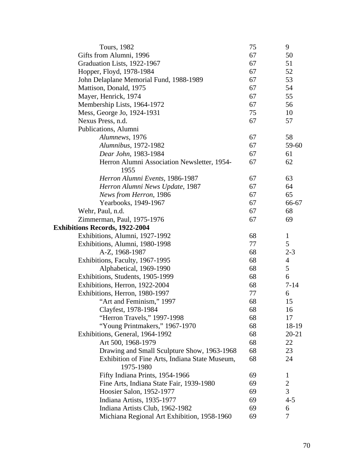| <b>Tours</b> , 1982                                         | 75 | 9              |
|-------------------------------------------------------------|----|----------------|
| Gifts from Alumni, 1996                                     | 67 | 50             |
| Graduation Lists, 1922-1967                                 | 67 | 51             |
| Hopper, Floyd, 1978-1984                                    | 67 | 52             |
| John Delaplane Memorial Fund, 1988-1989                     | 67 | 53             |
| Mattison, Donald, 1975                                      | 67 | 54             |
| Mayer, Henrick, 1974                                        | 67 | 55             |
| Membership Lists, 1964-1972                                 | 67 | 56             |
| Mess, George Jo, 1924-1931                                  | 75 | 10             |
| Nexus Press, n.d.                                           | 67 | 57             |
| Publications, Alumni                                        |    |                |
| Alumnews, 1976                                              | 67 | 58             |
| Alumnibus, 1972-1982                                        | 67 | 59-60          |
| Dear John, 1983-1984                                        | 67 | 61             |
| Herron Alumni Association Newsletter, 1954-                 | 67 | 62             |
| 1955                                                        | 67 | 63             |
| Herron Alumni Events, 1986-1987                             |    |                |
| Herron Alumni News Update, 1987                             | 67 | 64             |
| News from Herron, 1986                                      | 67 | 65             |
| Yearbooks, 1949-1967                                        | 67 | 66-67          |
| Wehr, Paul, n.d.                                            | 67 | 68             |
| Zimmerman, Paul, 1975-1976                                  | 67 | 69             |
| <b>Exhibitions Records, 1922-2004</b>                       |    |                |
| Exhibitions, Alumni, 1927-1992                              | 68 | $\mathbf{1}$   |
| Exhibitions, Alumni, 1980-1998                              | 77 | 5              |
| A-Z, 1968-1987                                              | 68 | $2 - 3$        |
| Exhibitions, Faculty, 1967-1995                             | 68 | $\overline{4}$ |
| Alphabetical, 1969-1990                                     | 68 | 5              |
| Exhibitions, Students, 1905-1999                            | 68 | 6              |
| Exhibitions, Herron, 1922-2004                              | 68 | $7 - 14$       |
| Exhibitions, Herron, 1980-1997                              | 77 | 6              |
| "Art and Feminism," 1997                                    | 68 | 15             |
| Clayfest, 1978-1984                                         | 68 | 16             |
| "Herron Travels," 1997-1998                                 | 68 | 17             |
| "Young Printmakers," 1967-1970                              | 68 | 18-19          |
| Exhibitions, General, 1964-1992                             | 68 | $20 - 21$      |
| Art 500, 1968-1979                                          | 68 | 22             |
| Drawing and Small Sculpture Show, 1963-1968                 | 68 | 23             |
| Exhibition of Fine Arts, Indiana State Museum,<br>1975-1980 | 68 | 24             |
| Fifty Indiana Prints, 1954-1966                             | 69 | $\mathbf{1}$   |
| Fine Arts, Indiana State Fair, 1939-1980                    | 69 | $\overline{c}$ |
| Hoosier Salon, 1952-1977                                    | 69 | $\overline{3}$ |
| Indiana Artists, 1935-1977                                  | 69 | $4 - 5$        |
| Indiana Artists Club, 1962-1982                             | 69 | 6              |
| Michiana Regional Art Exhibition, 1958-1960                 | 69 | 7              |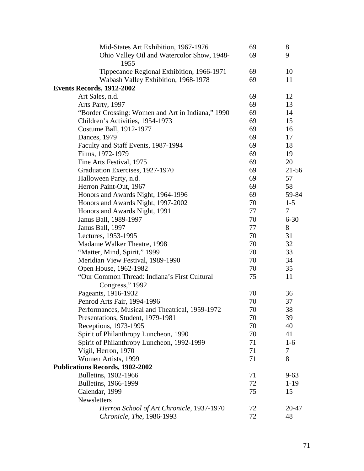| Mid-States Art Exhibition, 1967-1976              | 69 | 8         |
|---------------------------------------------------|----|-----------|
| Ohio Valley Oil and Watercolor Show, 1948-        | 69 | 9         |
| 1955                                              |    |           |
| Tippecanoe Regional Exhibition, 1966-1971         | 69 | 10        |
| Wabash Valley Exhibition, 1968-1978               | 69 | 11        |
| <b>Events Records, 1912-2002</b>                  |    |           |
| Art Sales, n.d.                                   | 69 | 12        |
| Arts Party, 1997                                  | 69 | 13        |
| "Border Crossing: Women and Art in Indiana," 1990 | 69 | 14        |
| Children's Activities, 1954-1973                  | 69 | 15        |
| Costume Ball, 1912-1977                           | 69 | 16        |
| Dances, 1979                                      | 69 | 17        |
| Faculty and Staff Events, 1987-1994               | 69 | 18        |
| Films, 1972-1979                                  | 69 | 19        |
| Fine Arts Festival, 1975                          | 69 | 20        |
| Graduation Exercises, 1927-1970                   | 69 | $21 - 56$ |
| Halloween Party, n.d.                             | 69 | 57        |
| Herron Paint-Out, 1967                            | 69 | 58        |
| Honors and Awards Night, 1964-1996                | 69 | 59-84     |
| Honors and Awards Night, 1997-2002                | 70 | $1 - 5$   |
| Honors and Awards Night, 1991                     | 77 | $\tau$    |
| Janus Ball, 1989-1997                             | 70 | $6 - 30$  |
| Janus Ball, 1997                                  | 77 | 8         |
| Lectures, 1953-1995                               | 70 | 31        |
| Madame Walker Theatre, 1998                       | 70 | 32        |
| "Matter, Mind, Spirit," 1999                      | 70 | 33        |
| Meridian View Festival, 1989-1990                 | 70 | 34        |
| Open House, 1962-1982                             | 70 | 35        |
| "Our Common Thread: Indiana's First Cultural      | 75 | 11        |
| Congress," 1992                                   |    |           |
| Pageants, 1916-1932                               | 70 | 36        |
| Penrod Arts Fair, 1994-1996                       | 70 | 37        |
| Performances, Musical and Theatrical, 1959-1972   | 70 | 38        |
| Presentations, Student, 1979-1981                 | 70 | 39        |
| Receptions, 1973-1995                             | 70 | 40        |
| Spirit of Philanthropy Luncheon, 1990             | 70 | 41        |
| Spirit of Philanthropy Luncheon, 1992-1999        | 71 | $1-6$     |
| Vigil, Herron, 1970                               | 71 | 7         |
| Women Artists, 1999                               | 71 | 8         |
| <b>Publications Records, 1902-2002</b>            |    |           |
| Bulletins, 1902-1966                              | 71 | $9 - 63$  |
| Bulletins, 1966-1999                              | 72 | $1-19$    |
| Calendar, 1999                                    | 75 | 15        |
| Newsletters                                       |    |           |
| Herron School of Art Chronicle, 1937-1970         | 72 | 20-47     |
| Chronicle, The, 1986-1993                         | 72 | 48        |
|                                                   |    |           |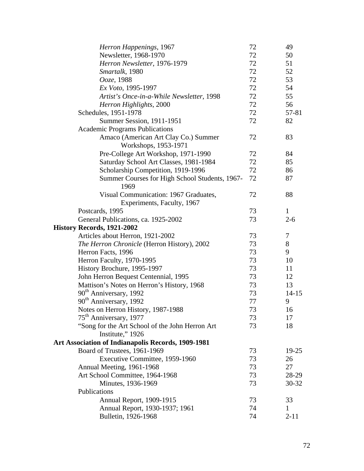| Herron Happenings, 1967                                   | 72 | 49           |
|-----------------------------------------------------------|----|--------------|
| Newsletter, 1968-1970                                     | 72 | 50           |
| Herron Newsletter, 1976-1979                              | 72 | 51           |
| Smartalk, 1980                                            | 72 | 52           |
| Ooze, 1988                                                | 72 | 53           |
| Ex Voto, 1995-1997                                        | 72 | 54           |
| Artist's Once-in-a-While Newsletter, 1998                 | 72 | 55           |
| Herron Highlights, 2000                                   | 72 | 56           |
| Schedules, 1951-1978                                      | 72 | 57-81        |
| Summer Session, 1911-1951                                 | 72 | 82           |
| <b>Academic Programs Publications</b>                     |    |              |
| Amaco (American Art Clay Co.) Summer                      | 72 | 83           |
| Workshops, 1953-1971                                      |    |              |
| Pre-College Art Workshop, 1971-1990                       | 72 | 84           |
| Saturday School Art Classes, 1981-1984                    | 72 | 85           |
| Scholarship Competition, 1919-1996                        | 72 | 86           |
| Summer Courses for High School Students, 1967-            | 72 | 87           |
| 1969                                                      |    |              |
| Visual Communication: 1967 Graduates,                     | 72 | 88           |
| Experiments, Faculty, 1967                                |    |              |
| Postcards, 1995                                           | 73 | $\mathbf{1}$ |
| General Publications, ca. 1925-2002                       | 73 | $2 - 6$      |
| History Records, 1921-2002                                |    |              |
| Articles about Herron, 1921-2002                          | 73 | 7            |
| The Herron Chronicle (Herron History), 2002               | 73 | 8            |
| Herron Facts, 1996                                        | 73 | 9            |
| Herron Faculty, 1970-1995                                 | 73 | 10           |
| History Brochure, 1995-1997                               | 73 | 11           |
| John Herron Bequest Centennial, 1995                      | 73 | 12           |
| Mattison's Notes on Herron's History, 1968                | 73 | 13           |
| 90 <sup>th</sup> Anniversary, 1992                        | 73 | $14 - 15$    |
| 90 <sup>th</sup> Anniversary, 1992                        | 77 | 9            |
| Notes on Herron History, 1987-1988                        | 73 | 16           |
| 75 <sup>th</sup> Anniversary, 1977                        | 73 | 17           |
| "Song for the Art School of the John Herron Art           | 73 | 18           |
| Institute," 1926                                          |    |              |
| <b>Art Association of Indianapolis Records, 1909-1981</b> |    |              |
| Board of Trustees, 1961-1969                              | 73 | $19-25$      |
| Executive Committee, 1959-1960                            | 73 | 26           |
| Annual Meeting, 1961-1968                                 | 73 | 27           |
| Art School Committee, 1964-1968                           | 73 | 28-29        |
| Minutes, 1936-1969                                        | 73 | $30 - 32$    |
| Publications                                              |    |              |
| Annual Report, 1909-1915                                  | 73 | 33           |
| Annual Report, 1930-1937; 1961                            | 74 | 1            |
| Bulletin, 1926-1968                                       | 74 | $2 - 11$     |